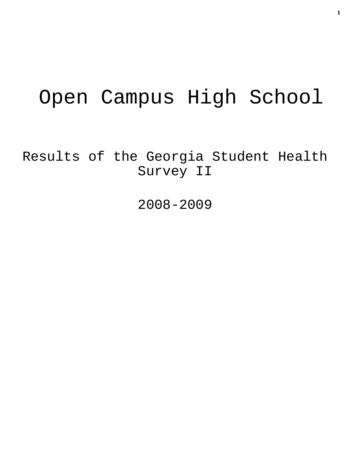# Open Campus High School

Results of the Georgia Student Health Survey II

2008-2009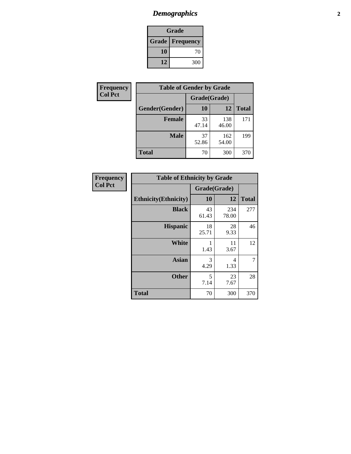## *Demographics* **2**

| Grade                    |     |  |  |
|--------------------------|-----|--|--|
| <b>Grade   Frequency</b> |     |  |  |
| 10                       | 70  |  |  |
| 12                       | 300 |  |  |

| Frequency      | <b>Table of Gender by Grade</b> |              |              |              |  |
|----------------|---------------------------------|--------------|--------------|--------------|--|
| <b>Col Pct</b> |                                 | Grade(Grade) |              |              |  |
|                | Gender(Gender)                  | 10           | 12           | <b>Total</b> |  |
|                | <b>Female</b>                   | 33<br>47.14  | 138<br>46.00 | 171          |  |
|                | <b>Male</b>                     | 37<br>52.86  | 162<br>54.00 | 199          |  |
|                | <b>Total</b>                    | 70           | 300          | 370          |  |

| Frequency<br>Col Pct |
|----------------------|

| <b>Table of Ethnicity by Grade</b> |              |              |              |  |  |  |
|------------------------------------|--------------|--------------|--------------|--|--|--|
|                                    | Grade(Grade) |              |              |  |  |  |
| <b>Ethnicity</b> (Ethnicity)       | 10           | 12           | <b>Total</b> |  |  |  |
| <b>Black</b>                       | 43<br>61.43  | 234<br>78.00 | 277          |  |  |  |
| <b>Hispanic</b>                    | 18<br>25.71  | 28<br>9.33   | 46           |  |  |  |
| <b>White</b>                       | 1<br>1.43    | 11<br>3.67   | 12           |  |  |  |
| <b>Asian</b>                       | 3<br>4.29    | 4<br>1.33    | 7            |  |  |  |
| <b>Other</b>                       | 5<br>7.14    | 23<br>7.67   | 28           |  |  |  |
| <b>Total</b>                       | 70           | 300          | 370          |  |  |  |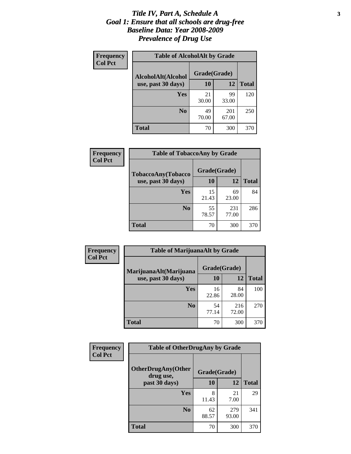#### *Title IV, Part A, Schedule A* **3** *Goal 1: Ensure that all schools are drug-free Baseline Data: Year 2008-2009 Prevalence of Drug Use*

| Frequency<br><b>Col Pct</b> | <b>Table of AlcoholAlt by Grade</b> |              |              |              |  |  |
|-----------------------------|-------------------------------------|--------------|--------------|--------------|--|--|
|                             | AlcoholAlt(Alcohol                  | Grade(Grade) |              |              |  |  |
|                             | use, past 30 days)                  | 10           | 12           | <b>Total</b> |  |  |
|                             | Yes                                 | 21<br>30.00  | 99<br>33.00  | 120          |  |  |
|                             | N <sub>0</sub>                      | 49<br>70.00  | 201<br>67.00 | 250          |  |  |
|                             | <b>Total</b>                        | 70           | 300          | 370          |  |  |

| Frequency<br><b>Col Pct</b> | <b>Table of TobaccoAny by Grade</b> |              |              |              |  |
|-----------------------------|-------------------------------------|--------------|--------------|--------------|--|
|                             | <b>TobaccoAny(Tobacco</b>           | Grade(Grade) |              |              |  |
|                             | use, past 30 days)                  | 10           | 12           | <b>Total</b> |  |
|                             | Yes                                 | 15<br>21.43  | 69<br>23.00  | 84           |  |
|                             | N <sub>0</sub>                      | 55<br>78.57  | 231<br>77.00 | 286          |  |
|                             | <b>Total</b>                        | 70           | 300          | 370          |  |

| Frequency<br><b>Col Pct</b> | <b>Table of MarijuanaAlt by Grade</b> |              |              |              |  |
|-----------------------------|---------------------------------------|--------------|--------------|--------------|--|
|                             | MarijuanaAlt(Marijuana                | Grade(Grade) |              |              |  |
|                             | use, past 30 days)                    | 10           | 12           | <b>Total</b> |  |
|                             | <b>Yes</b>                            | 16<br>22.86  | 84<br>28.00  | 100          |  |
|                             | N <sub>0</sub>                        | 54<br>77.14  | 216<br>72.00 | 270          |  |
|                             | <b>Total</b>                          | 70           | 300          | 370          |  |

| Frequency<br><b>Col Pct</b> | <b>Table of OtherDrugAny by Grade</b>                  |             |              |              |  |
|-----------------------------|--------------------------------------------------------|-------------|--------------|--------------|--|
|                             | <b>OtherDrugAny(Other</b><br>Grade(Grade)<br>drug use, |             |              |              |  |
|                             | past 30 days)                                          | 10          | 12           | <b>Total</b> |  |
|                             | Yes                                                    | 8<br>11.43  | 21<br>7.00   | 29           |  |
|                             | N <sub>0</sub>                                         | 62<br>88.57 | 279<br>93.00 | 341          |  |
|                             | <b>Total</b>                                           | 70          | 300          | 370          |  |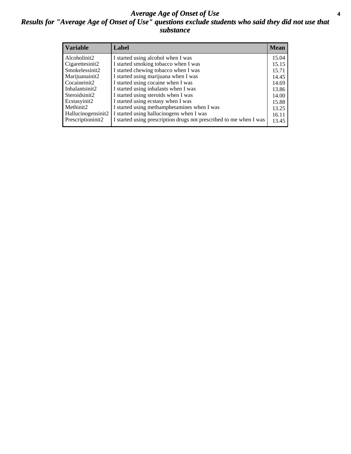#### *Average Age of Onset of Use* **4** *Results for "Average Age of Onset of Use" questions exclude students who said they did not use that substance*

| <b>Variable</b>    | Label                                                              | <b>Mean</b> |
|--------------------|--------------------------------------------------------------------|-------------|
| Alcoholinit2       | I started using alcohol when I was                                 | 15.04       |
| Cigarettesinit2    | I started smoking tobacco when I was                               | 15.15       |
| Smokelessinit2     | I started chewing tobacco when I was                               | 15.71       |
| Marijuanainit2     | I started using marijuana when I was                               | 14.45       |
| Cocaineinit2       | I started using cocaine when I was                                 | 14.69       |
| Inhalantsinit2     | I started using inhalants when I was                               | 13.86       |
| Steroidsinit2      | I started using steroids when I was                                | 14.00       |
| Ecstasyinit2       | I started using ecstasy when I was                                 | 15.88       |
| Methinit2          | I started using methamphetamines when I was                        | 13.25       |
| Hallucinogensinit2 | I started using hallucinogens when I was                           | 16.11       |
| Prescriptioninit2  | I started using prescription drugs not prescribed to me when I was | 13.45       |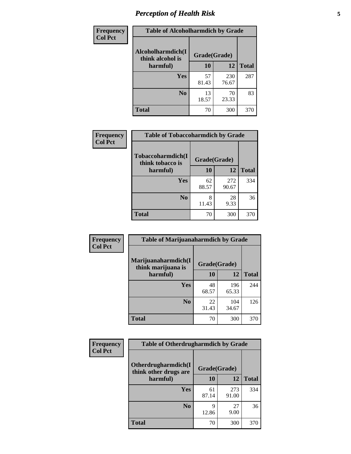## *Perception of Health Risk* **5**

| Frequency      | <b>Table of Alcoholharmdich by Grade</b> |              |              |              |  |
|----------------|------------------------------------------|--------------|--------------|--------------|--|
| <b>Col Pct</b> | Alcoholharmdich(I<br>think alcohol is    | Grade(Grade) |              |              |  |
|                | harmful)                                 | 10           | 12           | <b>Total</b> |  |
|                | Yes                                      | 57<br>81.43  | 230<br>76.67 | 287          |  |
|                | N <sub>0</sub>                           | 13<br>18.57  | 70<br>23.33  | 83           |  |
|                | <b>Total</b>                             | 70           | 300          | 370          |  |

| Frequency | <b>Table of Tobaccoharmdich by Grade</b> |              |              |              |  |
|-----------|------------------------------------------|--------------|--------------|--------------|--|
| Col Pct   | Tobaccoharmdich(I<br>think tobacco is    | Grade(Grade) |              |              |  |
|           | harmful)                                 | 10           | 12           | <b>Total</b> |  |
|           | Yes                                      | 62<br>88.57  | 272<br>90.67 | 334          |  |
|           | N <sub>0</sub>                           | 8<br>11.43   | 28<br>9.33   | 36           |  |
|           | <b>Total</b>                             | 70           | 300          | 370          |  |

| <b>Frequency</b> | <b>Table of Marijuanaharmdich by Grade</b> |              |              |              |  |  |
|------------------|--------------------------------------------|--------------|--------------|--------------|--|--|
| <b>Col Pct</b>   | Marijuanaharmdich(I<br>think marijuana is  | Grade(Grade) |              |              |  |  |
|                  | harmful)                                   | 10           | 12           | <b>Total</b> |  |  |
|                  | Yes                                        | 48<br>68.57  | 196<br>65.33 | 244          |  |  |
|                  | N <sub>0</sub>                             | 22<br>31.43  | 104<br>34.67 | 126          |  |  |
|                  | <b>Total</b>                               | 70           | 300          | 370          |  |  |

| <b>Frequency</b> | <b>Table of Otherdrugharmdich by Grade</b>   |              |              |              |  |
|------------------|----------------------------------------------|--------------|--------------|--------------|--|
| <b>Col Pct</b>   | Otherdrugharmdich(I<br>think other drugs are | Grade(Grade) |              |              |  |
|                  | harmful)                                     | 10           | 12           | <b>Total</b> |  |
|                  | <b>Yes</b>                                   | 61<br>87.14  | 273<br>91.00 | 334          |  |
|                  | N <sub>0</sub>                               | Q<br>12.86   | 27<br>9.00   | 36           |  |
|                  | <b>Total</b>                                 | 70           | 300          | 370          |  |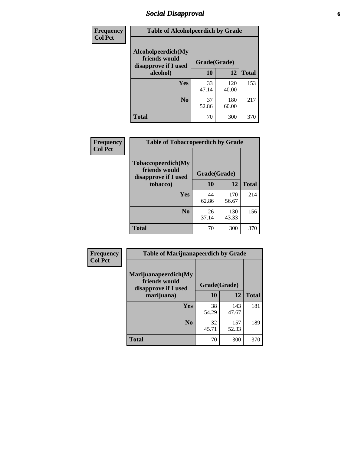### *Social Disapproval* **6**

| <b>Frequency</b> | <b>Table of Alcoholpeerdich by Grade</b>                    |              |              |              |
|------------------|-------------------------------------------------------------|--------------|--------------|--------------|
| <b>Col Pct</b>   | Alcoholpeerdich(My<br>friends would<br>disapprove if I used | Grade(Grade) |              |              |
|                  | alcohol)                                                    | 10           | 12           | <b>Total</b> |
|                  | <b>Yes</b>                                                  | 33<br>47.14  | 120<br>40.00 | 153          |
|                  | N <sub>0</sub>                                              | 37<br>52.86  | 180<br>60.00 | 217          |
|                  | <b>Total</b>                                                | 70           | 300          | 370          |

| <b>Frequency</b> |
|------------------|
| <b>Col Pct</b>   |

| <b>Table of Tobaccopeerdich by Grade</b>                    |              |              |              |  |  |
|-------------------------------------------------------------|--------------|--------------|--------------|--|--|
| Tobaccopeerdich(My<br>friends would<br>disapprove if I used | Grade(Grade) |              |              |  |  |
| tobacco)                                                    | 10           | 12           | <b>Total</b> |  |  |
| Yes                                                         | 44<br>62.86  | 170<br>56.67 | 214          |  |  |
| N <sub>0</sub>                                              | 26<br>37.14  | 130<br>43.33 | 156          |  |  |
| <b>Total</b>                                                | 70           | 300          | 370          |  |  |

| Frequency      | <b>Table of Marijuanapeerdich by Grade</b>                    |              |              |              |  |
|----------------|---------------------------------------------------------------|--------------|--------------|--------------|--|
| <b>Col Pct</b> | Marijuanapeerdich(My<br>friends would<br>disapprove if I used | Grade(Grade) |              |              |  |
|                | marijuana)                                                    | 10           | 12           | <b>Total</b> |  |
|                | <b>Yes</b>                                                    | 38<br>54.29  | 143<br>47.67 | 181          |  |
|                | N <sub>0</sub>                                                | 32<br>45.71  | 157<br>52.33 | 189          |  |
|                | <b>Total</b>                                                  | 70           | 300          | 370          |  |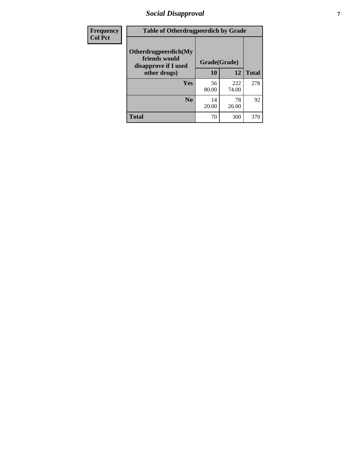## *Social Disapproval* **7**

| Frequency      | <b>Table of Otherdrugpeerdich by Grade</b>                    |              |              |              |  |
|----------------|---------------------------------------------------------------|--------------|--------------|--------------|--|
| <b>Col Pct</b> | Otherdrugpeerdich(My<br>friends would<br>disapprove if I used | Grade(Grade) |              |              |  |
|                | other drugs)                                                  | 10           | 12           | <b>Total</b> |  |
|                | Yes                                                           | 56<br>80.00  | 222<br>74.00 | 278          |  |
|                | N <sub>0</sub>                                                | 14<br>20.00  | 78<br>26.00  | 92           |  |
|                | <b>Total</b>                                                  | 70           | 300          | 370          |  |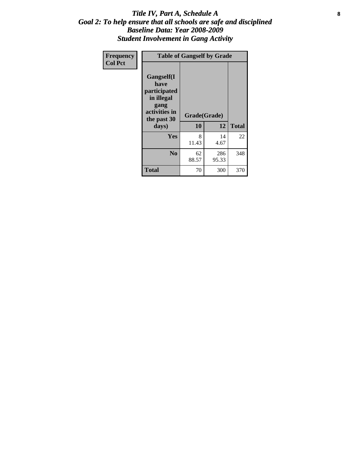#### Title IV, Part A, Schedule A **8** *Goal 2: To help ensure that all schools are safe and disciplined Baseline Data: Year 2008-2009 Student Involvement in Gang Activity*

| Frequency      | <b>Table of Gangself by Grade</b>                                                                 |                    |              |              |
|----------------|---------------------------------------------------------------------------------------------------|--------------------|--------------|--------------|
| <b>Col Pct</b> | Gangself(I<br>have<br>participated<br>in illegal<br>gang<br>activities in<br>the past 30<br>days) | Grade(Grade)<br>10 | 12           | <b>Total</b> |
|                | Yes                                                                                               | 8<br>11.43         | 14<br>4.67   | 22           |
|                | N <sub>0</sub>                                                                                    | 62<br>88.57        | 286<br>95.33 | 348          |
|                | <b>Total</b>                                                                                      | 70                 | 300          | 370          |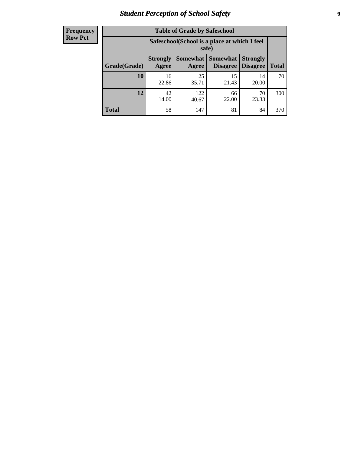## *Student Perception of School Safety* **9**

| <b>Frequency</b><br>Row Pct |
|-----------------------------|
|                             |

| <b>Table of Grade by Safeschool</b> |                          |                                                        |                             |                                    |              |  |
|-------------------------------------|--------------------------|--------------------------------------------------------|-----------------------------|------------------------------------|--------------|--|
|                                     |                          | Safeschool (School is a place at which I feel<br>safe) |                             |                                    |              |  |
| Grade(Grade)                        | <b>Strongly</b><br>Agree | Somewhat  <br>Agree                                    | <b>Somewhat</b><br>Disagree | <b>Strongly</b><br><b>Disagree</b> | <b>Total</b> |  |
| 10                                  | 16<br>22.86              | 25<br>35.71                                            | 15<br>21.43                 | 14<br>20.00                        | 70           |  |
| 12                                  | 42<br>14.00              | 122<br>40.67                                           | 66<br>22.00                 | 70<br>23.33                        | 300          |  |
| <b>Total</b>                        | 58                       | 147                                                    | 81                          | 84                                 | 370          |  |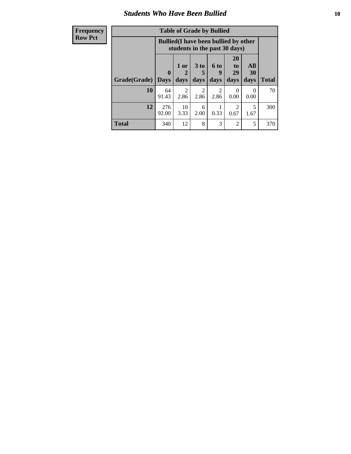#### *Students Who Have Been Bullied* **10**

| <b>Frequency</b> | <b>Table of Grade by Bullied</b> |              |                                                                               |                        |                        |                       |                  |              |
|------------------|----------------------------------|--------------|-------------------------------------------------------------------------------|------------------------|------------------------|-----------------------|------------------|--------------|
| <b>Row Pct</b>   |                                  |              | <b>Bullied</b> (I have been bullied by other<br>students in the past 30 days) |                        |                        |                       |                  |              |
|                  | Grade(Grade)                     | $\mathbf{0}$ | 1 or<br>2                                                                     | 3 <sub>to</sub>        | 6 to<br>9              | <b>20</b><br>to<br>29 | All<br>30        | <b>Total</b> |
|                  |                                  | <b>Days</b>  | days                                                                          | days                   | days                   | days                  | days             |              |
|                  | 10                               | 64<br>91.43  | $\mathfrak{D}$<br>2.86                                                        | $\mathfrak{D}$<br>2.86 | $\mathfrak{D}$<br>2.86 | 0<br>0.00             | $\Omega$<br>0.00 | 70           |
|                  | 12                               | 276<br>92.00 | 10<br>3.33                                                                    | 6<br>2.00              | 0.33                   | $\mathcal{D}$<br>0.67 | 5<br>1.67        | 300          |
|                  | <b>Total</b>                     | 340          | 12                                                                            | 8                      | 3                      | 2                     | 5                | 370          |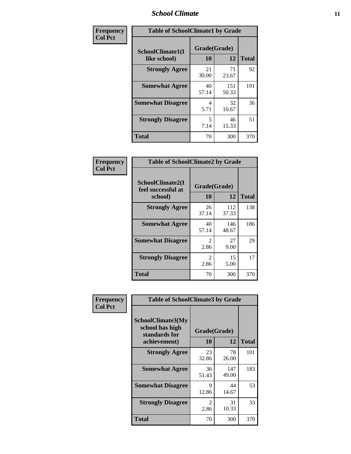#### *School Climate* **11**

| <b>Frequency</b> | <b>Table of SchoolClimate1 by Grade</b> |                    |              |              |  |
|------------------|-----------------------------------------|--------------------|--------------|--------------|--|
| <b>Col Pct</b>   | SchoolClimate1(I<br>like school)        | Grade(Grade)<br>10 | 12           | <b>Total</b> |  |
|                  | <b>Strongly Agree</b>                   | 21<br>30.00        | 71<br>23.67  | 92           |  |
|                  | <b>Somewhat Agree</b>                   | 40<br>57.14        | 151<br>50.33 | 191          |  |
|                  | <b>Somewhat Disagree</b>                | 4<br>5.71          | 32<br>10.67  | 36           |  |
|                  | <b>Strongly Disagree</b>                | 5<br>7.14          | 46<br>15.33  | 51           |  |
|                  | <b>Total</b>                            | 70                 | 300          | 370          |  |

| Frequency      | <b>Table of SchoolClimate2 by Grade</b>           |                        |              |              |
|----------------|---------------------------------------------------|------------------------|--------------|--------------|
| <b>Col Pct</b> | SchoolClimate2(I<br>feel successful at<br>school) | Grade(Grade)<br>10     | 12           | <b>Total</b> |
|                | <b>Strongly Agree</b>                             | 26<br>37.14            | 112<br>37.33 | 138          |
|                | <b>Somewhat Agree</b>                             | 40<br>57.14            | 146<br>48.67 | 186          |
|                | <b>Somewhat Disagree</b>                          | $\mathfrak{D}$<br>2.86 | 27<br>9.00   | 29           |
|                | <b>Strongly Disagree</b>                          | $\mathfrak{D}$<br>2.86 | 15<br>5.00   | 17           |
|                | <b>Total</b>                                      | 70                     | 300          | 370          |

| Frequency | <b>Table of SchoolClimate3 by Grade</b>                                      |                           |              |              |
|-----------|------------------------------------------------------------------------------|---------------------------|--------------|--------------|
| Col Pct   | <b>SchoolClimate3(My</b><br>school has high<br>standards for<br>achievement) | Grade(Grade)<br><b>10</b> | 12           | <b>Total</b> |
|           |                                                                              |                           |              |              |
|           | <b>Strongly Agree</b>                                                        | 23<br>32.86               | 78<br>26.00  | 101          |
|           | <b>Somewhat Agree</b>                                                        | 36<br>51.43               | 147<br>49.00 | 183          |
|           | <b>Somewhat Disagree</b>                                                     | 9<br>12.86                | 44<br>14.67  | 53           |
|           | <b>Strongly Disagree</b>                                                     | $\mathfrak{D}$<br>2.86    | 31<br>10.33  | 33           |
|           | Total                                                                        | 70                        | 300          | 370          |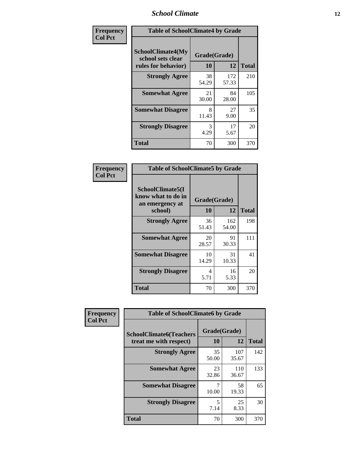#### *School Climate* **12**

| Frequency      | <b>Table of SchoolClimate4 by Grade</b>                       |                    |              |              |
|----------------|---------------------------------------------------------------|--------------------|--------------|--------------|
| <b>Col Pct</b> | SchoolClimate4(My<br>school sets clear<br>rules for behavior) | Grade(Grade)<br>10 | 12           | <b>Total</b> |
|                | <b>Strongly Agree</b>                                         | 38<br>54.29        | 172<br>57.33 | 210          |
|                | <b>Somewhat Agree</b>                                         | 21<br>30.00        | 84<br>28.00  | 105          |
|                | <b>Somewhat Disagree</b>                                      | 8<br>11.43         | 27<br>9.00   | 35           |
|                | <b>Strongly Disagree</b>                                      | 3<br>4.29          | 17<br>5.67   | 20           |
|                | <b>Total</b>                                                  | 70                 | 300          | 370          |

| <b>Table of SchoolClimate5 by Grade</b>                              |                    |              |     |  |  |
|----------------------------------------------------------------------|--------------------|--------------|-----|--|--|
| SchoolClimate5(I<br>know what to do in<br>an emergency at<br>school) | Grade(Grade)<br>10 | <b>Total</b> |     |  |  |
| <b>Strongly Agree</b>                                                | 36<br>51.43        | 162<br>54.00 | 198 |  |  |
| <b>Somewhat Agree</b>                                                | 20<br>28.57        | 91<br>30.33  | 111 |  |  |
| <b>Somewhat Disagree</b>                                             | 10<br>14.29        | 31<br>10.33  | 41  |  |  |
| <b>Strongly Disagree</b>                                             | 4<br>5.71          | 16<br>5.33   | 20  |  |  |
| <b>Total</b>                                                         | 70                 | 300          | 370 |  |  |

| Frequency      | <b>Table of SchoolClimate6 by Grade</b>                  |                    |              |              |
|----------------|----------------------------------------------------------|--------------------|--------------|--------------|
| <b>Col Pct</b> | <b>SchoolClimate6(Teachers</b><br>treat me with respect) | Grade(Grade)<br>10 | 12           | <b>Total</b> |
|                | <b>Strongly Agree</b>                                    | 35<br>50.00        | 107<br>35.67 | 142          |
|                | <b>Somewhat Agree</b>                                    | 23<br>32.86        | 110<br>36.67 | 133          |
|                | <b>Somewhat Disagree</b>                                 | 10.00              | 58<br>19.33  | 65           |
|                | <b>Strongly Disagree</b>                                 | 5<br>7.14          | 25<br>8.33   | 30           |
|                | <b>Total</b>                                             | 70                 | 300          | 370          |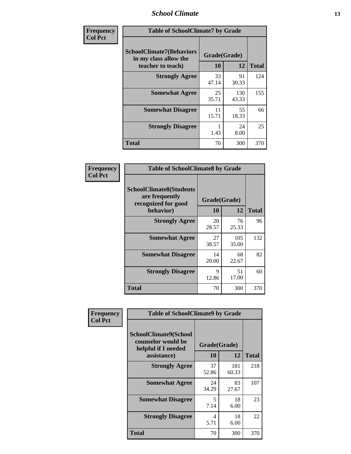#### *School Climate* **13**

| Frequency      | <b>Table of SchoolClimate7 by Grade</b>                                       |                    |              |              |
|----------------|-------------------------------------------------------------------------------|--------------------|--------------|--------------|
| <b>Col Pct</b> | <b>SchoolClimate7(Behaviors</b><br>in my class allow the<br>teacher to teach) | Grade(Grade)<br>10 | 12           | <b>Total</b> |
|                | <b>Strongly Agree</b>                                                         | 33<br>47.14        | 91<br>30.33  | 124          |
|                | <b>Somewhat Agree</b>                                                         | 25<br>35.71        | 130<br>43.33 | 155          |
|                | <b>Somewhat Disagree</b>                                                      | 11<br>15.71        | 55<br>18.33  | 66           |
|                | <b>Strongly Disagree</b>                                                      | 1.43               | 24<br>8.00   | 25           |
|                | <b>Total</b>                                                                  | 70                 | 300          | 370          |

| Frequency      | <b>Table of SchoolClimate8 by Grade</b>                                 |              |              |              |
|----------------|-------------------------------------------------------------------------|--------------|--------------|--------------|
| <b>Col Pct</b> | <b>SchoolClimate8(Students</b><br>are frequently<br>recognized for good | Grade(Grade) |              |              |
|                | behavior)                                                               | 10           | 12           | <b>Total</b> |
|                | <b>Strongly Agree</b>                                                   | 20<br>28.57  | 76<br>25.33  | 96           |
|                | <b>Somewhat Agree</b>                                                   | 27<br>38.57  | 105<br>35.00 | 132          |
|                | <b>Somewhat Disagree</b>                                                | 14<br>20.00  | 68<br>22.67  | 82           |
|                | <b>Strongly Disagree</b>                                                | 9<br>12.86   | 51<br>17.00  | 60           |
|                | <b>Total</b>                                                            | 70           | 300          | 370          |

| <b>Frequency</b> | <b>Table of SchoolClimate9 by Grade</b>                                           |                    |              |              |
|------------------|-----------------------------------------------------------------------------------|--------------------|--------------|--------------|
| <b>Col Pct</b>   | SchoolClimate9(School<br>counselor would be<br>helpful if I needed<br>assistance) | Grade(Grade)<br>10 | 12           | <b>Total</b> |
|                  | <b>Strongly Agree</b>                                                             | 37<br>52.86        | 181<br>60.33 | 218          |
|                  | <b>Somewhat Agree</b>                                                             | 24<br>34.29        | 83<br>27.67  | 107          |
|                  | <b>Somewhat Disagree</b>                                                          | 5<br>7.14          | 18<br>6.00   | 23           |
|                  | <b>Strongly Disagree</b>                                                          | 4<br>5.71          | 18<br>6.00   | 22           |
|                  | Total                                                                             | 70                 | 300          | 370          |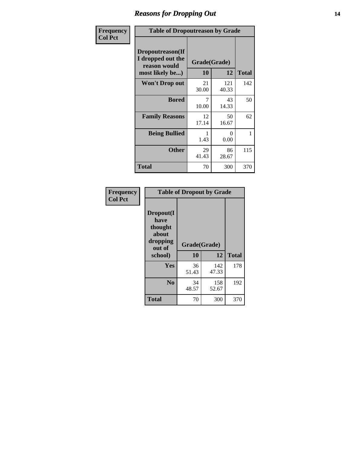### *Reasons for Dropping Out* **14**

| Frequency      | <b>Table of Dropoutreason by Grade</b>                                   |                    |              |              |
|----------------|--------------------------------------------------------------------------|--------------------|--------------|--------------|
| <b>Col Pct</b> | Dropoutreason(If<br>I dropped out the<br>reason would<br>most likely be) | Grade(Grade)<br>10 | 12           | <b>Total</b> |
|                | <b>Won't Drop out</b>                                                    | 21<br>30.00        | 121<br>40.33 | 142          |
|                | <b>Bored</b>                                                             | 7<br>10.00         | 43<br>14.33  | 50           |
|                | <b>Family Reasons</b>                                                    | 12<br>17.14        | 50<br>16.67  | 62           |
|                | <b>Being Bullied</b>                                                     | 1<br>1.43          | 0<br>0.00    | 1            |
|                | <b>Other</b>                                                             | 29<br>41.43        | 86<br>28.67  | 115          |
|                | <b>Total</b>                                                             | 70                 | 300          | 370          |

| Frequency<br><b>Col Pct</b> | <b>Table of Dropout by Grade</b>                            |              |              |              |  |
|-----------------------------|-------------------------------------------------------------|--------------|--------------|--------------|--|
|                             | Dropout(I<br>have<br>thought<br>about<br>dropping<br>out of | Grade(Grade) |              |              |  |
|                             | school)                                                     | 10           | 12           | <b>Total</b> |  |
|                             | <b>Yes</b>                                                  | 36<br>51.43  | 142<br>47.33 | 178          |  |
|                             | N <sub>0</sub>                                              | 34<br>48.57  | 158<br>52.67 | 192          |  |
|                             | <b>Total</b>                                                | 70           | 300          | 370          |  |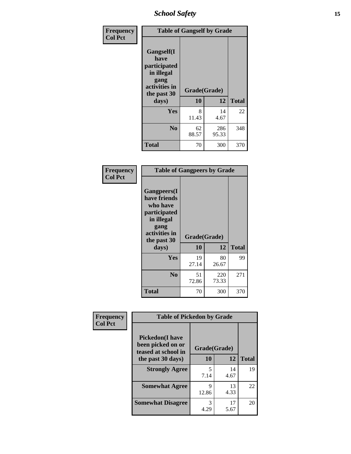*School Safety* **15**

| Frequency      | <b>Table of Gangself by Grade</b>                                                                 |                    |              |              |
|----------------|---------------------------------------------------------------------------------------------------|--------------------|--------------|--------------|
| <b>Col Pct</b> | Gangself(I<br>have<br>participated<br>in illegal<br>gang<br>activities in<br>the past 30<br>days) | Grade(Grade)<br>10 | 12           | <b>Total</b> |
|                | Yes                                                                                               | 8<br>11.43         | 14<br>4.67   | 22           |
|                | N <sub>0</sub>                                                                                    | 62<br>88.57        | 286<br>95.33 | 348          |
|                | <b>Total</b>                                                                                      | 70                 | 300          | 370          |

| Frequency<br><b>Col Pct</b> | <b>Table of Gangpeers by Grade</b>                                                                                             |                    |              |              |
|-----------------------------|--------------------------------------------------------------------------------------------------------------------------------|--------------------|--------------|--------------|
|                             | <b>Gangpeers</b> (I<br>have friends<br>who have<br>participated<br>in illegal<br>gang<br>activities in<br>the past 30<br>days) | Grade(Grade)<br>10 | 12           | <b>Total</b> |
|                             | <b>Yes</b>                                                                                                                     | 19<br>27.14        | 80<br>26.67  | 99           |
|                             | N <sub>0</sub>                                                                                                                 | 51<br>72.86        | 220<br>73.33 | 271          |
|                             | <b>Total</b>                                                                                                                   | 70                 | 300          | 370          |

| Frequency      | <b>Table of Pickedon by Grade</b>                                  |              |            |              |
|----------------|--------------------------------------------------------------------|--------------|------------|--------------|
| <b>Col Pct</b> | <b>Pickedon(I have</b><br>been picked on or<br>teased at school in | Grade(Grade) |            |              |
|                | the past 30 days)                                                  | 10           | 12         | <b>Total</b> |
|                | <b>Strongly Agree</b>                                              | 5<br>7.14    | 14<br>4.67 | 19           |
|                | <b>Somewhat Agree</b>                                              | Q<br>12.86   | 13<br>4.33 | 22           |
|                | <b>Somewhat Disagree</b>                                           | 3<br>4.29    | 17<br>5.67 | 20           |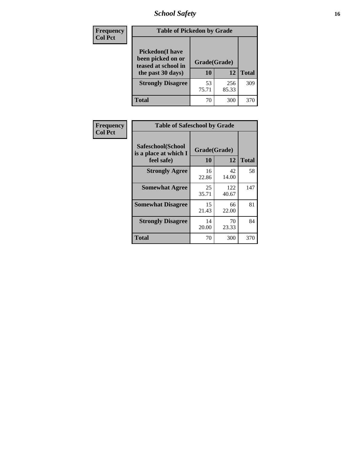## *School Safety* **16**

| <b>Frequency</b> |                                                                                          | <b>Table of Pickedon by Grade</b> |              |              |  |  |  |  |  |  |
|------------------|------------------------------------------------------------------------------------------|-----------------------------------|--------------|--------------|--|--|--|--|--|--|
| <b>Col Pct</b>   | <b>Pickedon</b> (I have<br>been picked on or<br>teased at school in<br>the past 30 days) | Grade(Grade)<br>10                | 12           | <b>Total</b> |  |  |  |  |  |  |
|                  | <b>Strongly Disagree</b>                                                                 | 53<br>75.71                       | 256<br>85.33 | 309          |  |  |  |  |  |  |
|                  | Total                                                                                    | 70                                | 300          | 370          |  |  |  |  |  |  |

| Frequency      | <b>Table of Safeschool by Grade</b>                      |                    |              |              |
|----------------|----------------------------------------------------------|--------------------|--------------|--------------|
| <b>Col Pct</b> | Safeschool(School<br>is a place at which I<br>feel safe) | Grade(Grade)<br>10 | 12           | <b>Total</b> |
|                | <b>Strongly Agree</b>                                    | 16<br>22.86        | 42<br>14.00  | 58           |
|                | <b>Somewhat Agree</b>                                    | 25<br>35.71        | 122<br>40.67 | 147          |
|                | <b>Somewhat Disagree</b>                                 | 15<br>21.43        | 66<br>22.00  | 81           |
|                | <b>Strongly Disagree</b>                                 | 14<br>20.00        | 70<br>23.33  | 84           |
|                | Total                                                    | 70                 | 300          | 370          |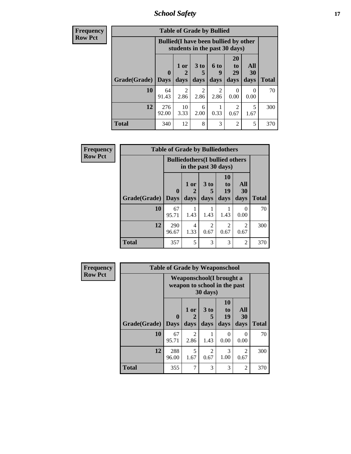*School Safety* **17**

| <b>Frequency</b> |                                                                               |              | <b>Table of Grade by Bullied</b> |                              |                        |                               |                          |              |  |
|------------------|-------------------------------------------------------------------------------|--------------|----------------------------------|------------------------------|------------------------|-------------------------------|--------------------------|--------------|--|
| <b>Row Pct</b>   | <b>Bullied</b> (I have been bullied by other<br>students in the past 30 days) |              |                                  |                              |                        |                               |                          |              |  |
|                  | Grade(Grade)   Days                                                           | $\mathbf 0$  | 1 or<br>days                     | 3 <sub>to</sub><br>5<br>days | 6 to<br>9<br>days      | <b>20</b><br>to<br>29<br>days | All<br><b>30</b><br>days | <b>Total</b> |  |
|                  | 10                                                                            | 64<br>91.43  | $\mathfrak{D}$<br>2.86           | $\mathfrak{D}$<br>2.86       | $\mathfrak{D}$<br>2.86 | 0<br>0.00                     | 0<br>0.00                | 70           |  |
|                  | 12                                                                            | 276<br>92.00 | 10<br>3.33                       | 6<br>2.00                    | 0.33                   | 2<br>0.67                     | 5<br>1.67                | 300          |  |
|                  | <b>Total</b>                                                                  | 340          | 12                               | 8                            | 3                      | $\overline{2}$                | 5                        | 370          |  |

| <b>Frequency</b> |              | <b>Table of Grade by Bulliedothers</b>                         |              |                       |                               |                        |              |
|------------------|--------------|----------------------------------------------------------------|--------------|-----------------------|-------------------------------|------------------------|--------------|
| <b>Row Pct</b>   |              | <b>Bulliedothers</b> (I bullied others<br>in the past 30 days) |              |                       |                               |                        |              |
|                  | Grade(Grade) | $\mathbf 0$<br><b>Days</b>                                     | 1 or<br>days | $3$ to<br>days        | <b>10</b><br>to<br>19<br>days | All<br>30<br>days      | <b>Total</b> |
|                  | 10           | 67<br>95.71                                                    | 1.43         | 1.43                  | 1.43                          | $\theta$<br>0.00       | 70           |
|                  | 12           | 290<br>96.67                                                   | 4<br>1.33    | $\mathcal{D}$<br>0.67 | 2<br>0.67                     | $\mathfrak{D}$<br>0.67 | 300          |
|                  | <b>Total</b> | 357                                                            | 5            | 3                     | 3                             | $\overline{2}$         | 370          |

| <b>Frequency</b> |              | <b>Table of Grade by Weaponschool</b>                     |                        |                              |                        |                   |              |
|------------------|--------------|-----------------------------------------------------------|------------------------|------------------------------|------------------------|-------------------|--------------|
| <b>Row Pct</b>   |              | Weaponschool (I brought a<br>weapon to school in the past |                        |                              |                        |                   |              |
|                  | Grade(Grade) | $\bf{0}$<br><b>Days</b>                                   | 1 or<br>2<br>days      | 3 <sub>to</sub><br>5<br>days | 10<br>to<br>19<br>days | All<br>30<br>days | <b>Total</b> |
|                  | 10           | 67<br>95.71                                               | $\overline{2}$<br>2.86 | 1.43                         | $\Omega$<br>0.00       | 0<br>0.00         | 70           |
|                  | 12           | 288<br>96.00                                              | 5<br>1.67              | 2<br>0.67                    | 3<br>1.00              | 2<br>0.67         | 300          |
|                  | <b>Total</b> | 355                                                       | 7                      | 3                            | 3                      | 2                 | 370          |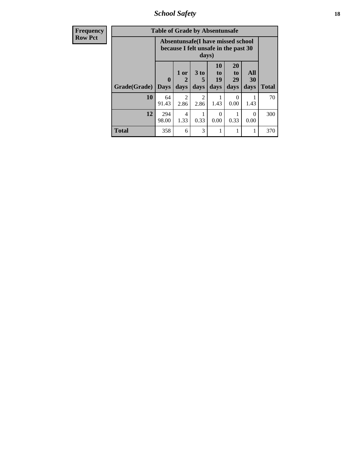*School Safety* **18**

| <b>Frequency</b> | <b>Table of Grade by Absentunsafe</b> |                            |                                                                           |                        |                        |                                           |                   |              |  |  |  |
|------------------|---------------------------------------|----------------------------|---------------------------------------------------------------------------|------------------------|------------------------|-------------------------------------------|-------------------|--------------|--|--|--|
| <b>Row Pct</b>   |                                       |                            | Absentunsafe(I have missed school<br>because I felt unsafe in the past 30 | days)                  |                        |                                           |                   |              |  |  |  |
|                  | Grade(Grade)                          | $\mathbf 0$<br><b>Days</b> | 1 or<br>$\mathbf{2}$<br>days                                              | 3 to<br>5<br>days      | 10<br>to<br>19<br>days | <b>20</b><br>t <sub>0</sub><br>29<br>days | All<br>30<br>days | <b>Total</b> |  |  |  |
|                  | 10                                    | 64<br>91.43                | $\mathfrak{D}$<br>2.86                                                    | $\mathfrak{D}$<br>2.86 | 1.43                   | 0<br>0.00                                 | 1.43              | 70           |  |  |  |
|                  | 12                                    | 294<br>98.00               | $\overline{4}$<br>1.33                                                    | 0.33                   | 0<br>0.00              | 0.33                                      | $\Omega$<br>0.00  | 300          |  |  |  |
|                  | <b>Total</b>                          | 358                        | 6                                                                         | 3                      |                        |                                           | 1                 | 370          |  |  |  |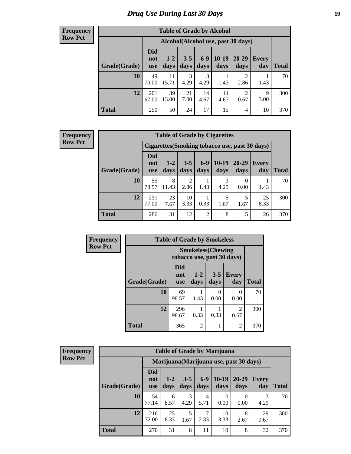### *Drug Use During Last 30 Days* **19**

#### **Frequency Row Pct**

| <b>Table of Grade by Alcohol</b> |                                 |                 |                 |               |                 |                                    |              |       |  |  |
|----------------------------------|---------------------------------|-----------------|-----------------|---------------|-----------------|------------------------------------|--------------|-------|--|--|
|                                  |                                 |                 |                 |               |                 | Alcohol(Alcohol use, past 30 days) |              |       |  |  |
| Grade(Grade)                     | <b>Did</b><br>not<br><b>use</b> | $1 - 2$<br>days | $3 - 5$<br>days | $6-9$<br>days | $10-19$<br>days | 20-29<br>days                      | Every<br>day | Total |  |  |
| 10                               | 49<br>70.00                     | 11<br>15.71     | 3<br>4.29       | 3<br>4.29     | 1.43            | $\overline{2}$<br>2.86             | 1.43         | 70    |  |  |
| 12                               | 201<br>67.00                    | 39<br>13.00     | 21<br>7.00      | 14<br>4.67    | 14<br>4.67      | $\overline{2}$<br>0.67             | 9<br>3.00    | 300   |  |  |
| <b>Total</b>                     | 250                             | 50              | 24              | 17            | 15              | $\overline{4}$                     | 10           | 370   |  |  |

#### **Frequency Row Pct**

| <b>Table of Grade by Cigarettes</b> |                          |                 |                 |                 |                 |                   |                                                |              |  |  |
|-------------------------------------|--------------------------|-----------------|-----------------|-----------------|-----------------|-------------------|------------------------------------------------|--------------|--|--|
|                                     |                          |                 |                 |                 |                 |                   | Cigarettes (Smoking tobacco use, past 30 days) |              |  |  |
| Grade(Grade)                        | Did<br>not<br><b>use</b> | $1 - 2$<br>days | $3 - 5$<br>days | $6 - 9$<br>days | $10-19$<br>days | $20 - 29$<br>days | <b>Every</b><br>day                            | <b>Total</b> |  |  |
| 10                                  | 55<br>78.57              | 8<br>11.43      | 2<br>2.86       | 1.43            | 3<br>4.29       | 0.00              | 1.43                                           | 70           |  |  |
| 12                                  | 231<br>77.00             | 23<br>7.67      | 10<br>3.33      | 0.33            | 5<br>1.67       | 5<br>1.67         | 25<br>8.33                                     | 300          |  |  |
| <b>Total</b>                        | 286                      | 31              | 12              | $\overline{2}$  | 8               | 5                 | 26                                             | 370          |  |  |

| Frequency      |              | <b>Table of Grade by Smokeless</b> |                                                         |                 |                        |              |  |  |
|----------------|--------------|------------------------------------|---------------------------------------------------------|-----------------|------------------------|--------------|--|--|
| <b>Row Pct</b> |              |                                    | <b>Smokeless</b> (Chewing<br>tobacco use, past 30 days) |                 |                        |              |  |  |
|                | Grade(Grade) | <b>Did</b><br>not<br><b>use</b>    | $1-2$<br>days                                           | $3 - 5$<br>days | <b>Every</b><br>day    | <b>Total</b> |  |  |
|                | 10           | 69<br>98.57                        | 1.43                                                    | 0<br>0.00       | 0<br>0.00              | 70           |  |  |
|                | 12           | 296<br>98.67                       | 0.33                                                    | 0.33            | $\overline{2}$<br>0.67 | 300          |  |  |
|                | <b>Total</b> | 365                                | $\overline{2}$                                          |                 | $\overline{c}$         | 370          |  |  |

| <b>Frequency</b> |  |
|------------------|--|
| <b>Row Pct</b>   |  |

| <b>Table of Grade by Marijuana</b> |                                 |                 |                 |               |                                         |                   |                     |              |  |  |
|------------------------------------|---------------------------------|-----------------|-----------------|---------------|-----------------------------------------|-------------------|---------------------|--------------|--|--|
|                                    |                                 |                 |                 |               | Marijuana (Marijuana use, past 30 days) |                   |                     |              |  |  |
| Grade(Grade)                       | <b>Did</b><br>not<br><b>use</b> | $1 - 2$<br>days | $3 - 5$<br>days | $6-9$<br>days | $10-19$<br>days                         | $20 - 29$<br>days | <b>Every</b><br>day | <b>Total</b> |  |  |
| <b>10</b>                          | 54<br>77.14                     | 6<br>8.57       | 3<br>4.29       | 4<br>5.71     | 0<br>0.00                               | 0.00              | 3<br>4.29           | 70           |  |  |
| 12                                 | 216<br>72.00                    | 25<br>8.33      | 5<br>1.67       | 7<br>2.33     | 10<br>3.33                              | 8<br>2.67         | 29<br>9.67          | 300          |  |  |
| <b>Total</b>                       | 270                             | 31              | 8               | 11            | 10                                      | 8                 | 32                  | 370          |  |  |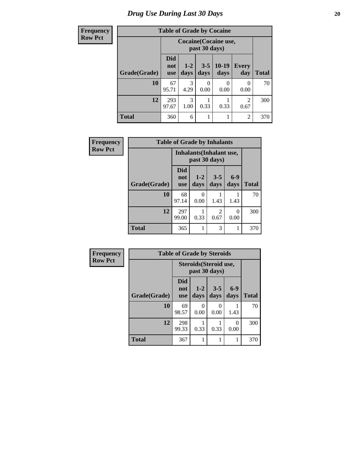### *Drug Use During Last 30 Days* 20

| Frequency      | <b>Table of Grade by Cocaine</b> |                                 |                                        |                  |                 |                     |              |  |  |  |
|----------------|----------------------------------|---------------------------------|----------------------------------------|------------------|-----------------|---------------------|--------------|--|--|--|
| <b>Row Pct</b> |                                  |                                 | Cocaine (Cocaine use,<br>past 30 days) |                  |                 |                     |              |  |  |  |
|                | Grade(Grade)                     | <b>Did</b><br>not<br><b>use</b> | $1 - 2$<br>days                        | $3 - 5$<br>days  | $10-19$<br>days | <b>Every</b><br>day | <b>Total</b> |  |  |  |
|                | 10                               | 67<br>95.71                     | 3<br>4.29                              | $\theta$<br>0.00 | 0.00            | $\Omega$<br>0.00    | 70           |  |  |  |
|                | 12                               | 293<br>97.67                    | $\mathcal{R}$<br>1.00                  | 0.33             | 0.33            | 2<br>0.67           | 300          |  |  |  |
|                | <b>Total</b>                     | 360                             | 6                                      |                  |                 | $\overline{2}$      | 370          |  |  |  |

| Frequency      | <b>Table of Grade by Inhalants</b> |                                 |                 |                                           |                  |              |  |
|----------------|------------------------------------|---------------------------------|-----------------|-------------------------------------------|------------------|--------------|--|
| <b>Row Pct</b> |                                    |                                 |                 | Inhalants (Inhalant use,<br>past 30 days) |                  |              |  |
|                | Grade(Grade)                       | <b>Did</b><br>not<br><b>use</b> | $1 - 2$<br>days | $3 - 5$<br>days                           | $6-9$<br>days    | <b>Total</b> |  |
|                | 10                                 | 68<br>97.14                     | 0<br>0.00       | 1.43                                      | 1.43             | 70           |  |
|                | 12                                 | 297<br>99.00                    | 0.33            | 2<br>0.67                                 | $\Omega$<br>0.00 | 300          |  |
|                | <b>Total</b>                       | 365                             |                 | 3                                         | 1                | 370          |  |

| Frequency      | <b>Table of Grade by Steroids</b>       |                          |                  |                  |               |              |  |  |
|----------------|-----------------------------------------|--------------------------|------------------|------------------|---------------|--------------|--|--|
| <b>Row Pct</b> | Steroids (Steroid use,<br>past 30 days) |                          |                  |                  |               |              |  |  |
|                | Grade(Grade)                            | Did<br>not<br><b>use</b> | $1 - 2$<br>days  | $3 - 5$<br>days  | $6-9$<br>days | <b>Total</b> |  |  |
|                | 10                                      | 69<br>98.57              | $\Omega$<br>0.00 | $\Omega$<br>0.00 | 1.43          | 70           |  |  |
|                | 12                                      | 298<br>99.33             | 0.33             | 0.33             | 0<br>0.00     | 300          |  |  |
|                | <b>Total</b>                            | 367                      |                  |                  |               | 370          |  |  |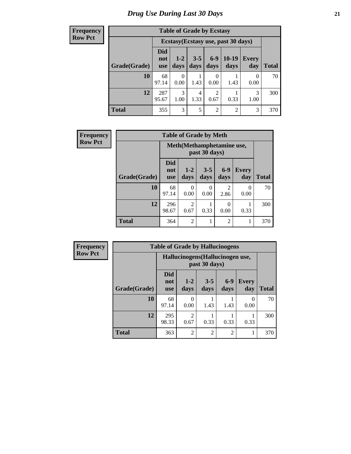**Frequency Row Pct**

| <b>Table of Grade by Ecstasy</b> |                                 |                                     |                 |                 |                 |                     |              |  |
|----------------------------------|---------------------------------|-------------------------------------|-----------------|-----------------|-----------------|---------------------|--------------|--|
|                                  |                                 | Ecstasy (Ecstasy use, past 30 days) |                 |                 |                 |                     |              |  |
| Grade(Grade)                     | <b>Did</b><br>not<br><b>use</b> | $1-2$<br>days                       | $3 - 5$<br>days | $6 - 9$<br>days | $10-19$<br>days | <b>Every</b><br>day | <b>Total</b> |  |
| 10                               | 68<br>97.14                     | 0<br>0.00                           | 1.43            | 0.00            | 1.43            | 0<br>0.00           | 70           |  |
| 12                               | 287<br>95.67                    | 3<br>1.00                           | 4<br>1.33       | 2<br>0.67       | 0.33            | 3<br>1.00           | 300          |  |
| <b>Total</b>                     | 355                             | 3                                   | 5               | $\overline{c}$  | 2               | 3                   | 370          |  |

| <b>Frequency</b> | <b>Table of Grade by Meth</b> |                          |                            |                  |                        |              |              |  |  |
|------------------|-------------------------------|--------------------------|----------------------------|------------------|------------------------|--------------|--------------|--|--|
| <b>Row Pct</b>   |                               |                          | Meth (Methamphetamine use, | past 30 days)    |                        |              |              |  |  |
|                  | Grade(Grade)                  | Did<br>not<br><b>use</b> | $1-2$<br>days              | $3 - 5$<br>days  | $6-9$<br>days          | Every<br>day | <b>Total</b> |  |  |
|                  | 10                            | 68<br>97.14              | 0<br>0.00                  | $\Omega$<br>0.00 | $\mathfrak{D}$<br>2.86 | 0<br>0.00    | 70           |  |  |
|                  | 12                            | 296<br>98.67             | $\overline{2}$<br>0.67     | 0.33             | 0<br>0.00              | 0.33         | 300          |  |  |
|                  | <b>Total</b>                  | 364                      | $\overline{2}$             |                  | $\overline{2}$         |              | 370          |  |  |

| <b>Frequency</b> | <b>Table of Grade by Hallucinogens</b> |                                 |                                  |                 |                |                     |              |  |
|------------------|----------------------------------------|---------------------------------|----------------------------------|-----------------|----------------|---------------------|--------------|--|
| <b>Row Pct</b>   |                                        |                                 | Hallucinogens (Hallucinogen use, | past 30 days)   |                |                     |              |  |
|                  | Grade(Grade)                           | <b>Did</b><br>not<br><b>use</b> | $1 - 2$<br>days                  | $3 - 5$<br>days | $6-9$<br>days  | <b>Every</b><br>day | <b>Total</b> |  |
|                  | 10                                     | 68<br>97.14                     | 0.00                             | 1.43            | 1.43           | 0<br>0.00           | 70           |  |
|                  | 12                                     | 295<br>98.33                    | $\mathfrak{D}$<br>0.67           | 0.33            | 0.33           | 0.33                | 300          |  |
|                  | <b>Total</b>                           | 363                             | $\mathfrak{D}$                   | $\overline{2}$  | $\overline{2}$ |                     | 370          |  |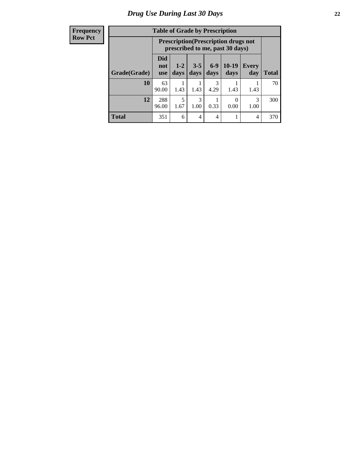#### **Frequency Row Pct**

| <b>Table of Grade by Prescription</b> |                                                                     |                                                                                                      |      |           |      |      |     |  |
|---------------------------------------|---------------------------------------------------------------------|------------------------------------------------------------------------------------------------------|------|-----------|------|------|-----|--|
|                                       |                                                                     | <b>Prescription</b> (Prescription drugs not<br>prescribed to me, past 30 days)                       |      |           |      |      |     |  |
| Grade(Grade)                          | <b>Did</b><br>not<br><b>use</b>                                     | $6 - 9$<br>10-19<br>$1-2$<br>$3 - 5$<br>Every<br><b>Total</b><br>days<br>days<br>day<br>days<br>days |      |           |      |      |     |  |
| 10                                    | 63<br>90.00                                                         | 1.43                                                                                                 | 1.43 | 3<br>4.29 | 1.43 | 1.43 | 70  |  |
| 12                                    | 5<br>3<br>3<br>288<br>1.00<br>0.33<br>0.00<br>1.00<br>96.00<br>1.67 |                                                                                                      |      |           |      |      |     |  |
| <b>Total</b>                          | 351                                                                 | 6                                                                                                    | 4    | 4         |      | 4    | 370 |  |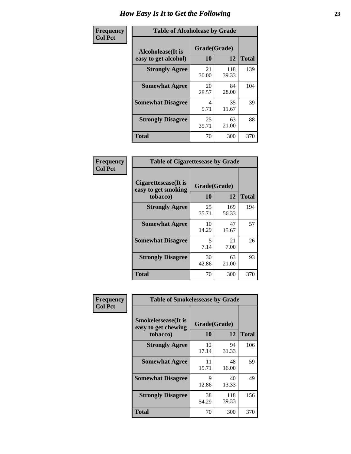| Frequency      | <b>Table of Alcoholease by Grade</b>              |                    |              |              |  |
|----------------|---------------------------------------------------|--------------------|--------------|--------------|--|
| <b>Col Pct</b> | <b>Alcoholease</b> (It is<br>easy to get alcohol) | Grade(Grade)<br>10 | 12           | <b>Total</b> |  |
|                | <b>Strongly Agree</b>                             | 21<br>30.00        | 118<br>39.33 | 139          |  |
|                | <b>Somewhat Agree</b>                             | 20<br>28.57        | 84<br>28.00  | 104          |  |
|                | <b>Somewhat Disagree</b>                          | 4<br>5.71          | 35<br>11.67  | 39           |  |
|                | <b>Strongly Disagree</b>                          | 25<br>35.71        | 63<br>21.00  | 88           |  |
|                | <b>Total</b>                                      | 70                 | 300          | 370          |  |

| Frequency      | <b>Table of Cigarettesease by Grade</b>                  |                    |              |              |  |
|----------------|----------------------------------------------------------|--------------------|--------------|--------------|--|
| <b>Col Pct</b> | Cigarettesease (It is<br>easy to get smoking<br>tobacco) | Grade(Grade)<br>10 | 12           | <b>Total</b> |  |
|                | <b>Strongly Agree</b>                                    | 25<br>35.71        | 169<br>56.33 | 194          |  |
|                | <b>Somewhat Agree</b>                                    | 10<br>14.29        | 47<br>15.67  | 57           |  |
|                | <b>Somewhat Disagree</b>                                 | 5<br>7.14          | 21<br>7.00   | 26           |  |
|                | <b>Strongly Disagree</b>                                 | 30<br>42.86        | 63<br>21.00  | 93           |  |
|                | <b>Total</b>                                             | 70                 | 300          | 370          |  |

| Frequency      | <b>Table of Smokelessease by Grade</b>             |              |              |              |
|----------------|----------------------------------------------------|--------------|--------------|--------------|
| <b>Col Pct</b> | <b>Smokelessease</b> (It is<br>easy to get chewing | Grade(Grade) |              |              |
|                | tobacco)                                           | 10           | 12           | <b>Total</b> |
|                | <b>Strongly Agree</b>                              | 12<br>17.14  | 94<br>31.33  | 106          |
|                | <b>Somewhat Agree</b>                              | 11<br>15.71  | 48<br>16.00  | 59           |
|                | <b>Somewhat Disagree</b>                           | 9<br>12.86   | 40<br>13.33  | 49           |
|                | <b>Strongly Disagree</b>                           | 38<br>54.29  | 118<br>39.33 | 156          |
|                | Total                                              | 70           | 300          | 370          |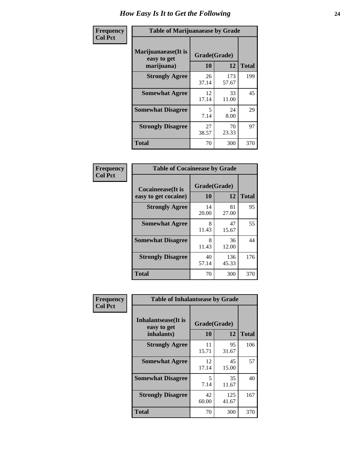| Frequency      | <b>Table of Marijuanaease by Grade</b>            |                           |              |              |  |
|----------------|---------------------------------------------------|---------------------------|--------------|--------------|--|
| <b>Col Pct</b> | Marijuanaease (It is<br>easy to get<br>marijuana) | Grade(Grade)<br><b>10</b> | 12           | <b>Total</b> |  |
|                | <b>Strongly Agree</b>                             | 26<br>37.14               | 173<br>57.67 | 199          |  |
|                | <b>Somewhat Agree</b>                             | 12<br>17.14               | 33<br>11.00  | 45           |  |
|                | <b>Somewhat Disagree</b>                          | 5<br>7.14                 | 24<br>8.00   | 29           |  |
|                | <b>Strongly Disagree</b>                          | 27<br>38.57               | 70<br>23.33  | 97           |  |
|                | <b>Total</b>                                      | 70                        | 300          | 370          |  |

|                           | <b>Table of Cocaineease by Grade</b> |              |              |  |  |  |  |
|---------------------------|--------------------------------------|--------------|--------------|--|--|--|--|
| <b>Cocaineease</b> (It is | Grade(Grade)                         |              |              |  |  |  |  |
| easy to get cocaine)      | 10                                   | 12           | <b>Total</b> |  |  |  |  |
| <b>Strongly Agree</b>     | 14<br>20.00                          | 81<br>27.00  | 95           |  |  |  |  |
| <b>Somewhat Agree</b>     | 8<br>11.43                           | 47<br>15.67  | 55           |  |  |  |  |
| <b>Somewhat Disagree</b>  | 8<br>11.43                           | 36<br>12.00  | 44           |  |  |  |  |
| <b>Strongly Disagree</b>  | 40<br>57.14                          | 136<br>45.33 | 176          |  |  |  |  |
| <b>Total</b>              | 70                                   | 300          | 370          |  |  |  |  |

| Frequency      | <b>Table of Inhalantsease by Grade</b>                   |                           |              |              |  |  |
|----------------|----------------------------------------------------------|---------------------------|--------------|--------------|--|--|
| <b>Col Pct</b> | <b>Inhalantsease</b> (It is<br>easy to get<br>inhalants) | Grade(Grade)<br><b>10</b> | 12           | <b>Total</b> |  |  |
|                | <b>Strongly Agree</b>                                    | 11<br>15.71               | 95<br>31.67  | 106          |  |  |
|                | <b>Somewhat Agree</b>                                    | 12<br>17.14               | 45<br>15.00  | 57           |  |  |
|                | <b>Somewhat Disagree</b>                                 | 5<br>7.14                 | 35<br>11.67  | 40           |  |  |
|                | <b>Strongly Disagree</b>                                 | 42<br>60.00               | 125<br>41.67 | 167          |  |  |
|                | <b>Total</b>                                             | 70                        | 300          | 370          |  |  |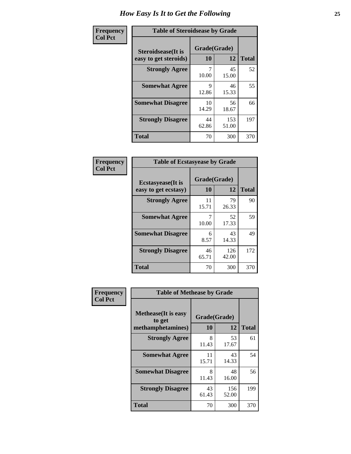| Frequency      | <b>Table of Steroidsease by Grade</b>               |                    |              |              |  |  |  |  |  |
|----------------|-----------------------------------------------------|--------------------|--------------|--------------|--|--|--|--|--|
| <b>Col Pct</b> | <b>Steroidsease</b> (It is<br>easy to get steroids) | Grade(Grade)<br>10 | 12           | <b>Total</b> |  |  |  |  |  |
|                | <b>Strongly Agree</b>                               | 10.00              | 45<br>15.00  | 52           |  |  |  |  |  |
|                | <b>Somewhat Agree</b>                               | 9<br>12.86         | 46<br>15.33  | 55           |  |  |  |  |  |
|                | <b>Somewhat Disagree</b>                            | 10<br>14.29        | 56<br>18.67  | 66           |  |  |  |  |  |
|                | <b>Strongly Disagree</b>                            | 44<br>62.86        | 153<br>51.00 | 197          |  |  |  |  |  |
|                | <b>Total</b>                                        | 70                 | 300          | 370          |  |  |  |  |  |

| Frequency      | <b>Table of Ecstasyease by Grade</b>              |                    |              |              |  |  |  |  |  |  |
|----------------|---------------------------------------------------|--------------------|--------------|--------------|--|--|--|--|--|--|
| <b>Col Pct</b> | <b>Ecstasyease</b> (It is<br>easy to get ecstasy) | Grade(Grade)<br>10 | 12           | <b>Total</b> |  |  |  |  |  |  |
|                | <b>Strongly Agree</b>                             | 11<br>15.71        | 79<br>26.33  | 90           |  |  |  |  |  |  |
|                | <b>Somewhat Agree</b>                             | 10.00              | 52<br>17.33  | 59           |  |  |  |  |  |  |
|                | <b>Somewhat Disagree</b>                          | 6<br>8.57          | 43<br>14.33  | 49           |  |  |  |  |  |  |
|                | <b>Strongly Disagree</b>                          | 46<br>65.71        | 126<br>42.00 | 172          |  |  |  |  |  |  |
|                | <b>Total</b>                                      | 70                 | 300          | 370          |  |  |  |  |  |  |

| <b>Frequency</b> | <b>Table of Methease by Grade</b>                          |                    |              |              |
|------------------|------------------------------------------------------------|--------------------|--------------|--------------|
| <b>Col Pct</b>   | <b>Methease</b> (It is easy<br>to get<br>methamphetamines) | Grade(Grade)<br>10 | 12           | <b>Total</b> |
|                  | <b>Strongly Agree</b>                                      | 8<br>11.43         | 53<br>17.67  | 61           |
|                  | <b>Somewhat Agree</b>                                      | 11<br>15.71        | 43<br>14.33  | 54           |
|                  | <b>Somewhat Disagree</b>                                   | 8<br>11.43         | 48<br>16.00  | 56           |
|                  | <b>Strongly Disagree</b>                                   | 43<br>61.43        | 156<br>52.00 | 199          |
|                  | <b>Total</b>                                               | 70                 | 300          | 370          |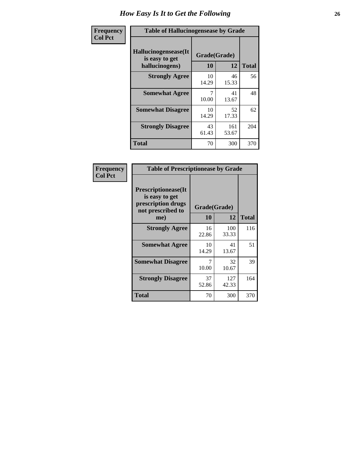| <b>Frequency</b> |                                                           | <b>Table of Hallucinogensease by Grade</b> |              |              |  |  |  |  |  |  |  |
|------------------|-----------------------------------------------------------|--------------------------------------------|--------------|--------------|--|--|--|--|--|--|--|
| <b>Col Pct</b>   | Hallucinogensease(It)<br>is easy to get<br>hallucinogens) | Grade(Grade)<br>10                         | 12           | <b>Total</b> |  |  |  |  |  |  |  |
|                  | <b>Strongly Agree</b>                                     | 10<br>14.29                                | 46<br>15.33  | 56           |  |  |  |  |  |  |  |
|                  | <b>Somewhat Agree</b>                                     | 10.00                                      | 41<br>13.67  | 48           |  |  |  |  |  |  |  |
|                  | <b>Somewhat Disagree</b>                                  | 10<br>14.29                                | 52<br>17.33  | 62           |  |  |  |  |  |  |  |
|                  | <b>Strongly Disagree</b>                                  | 43<br>61.43                                | 161<br>53.67 | 204          |  |  |  |  |  |  |  |
|                  | <b>Total</b>                                              | 70                                         | 300          | 370          |  |  |  |  |  |  |  |

| Frequency<br>Col Pct |
|----------------------|
|                      |

г

| <b>Table of Prescriptionease by Grade</b>                                               |              |              |              |  |  |  |  |  |  |
|-----------------------------------------------------------------------------------------|--------------|--------------|--------------|--|--|--|--|--|--|
| <b>Prescriptionease(It</b><br>is easy to get<br>prescription drugs<br>not prescribed to | Grade(Grade) |              |              |  |  |  |  |  |  |
| me)                                                                                     | 10           | 12           | <b>Total</b> |  |  |  |  |  |  |
| <b>Strongly Agree</b>                                                                   | 16<br>22.86  | 100<br>33.33 | 116          |  |  |  |  |  |  |
| <b>Somewhat Agree</b>                                                                   | 10<br>14.29  | 41<br>13.67  | 51           |  |  |  |  |  |  |
| <b>Somewhat Disagree</b>                                                                | 10.00        | 32<br>10.67  | 39           |  |  |  |  |  |  |
| <b>Strongly Disagree</b>                                                                | 37<br>52.86  | 127<br>42.33 | 164          |  |  |  |  |  |  |
| <b>Total</b>                                                                            | 70           | 300          | 370          |  |  |  |  |  |  |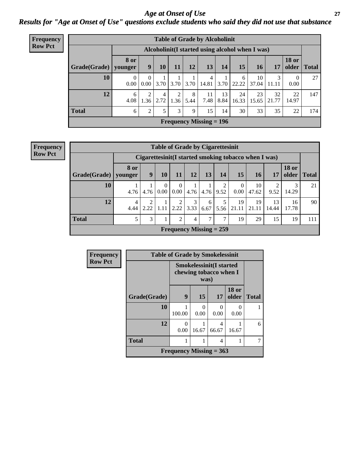#### *Age at Onset of Use* **27** *Results for "Age at Onset of Use" questions exclude students who said they did not use that substance*

| <b>Frequency</b> | <b>Table of Grade by Alcoholinit</b> |                                                  |                            |           |           |           |                           |            |             |             |             |                       |              |
|------------------|--------------------------------------|--------------------------------------------------|----------------------------|-----------|-----------|-----------|---------------------------|------------|-------------|-------------|-------------|-----------------------|--------------|
| <b>Row Pct</b>   |                                      | Alcoholinit (I started using alcohol when I was) |                            |           |           |           |                           |            |             |             |             |                       |              |
|                  | Grade(Grade)                         | <b>8 or</b><br>younger                           | 9                          | 10        | 11        | 12        | 13                        | 14         | 15          | <b>16</b>   | 17          | <b>18 or</b><br>older | <b>Total</b> |
|                  | 10                                   | $\mathbf{0}$<br>0.00                             | $\overline{0}$<br>$0.00\,$ | 3.70      | 3.70      | 3.70      | 4<br>14.81                | 1<br>3.70  | 6<br>22.22  | 10<br>37.04 | 3<br>11.11  | $\Omega$<br>0.00      | 27           |
|                  | 12                                   | 6<br>4.08                                        | $\overline{2}$<br>1.36     | 4<br>2.72 | 2<br>1.36 | 8<br>5.44 | 11<br>7.48                | 13<br>8.84 | 24<br>16.33 | 23<br>15.65 | 32<br>21.77 | 22<br>14.97           | 147          |
|                  | <b>Total</b>                         | 6                                                | $\overline{2}$             | 5         | 3         | 9         | 15                        | 14         | 30          | 33          | 35          | 22                    | 174          |
|                  |                                      |                                                  |                            |           |           |           | Frequency Missing $= 196$ |            |             |             |             |                       |              |

| <b>Frequency</b> |  |
|------------------|--|
| <b>Row Pct</b>   |  |

| <b>Table of Grade by Cigarettesinit</b> |                        |                                                       |           |                        |                                |           |           |                      |             |             |                       |              |
|-----------------------------------------|------------------------|-------------------------------------------------------|-----------|------------------------|--------------------------------|-----------|-----------|----------------------|-------------|-------------|-----------------------|--------------|
|                                         |                        | Cigarettesinit (I started smoking tobacco when I was) |           |                        |                                |           |           |                      |             |             |                       |              |
| Grade(Grade)                            | 8 or<br>younger        | 9                                                     | 10        | 11                     | 12                             | 13        | 14        | <b>15</b>            | 16          | 17          | <b>18 or</b><br>older | <b>Total</b> |
| 10                                      | 4.76                   | 4.76                                                  | 0<br>0.00 | $\Omega$<br>0.00       | 4.76                           | 4.76      | 2<br>9.52 | $\Omega$<br>$0.00\,$ | 10<br>47.62 | 9.52        | 3<br>14.29            | 21           |
| 12                                      | $\overline{4}$<br>4.44 | 2<br>2.22                                             | 1.11      | $\overline{2}$<br>2.22 | 3<br>3.33                      | 6<br>6.67 | 5<br>5.56 | 19<br>21.11          | 19<br>21.11 | 13<br>14.44 | 16<br>17.78           | 90           |
| <b>Total</b>                            | 5                      | 3                                                     |           | 2                      | $\overline{4}$                 | 7         | 7         | 19                   | 29          | 15          | 19                    | 111          |
|                                         |                        |                                                       |           |                        | <b>Frequency Missing = 259</b> |           |           |                      |             |             |                       |              |

| <b>Frequency</b> |              | <b>Table of Grade by Smokelessinit</b> |           |                                                          |                       |              |  |  |  |  |  |
|------------------|--------------|----------------------------------------|-----------|----------------------------------------------------------|-----------------------|--------------|--|--|--|--|--|
| <b>Row Pct</b>   |              |                                        | was)      | <b>Smokelessinit(I started</b><br>chewing tobacco when I |                       |              |  |  |  |  |  |
|                  | Grade(Grade) | 9                                      | 15        | 17                                                       | <b>18 or</b><br>older | <b>Total</b> |  |  |  |  |  |
|                  | 10           | 100.00                                 | 0<br>0.00 | 0<br>0.00                                                | $\mathcal{L}$<br>0.00 |              |  |  |  |  |  |
|                  | 12           | 0<br>0.00                              | 16.67     | 4<br>66.67                                               | 1<br>16.67            | 6            |  |  |  |  |  |
|                  | <b>Total</b> |                                        |           | 4                                                        | 1                     | 7            |  |  |  |  |  |
|                  |              | Frequency Missing $= 363$              |           |                                                          |                       |              |  |  |  |  |  |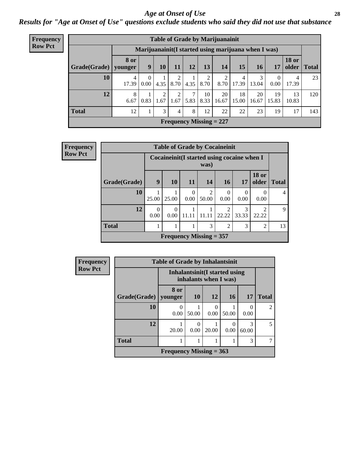#### *Age at Onset of Use* **28**

*Results for "Age at Onset of Use" questions exclude students who said they did not use that substance*

| Frequency      | <b>Table of Grade by Marijuanainit</b> |                        |                  |           |                        |           |            |                                                      |             |             |             |                       |              |
|----------------|----------------------------------------|------------------------|------------------|-----------|------------------------|-----------|------------|------------------------------------------------------|-------------|-------------|-------------|-----------------------|--------------|
| <b>Row Pct</b> |                                        |                        |                  |           |                        |           |            | Marijuanainit (I started using marijuana when I was) |             |             |             |                       |              |
|                | Grade(Grade)                           | <b>8 or</b><br>younger | 9                | 10        | 11                     | 12        | 13         | 14                                                   | 15          | <b>16</b>   | 17          | <b>18 or</b><br>older | <b>Total</b> |
|                | 10                                     | 4<br>17.39             | $\left($<br>0.00 | 4.35      | 8.70                   | 4.35      | 8.70       | 2<br>8.70                                            | 4<br>17.39  | 3<br>13.04  | 0.00        | 4<br>17.39            | 23           |
|                | 12                                     | 8<br>6.67              | 0.83             | 2<br>1.67 | $\overline{2}$<br>1.67 | 7<br>5.83 | 10<br>8.33 | 20<br>16.67                                          | 18<br>15.00 | 20<br>16.67 | 19<br>15.83 | 13<br>10.83           | 120          |
|                | <b>Total</b>                           | 12                     | 1                | 3         | $\overline{4}$         | 8         | 12         | 22                                                   | 22          | 23          | 19          | 17                    | 143          |
|                |                                        |                        |                  |           |                        |           |            | Frequency Missing $= 227$                            |             |             |             |                       |              |

| <b>Frequency</b> | <b>Table of Grade by Cocaineinit</b> |                  |                  |                  |                                                     |                  |            |                         |                |  |  |
|------------------|--------------------------------------|------------------|------------------|------------------|-----------------------------------------------------|------------------|------------|-------------------------|----------------|--|--|
| <b>Row Pct</b>   |                                      |                  |                  |                  | Cocaineinit (I started using cocaine when I<br>was) |                  |            |                         |                |  |  |
|                  | Grade(Grade)                         | 9                | 10               | <b>11</b>        | <b>14</b>                                           | <b>16</b>        | 17         | <b>18 or</b><br>older   | <b>Total</b>   |  |  |
|                  | 10                                   | 25.00            | 25.00            | $\left($<br>0.00 | 2<br>50.00                                          | $\Omega$<br>0.00 | 0<br>0.00  | 0.00                    | $\overline{4}$ |  |  |
|                  | 12                                   | $\Omega$<br>0.00 | $\Omega$<br>0.00 | 11.11            | 11.11                                               | 2<br>22.22       | 3<br>33.33 | $\mathfrak{D}$<br>22.22 | 9              |  |  |
|                  | <b>Total</b>                         |                  |                  |                  | $\mathcal{F}$                                       | $\overline{2}$   | 3          | $\overline{2}$          | 13             |  |  |
|                  |                                      |                  |                  |                  | Frequency Missing $= 357$                           |                  |            |                         |                |  |  |

| <b>Frequency</b> |                                                         | <b>Table of Grade by Inhalantsinit</b> |                  |                  |       |            |                |
|------------------|---------------------------------------------------------|----------------------------------------|------------------|------------------|-------|------------|----------------|
| <b>Row Pct</b>   | Inhalantsinit (I started using<br>inhalants when I was) |                                        |                  |                  |       |            |                |
|                  | <b>Grade</b> (Grade)                                    | 8 or<br>younger                        | <b>10</b>        | <b>12</b>        | 16    | 17         | <b>Total</b>   |
|                  | <b>10</b>                                               | 0<br>0.00                              | 50.00            | $\theta$<br>0.00 | 50.00 | 0.00       | $\overline{2}$ |
|                  | 12                                                      | 20.00                                  | $\theta$<br>0.00 | 20.00            | 0.00  | 3<br>60.00 | 5              |
|                  | <b>Total</b>                                            |                                        |                  |                  |       | 3          |                |
|                  |                                                         | <b>Frequency Missing = 363</b>         |                  |                  |       |            |                |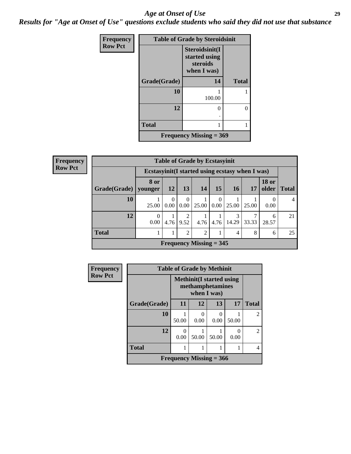#### *Age at Onset of Use* **29**

*Results for "Age at Onset of Use" questions exclude students who said they did not use that substance*

| Frequency      |              | <b>Table of Grade by Steroidsinit</b>                      |              |
|----------------|--------------|------------------------------------------------------------|--------------|
| <b>Row Pct</b> |              | Steroidsinit(I<br>started using<br>steroids<br>when I was) |              |
|                | Grade(Grade) | 14                                                         | <b>Total</b> |
|                | 10           | 100.00                                                     |              |
|                | 12           | 0                                                          | $\Omega$     |
|                | Total        | 1                                                          |              |
|                |              | <b>Frequency Missing = 369</b>                             |              |

**Frequency Row Pct**

| <b>Table of Grade by Ecstasyinit</b>                                                                   |                                                                                                                          |           |                  |                           |                  |       |       |                  |    |
|--------------------------------------------------------------------------------------------------------|--------------------------------------------------------------------------------------------------------------------------|-----------|------------------|---------------------------|------------------|-------|-------|------------------|----|
|                                                                                                        | Ecstasyinit (I started using ecstasy when I was)                                                                         |           |                  |                           |                  |       |       |                  |    |
| Grade(Grade)                                                                                           | <b>18 or</b><br><b>8 or</b><br>older<br>13<br>15<br><b>16</b><br><b>14</b><br><b>12</b><br>17<br><b>Total</b><br>younger |           |                  |                           |                  |       |       |                  |    |
| 10                                                                                                     | 25.00                                                                                                                    | 0<br>0.00 | $\Omega$<br>0.00 | 25.00                     | $\Omega$<br>0.00 | 25.00 | 25.00 | $\left($<br>0.00 |    |
| 12<br>$\overline{2}$<br>3<br>0<br>6<br>0.00<br>4.76<br>14.29<br>33.33<br>4.76<br>9.52<br>4.76<br>28.57 |                                                                                                                          |           |                  |                           |                  |       |       |                  | 21 |
| <b>Total</b><br>$\overline{2}$<br>$\overline{c}$<br>8<br>4<br>6                                        |                                                                                                                          |           |                  |                           |                  |       |       |                  | 25 |
|                                                                                                        |                                                                                                                          |           |                  | Frequency Missing $=$ 345 |                  |       |       |                  |    |

| <b>Frequency</b> |              | <b>Table of Grade by Methinit</b> |             |                                                      |                  |              |
|------------------|--------------|-----------------------------------|-------------|------------------------------------------------------|------------------|--------------|
| <b>Row Pct</b>   |              |                                   | when I was) | <b>Methinit</b> (I started using<br>methamphetamines |                  |              |
|                  | Grade(Grade) | 11                                | 12          | 13                                                   | 17               | <b>Total</b> |
|                  | 10           | 50.00                             | 0.00        | 0.00                                                 | 50.00            | 2            |
|                  | 12           | 0.00                              | 50.00       | 50.00                                                | $\Omega$<br>0.00 | 2            |
|                  | <b>Total</b> |                                   |             |                                                      |                  | 4            |
|                  |              | Frequency Missing $=$ 366         |             |                                                      |                  |              |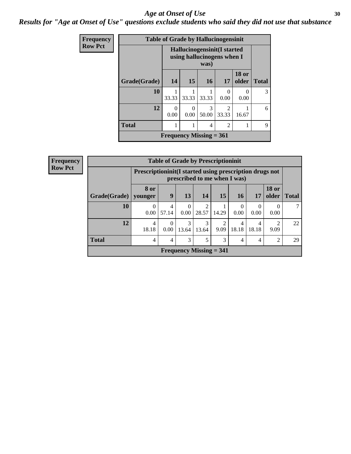#### Age at Onset of Use **30**

*Results for "Age at Onset of Use" questions exclude students who said they did not use that substance*

| <b>Frequency</b> |                                                                          |           | <b>Table of Grade by Hallucinogensinit</b>     |            |                           |                           |   |  |  |
|------------------|--------------------------------------------------------------------------|-----------|------------------------------------------------|------------|---------------------------|---------------------------|---|--|--|
| <b>Row Pct</b>   | <b>Hallucinogensinit(I started</b><br>using hallucinogens when I<br>was) |           |                                                |            |                           |                           |   |  |  |
|                  | Grade(Grade)                                                             | 14        | <b>18 or</b><br>15<br><b>16</b><br>older<br>17 |            |                           |                           |   |  |  |
|                  | 10                                                                       | 33.33     | 33.33                                          | 33.33      | $\mathbf{\Omega}$<br>0.00 | $\mathbf{\Omega}$<br>0.00 | 3 |  |  |
|                  | 12                                                                       | 0<br>0.00 | $\Omega$<br>0.00                               | 3<br>50.00 | $\mathfrak{D}$<br>33.33   | 16.67                     | 6 |  |  |
|                  | <b>Total</b>                                                             |           |                                                | 4          | $\overline{c}$            |                           | 9 |  |  |
|                  |                                                                          |           | Frequency Missing $= 361$                      |            |                           |                           |   |  |  |

| Frequency      |              |                                                         | <b>Table of Grade by Prescriptioninit</b> |                  |            |                              |                  |                  |                       |              |
|----------------|--------------|---------------------------------------------------------|-------------------------------------------|------------------|------------|------------------------------|------------------|------------------|-----------------------|--------------|
| <b>Row Pct</b> |              | Prescriptioninit(I started using prescription drugs not |                                           |                  |            | prescribed to me when I was) |                  |                  |                       |              |
|                | Grade(Grade) | 8 or<br>vounger                                         | 9                                         | 13               | 14         | 15                           | <b>16</b>        | 17               | <b>18 or</b><br>older | <b>Total</b> |
|                | 10           | $\Omega$<br>0.00                                        | 4<br>57.14                                | $\Omega$<br>0.00 | 2<br>28.57 | 14.29                        | $\Omega$<br>0.00 | $\Omega$<br>0.00 | 0.00                  |              |
|                | 12           | 4<br>18.18                                              | $\Omega$<br>0.00                          | 3<br>13.64       | 3<br>13.64 | 9.09                         | 4<br>18.18       | 4<br>18.18       | 9.09                  | 22           |
|                | <b>Total</b> | 4                                                       | 4                                         | 3                | 5          | 3                            | 4                | $\overline{4}$   | $\overline{2}$        | 29           |
|                |              |                                                         |                                           |                  |            | Frequency Missing $= 341$    |                  |                  |                       |              |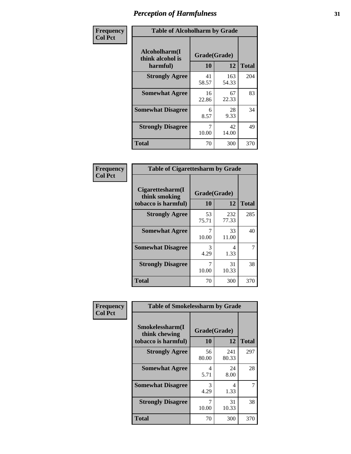| Frequency      | <b>Table of Alcoholharm by Grade</b>          |                    |              |              |  |
|----------------|-----------------------------------------------|--------------------|--------------|--------------|--|
| <b>Col Pct</b> | Alcoholharm(I<br>think alcohol is<br>harmful) | Grade(Grade)<br>10 | 12           | <b>Total</b> |  |
|                | <b>Strongly Agree</b>                         | 41<br>58.57        | 163<br>54.33 | 204          |  |
|                | <b>Somewhat Agree</b>                         | 16<br>22.86        | 67<br>22.33  | 83           |  |
|                | <b>Somewhat Disagree</b>                      | 6<br>8.57          | 28<br>9.33   | 34           |  |
|                | <b>Strongly Disagree</b>                      | 10.00              | 42<br>14.00  | 49           |  |
|                | <b>Total</b>                                  | 70                 | 300          | 370          |  |

|                                                          | <b>Table of Cigarettesharm by Grade</b> |              |              |  |  |  |  |  |
|----------------------------------------------------------|-----------------------------------------|--------------|--------------|--|--|--|--|--|
| Cigarettesharm(I<br>think smoking<br>tobacco is harmful) | Grade(Grade)<br>10                      | 12           | <b>Total</b> |  |  |  |  |  |
| <b>Strongly Agree</b>                                    | 53<br>75.71                             | 232<br>77.33 | 285          |  |  |  |  |  |
| <b>Somewhat Agree</b>                                    | 7<br>10.00                              | 33<br>11.00  | 40           |  |  |  |  |  |
| <b>Somewhat Disagree</b>                                 | 3<br>4.29                               | 4<br>1.33    | 7            |  |  |  |  |  |
| <b>Strongly Disagree</b>                                 | 7<br>10.00                              | 31<br>10.33  | 38           |  |  |  |  |  |
| <b>Total</b>                                             | 70                                      | 300          | 370          |  |  |  |  |  |

| Frequency      | <b>Table of Smokelessharm by Grade</b>                  |                    |              |              |  |  |  |  |
|----------------|---------------------------------------------------------|--------------------|--------------|--------------|--|--|--|--|
| <b>Col Pct</b> | Smokelessharm(I<br>think chewing<br>tobacco is harmful) | Grade(Grade)<br>10 | 12           | <b>Total</b> |  |  |  |  |
|                | <b>Strongly Agree</b>                                   | 56<br>80.00        | 241<br>80.33 | 297          |  |  |  |  |
|                | <b>Somewhat Agree</b>                                   | 4<br>5.71          | 24<br>8.00   | 28           |  |  |  |  |
|                | <b>Somewhat Disagree</b>                                | 3<br>4.29          | 4<br>1.33    | 7            |  |  |  |  |
|                | <b>Strongly Disagree</b>                                | 10.00              | 31<br>10.33  | 38           |  |  |  |  |
|                | Total                                                   | 70                 | 300          | 370          |  |  |  |  |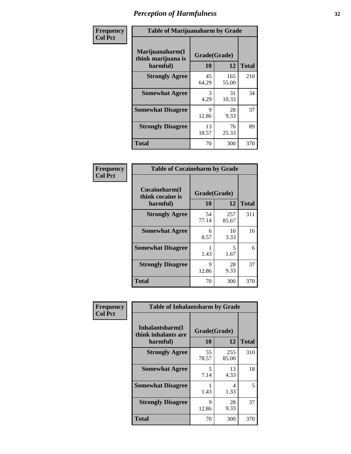| Frequency      |                                                   | <b>Table of Marijuanaharm by Grade</b> |              |              |  |  |  |
|----------------|---------------------------------------------------|----------------------------------------|--------------|--------------|--|--|--|
| <b>Col Pct</b> | Marijuanaharm(I<br>think marijuana is<br>harmful) | Grade(Grade)<br>10                     | 12           | <b>Total</b> |  |  |  |
|                | <b>Strongly Agree</b>                             | 45<br>64.29                            | 165<br>55.00 | 210          |  |  |  |
|                | <b>Somewhat Agree</b>                             | 3<br>4.29                              | 31<br>10.33  | 34           |  |  |  |
|                | <b>Somewhat Disagree</b>                          | 9<br>12.86                             | 28<br>9.33   | 37           |  |  |  |
|                | <b>Strongly Disagree</b>                          | 13<br>18.57                            | 76<br>25.33  | 89           |  |  |  |
|                | <b>Total</b>                                      | 70                                     | 300          | 370          |  |  |  |

| <b>Table of Cocaineharm by Grade</b>          |                    |              |              |  |  |  |  |
|-----------------------------------------------|--------------------|--------------|--------------|--|--|--|--|
| Cocaineharm(I<br>think cocaine is<br>harmful) | Grade(Grade)<br>10 | 12           | <b>Total</b> |  |  |  |  |
| <b>Strongly Agree</b>                         | 54<br>77.14        | 257<br>85.67 | 311          |  |  |  |  |
| <b>Somewhat Agree</b>                         | 6<br>8.57          | 10<br>3.33   | 16           |  |  |  |  |
| <b>Somewhat Disagree</b>                      | 1.43               | 5<br>1.67    | 6            |  |  |  |  |
| <b>Strongly Disagree</b>                      | 9<br>12.86         | 28<br>9.33   | 37           |  |  |  |  |
| Total                                         | 70                 | 300          | 370          |  |  |  |  |

| Frequency      | <b>Table of Inhalantsharm by Grade</b>              |                    |              |              |
|----------------|-----------------------------------------------------|--------------------|--------------|--------------|
| <b>Col Pct</b> | Inhalantsharm(I)<br>think inhalants are<br>harmful) | Grade(Grade)<br>10 | 12           | <b>Total</b> |
|                | <b>Strongly Agree</b>                               | 55<br>78.57        | 255<br>85.00 | 310          |
|                | <b>Somewhat Agree</b>                               | 5<br>7.14          | 13<br>4.33   | 18           |
|                | <b>Somewhat Disagree</b>                            | 1.43               | 4<br>1.33    | 5            |
|                | <b>Strongly Disagree</b>                            | 9<br>12.86         | 28<br>9.33   | 37           |
|                | <b>Total</b>                                        | 70                 | 300          | 370          |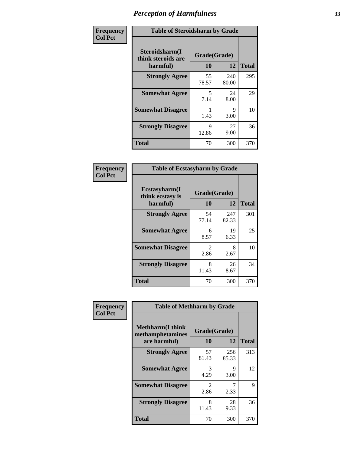| Frequency      | <b>Table of Steroidsharm by Grade</b>            |                    |              |              |
|----------------|--------------------------------------------------|--------------------|--------------|--------------|
| <b>Col Pct</b> | Steroidsharm(I<br>think steroids are<br>harmful) | Grade(Grade)<br>10 | 12           | <b>Total</b> |
|                | <b>Strongly Agree</b>                            | 55<br>78.57        | 240<br>80.00 | 295          |
|                | <b>Somewhat Agree</b>                            | 5<br>7.14          | 24<br>8.00   | 29           |
|                | <b>Somewhat Disagree</b>                         | 1.43               | 9<br>3.00    | 10           |
|                | <b>Strongly Disagree</b>                         | Q<br>12.86         | 27<br>9.00   | 36           |
|                | <b>Total</b>                                     | 70                 | 300          | 370          |

| <b>Table of Ecstasyharm by Grade</b>                |                        |              |     |  |  |
|-----------------------------------------------------|------------------------|--------------|-----|--|--|
| $E$ cstasyharm $(I$<br>think ecstasy is<br>harmful) | Grade(Grade)<br>10     | <b>Total</b> |     |  |  |
| <b>Strongly Agree</b>                               | 54<br>77.14            | 247<br>82.33 | 301 |  |  |
| <b>Somewhat Agree</b>                               | 6<br>8.57              | 19<br>6.33   | 25  |  |  |
| <b>Somewhat Disagree</b>                            | $\mathfrak{D}$<br>2.86 | 8<br>2.67    | 10  |  |  |
| <b>Strongly Disagree</b>                            | 8<br>11.43             | 26<br>8.67   | 34  |  |  |
| Total                                               | 70                     | 300          | 370 |  |  |

| Frequency      | <b>Table of Methharm by Grade</b>                            |                           |              |              |
|----------------|--------------------------------------------------------------|---------------------------|--------------|--------------|
| <b>Col Pct</b> | <b>Methharm</b> (I think<br>methamphetamines<br>are harmful) | Grade(Grade)<br><b>10</b> | 12           | <b>Total</b> |
|                | <b>Strongly Agree</b>                                        | 57<br>81.43               | 256<br>85.33 | 313          |
|                | <b>Somewhat Agree</b>                                        | 3<br>4.29                 | 9<br>3.00    | 12           |
|                | <b>Somewhat Disagree</b>                                     | $\mathfrak{D}$<br>2.86    | 2.33         | 9            |
|                | <b>Strongly Disagree</b>                                     | 8<br>11.43                | 28<br>9.33   | 36           |
|                | <b>Total</b>                                                 | 70                        | 300          | 370          |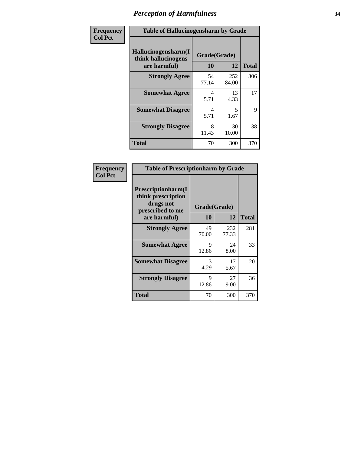| Frequency      | <b>Table of Hallucinogensharm by Grade</b>                 |                    |                                  |              |
|----------------|------------------------------------------------------------|--------------------|----------------------------------|--------------|
| <b>Col Pct</b> | Hallucinogensharm(I<br>think hallucinogens<br>are harmful) | Grade(Grade)<br>10 | 12                               | <b>Total</b> |
|                | <b>Strongly Agree</b>                                      | 54<br>77.14        | 252<br>84.00                     | 306          |
|                | <b>Somewhat Agree</b>                                      | 4<br>5.71          | 13<br>4.33                       | 17           |
|                | <b>Somewhat Disagree</b>                                   | 4<br>5.71          | $\overline{\phantom{1}}$<br>1.67 | 9            |
|                | <b>Strongly Disagree</b>                                   | 8<br>11.43         | 30<br>10.00                      | 38           |
|                | <b>Total</b>                                               | 70                 | 300                              | 370          |

| <b>Table of Prescriptionharm by Grade</b>                                         |                    |              |              |  |
|-----------------------------------------------------------------------------------|--------------------|--------------|--------------|--|
| <b>Prescriptionharm</b> (I<br>think prescription<br>drugs not<br>prescribed to me | Grade(Grade)<br>10 | 12           |              |  |
| are harmful)                                                                      |                    |              | <b>Total</b> |  |
| <b>Strongly Agree</b>                                                             | 49<br>70.00        | 232<br>77.33 | 281          |  |
| <b>Somewhat Agree</b>                                                             | 9<br>12.86         | 24<br>8.00   | 33           |  |
| <b>Somewhat Disagree</b>                                                          | 3<br>4.29          | 17<br>5.67   | 20           |  |
| <b>Strongly Disagree</b>                                                          | 9<br>12.86         | 27<br>9.00   | 36           |  |
| <b>Total</b>                                                                      | 70                 | 300          | 370          |  |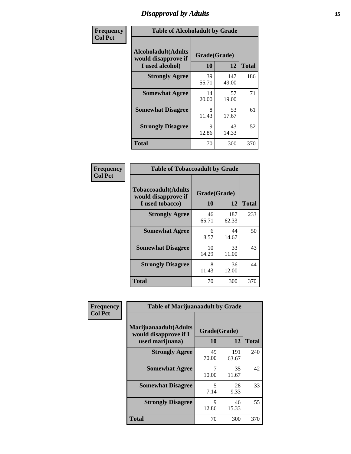### *Disapproval by Adults* **35**

| Frequency      | <b>Table of Alcoholadult by Grade</b>                                 |                    |              |              |
|----------------|-----------------------------------------------------------------------|--------------------|--------------|--------------|
| <b>Col Pct</b> | <b>Alcoholadult</b> (Adults<br>would disapprove if<br>I used alcohol) | Grade(Grade)<br>10 | 12           | <b>Total</b> |
|                | <b>Strongly Agree</b>                                                 | 39<br>55.71        | 147<br>49.00 | 186          |
|                | <b>Somewhat Agree</b>                                                 | 14<br>20.00        | 57<br>19.00  | 71           |
|                | <b>Somewhat Disagree</b>                                              | 8<br>11.43         | 53<br>17.67  | 61           |
|                | <b>Strongly Disagree</b>                                              | 9<br>12.86         | 43<br>14.33  | 52           |
|                | <b>Total</b>                                                          | 70                 | 300          | 370          |

| <b>Table of Tobaccoadult by Grade</b>                                 |                    |              |     |  |
|-----------------------------------------------------------------------|--------------------|--------------|-----|--|
| <b>Tobaccoadult</b> (Adults<br>would disapprove if<br>I used tobacco) | Grade(Grade)<br>10 | <b>Total</b> |     |  |
| <b>Strongly Agree</b>                                                 | 46<br>65.71        | 187<br>62.33 | 233 |  |
| <b>Somewhat Agree</b>                                                 | 6<br>8.57          | 44<br>14.67  | 50  |  |
| <b>Somewhat Disagree</b>                                              | 10<br>14.29        | 33<br>11.00  | 43  |  |
| <b>Strongly Disagree</b>                                              | 8<br>11.43         | 36<br>12.00  | 44  |  |
| <b>Total</b>                                                          | 70                 | 300          | 370 |  |

| Frequency<br><b>Col Pct</b> | <b>Table of Marijuanaadult by Grade</b>                           |                    |              |              |
|-----------------------------|-------------------------------------------------------------------|--------------------|--------------|--------------|
|                             | Marijuanaadult(Adults<br>would disapprove if I<br>used marijuana) | Grade(Grade)<br>10 | 12           | <b>Total</b> |
|                             | <b>Strongly Agree</b>                                             | 49<br>70.00        | 191<br>63.67 | 240          |
|                             | <b>Somewhat Agree</b>                                             | 10.00              | 35<br>11.67  | 42           |
|                             | <b>Somewhat Disagree</b>                                          | 5<br>7.14          | 28<br>9.33   | 33           |
|                             | <b>Strongly Disagree</b>                                          | 9<br>12.86         | 46<br>15.33  | 55           |
|                             | <b>Total</b>                                                      | 70                 | 300          | 370          |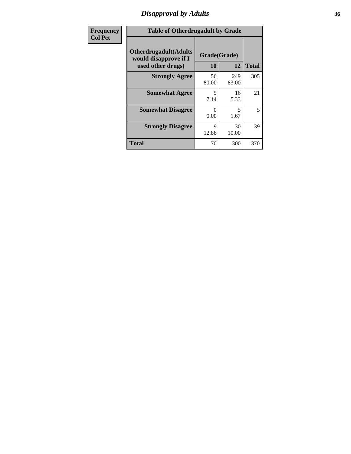### *Disapproval by Adults* **36**

| <b>Frequency</b> | <b>Table of Otherdrugadult by Grade</b>                                     |                    |              |              |
|------------------|-----------------------------------------------------------------------------|--------------------|--------------|--------------|
| <b>Col Pct</b>   | <b>Otherdrugadult</b> (Adults<br>would disapprove if I<br>used other drugs) | Grade(Grade)<br>10 | 12           | <b>Total</b> |
|                  | <b>Strongly Agree</b>                                                       | 56<br>80.00        | 249<br>83.00 | 305          |
|                  | <b>Somewhat Agree</b>                                                       | 5<br>7.14          | 16<br>5.33   | 21           |
|                  | <b>Somewhat Disagree</b>                                                    | ∩<br>0.00          | 5<br>1.67    | 5            |
|                  | <b>Strongly Disagree</b>                                                    | 9<br>12.86         | 30<br>10.00  | 39           |
|                  | <b>Total</b>                                                                | 70                 | 300          | 370          |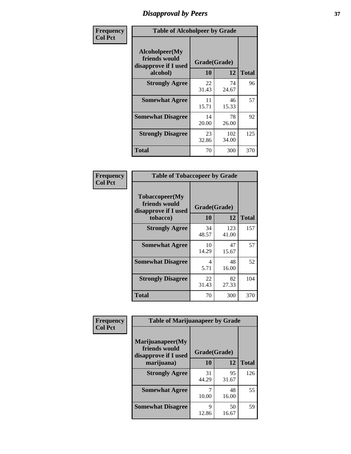# *Disapproval by Peers* **37**

| Frequency      | <b>Table of Alcoholpeer by Grade</b>                    |              |              |              |  |
|----------------|---------------------------------------------------------|--------------|--------------|--------------|--|
| <b>Col Pct</b> | Alcoholpeer(My<br>friends would<br>disapprove if I used | Grade(Grade) |              |              |  |
|                | alcohol)                                                | 10           | 12           | <b>Total</b> |  |
|                | <b>Strongly Agree</b>                                   | 22<br>31.43  | 74<br>24.67  | 96           |  |
|                | <b>Somewhat Agree</b>                                   | 11<br>15.71  | 46<br>15.33  | 57           |  |
|                | <b>Somewhat Disagree</b>                                | 14<br>20.00  | 78<br>26.00  | 92           |  |
|                | <b>Strongly Disagree</b>                                | 23<br>32.86  | 102<br>34.00 | 125          |  |
|                | Total                                                   | 70           | 300          | 370          |  |

| Frequency      | <b>Table of Tobaccopeer by Grade</b>                                |                        |              |              |  |
|----------------|---------------------------------------------------------------------|------------------------|--------------|--------------|--|
| <b>Col Pct</b> | Tobaccopeer(My<br>friends would<br>disapprove if I used<br>tobacco) | Grade(Grade)<br>10     | 12           | <b>Total</b> |  |
|                | <b>Strongly Agree</b>                                               | 34<br>48.57            | 123<br>41.00 | 157          |  |
|                | <b>Somewhat Agree</b>                                               | 10<br>14.29            | 47<br>15.67  | 57           |  |
|                | <b>Somewhat Disagree</b>                                            | $\overline{4}$<br>5.71 | 48<br>16.00  | 52           |  |
|                | <b>Strongly Disagree</b>                                            | 22<br>31.43            | 82<br>27.33  | 104          |  |
|                | Total                                                               | 70                     | 300          | 370          |  |

| Frequency<br><b>Col Pct</b> | <b>Table of Marijuanapeer by Grade</b> |              |             |              |
|-----------------------------|----------------------------------------|--------------|-------------|--------------|
|                             | Marijuanapeer(My<br>friends would      | Grade(Grade) |             |              |
|                             | disapprove if I used<br>marijuana)     | 10           | 12          | <b>Total</b> |
|                             | <b>Strongly Agree</b>                  | 31<br>44.29  | 95<br>31.67 | 126          |
|                             | <b>Somewhat Agree</b>                  | 10.00        | 48<br>16.00 | 55           |
|                             | <b>Somewhat Disagree</b>               | Q<br>12.86   | 50<br>16.67 | 59           |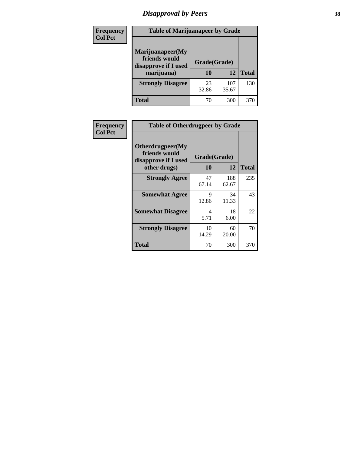# *Disapproval by Peers* **38**

| <b>Frequency</b> | <b>Table of Marijuanapeer by Grade</b>                                  |                           |              |              |  |
|------------------|-------------------------------------------------------------------------|---------------------------|--------------|--------------|--|
| <b>Col Pct</b>   | Marijuanapeer(My<br>friends would<br>disapprove if I used<br>marijuana) | Grade(Grade)<br><b>10</b> | 12           | <b>Total</b> |  |
|                  | <b>Strongly Disagree</b>                                                | 23<br>32.86               | 107<br>35.67 | 130          |  |
|                  | <b>Total</b>                                                            | 70                        | 300          | 370          |  |

| <b>Frequency</b> | <b>Table of Otherdrugpeer by Grade</b>                                    |                           |             |              |
|------------------|---------------------------------------------------------------------------|---------------------------|-------------|--------------|
| <b>Col Pct</b>   | Otherdrugpeer(My<br>friends would<br>disapprove if I used<br>other drugs) | Grade(Grade)<br><b>10</b> | 12          | <b>Total</b> |
|                  |                                                                           | 47                        | 188         | 235          |
|                  | <b>Strongly Agree</b>                                                     | 67.14                     | 62.67       |              |
|                  | <b>Somewhat Agree</b>                                                     | 9<br>12.86                | 34<br>11.33 | 43           |
|                  | <b>Somewhat Disagree</b>                                                  | 4<br>5.71                 | 18<br>6.00  | 22           |
|                  | <b>Strongly Disagree</b>                                                  | 10<br>14.29               | 60<br>20.00 | 70           |
|                  | Total                                                                     | 70                        | 300         | 370          |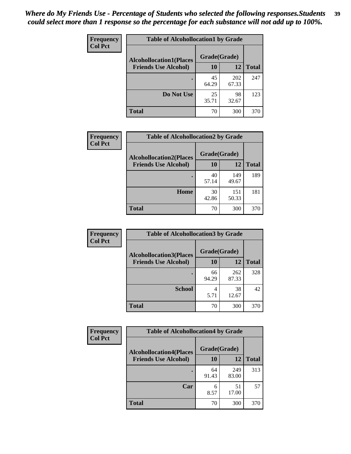| Frequency      | <b>Table of Alcohollocation1 by Grade</b> |              |              |              |
|----------------|-------------------------------------------|--------------|--------------|--------------|
| <b>Col Pct</b> | <b>Alcohollocation1(Places</b>            | Grade(Grade) |              |              |
|                | <b>Friends Use Alcohol)</b>               | 10           | 12           | <b>Total</b> |
|                |                                           | 45<br>64.29  | 202<br>67.33 | 247          |
|                | Do Not Use                                | 25<br>35.71  | 98<br>32.67  | 123          |
|                | <b>Total</b>                              | 70           | 300          | 370          |

| Frequency      | <b>Table of Alcohollocation2 by Grade</b>                     |                    |              |              |
|----------------|---------------------------------------------------------------|--------------------|--------------|--------------|
| <b>Col Pct</b> | <b>Alcohollocation2(Places</b><br><b>Friends Use Alcohol)</b> | Grade(Grade)<br>10 | <b>12</b>    | <b>Total</b> |
|                |                                                               | 40<br>57.14        | 149<br>49.67 | 189          |
|                | Home                                                          | 30<br>42.86        | 151<br>50.33 | 181          |
|                | <b>Total</b>                                                  | 70                 | 300          | 370          |

| Frequency<br><b>Col Pct</b> | <b>Table of Alcohollocation 3 by Grade</b>                    |                    |              |              |  |
|-----------------------------|---------------------------------------------------------------|--------------------|--------------|--------------|--|
|                             | <b>Alcohollocation3(Places</b><br><b>Friends Use Alcohol)</b> | Grade(Grade)<br>10 | 12           | <b>Total</b> |  |
|                             |                                                               | 66<br>94.29        | 262<br>87.33 | 328          |  |
|                             | <b>School</b>                                                 | 4<br>5.71          | 38<br>12.67  | 42           |  |
|                             | <b>Total</b>                                                  | 70                 | 300          | 370          |  |

| <b>Frequency</b> | <b>Table of Alcohollocation4 by Grade</b> |              |              |              |  |
|------------------|-------------------------------------------|--------------|--------------|--------------|--|
| <b>Col Pct</b>   | <b>Alcohollocation4(Places</b>            | Grade(Grade) |              |              |  |
|                  | <b>Friends Use Alcohol)</b>               | 10           | 12           | <b>Total</b> |  |
|                  |                                           | 64<br>91.43  | 249<br>83.00 | 313          |  |
|                  | Car                                       | 6<br>8.57    | 51<br>17.00  | 57           |  |
|                  | <b>Total</b>                              | 70           | 300          | 370          |  |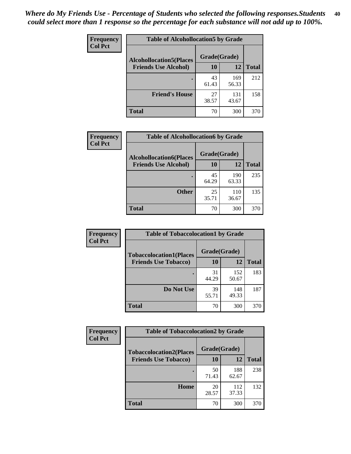| Frequency<br><b>Col Pct</b> | <b>Table of Alcohollocation5 by Grade</b>      |             |              |              |  |
|-----------------------------|------------------------------------------------|-------------|--------------|--------------|--|
|                             | Grade(Grade)<br><b>Alcohollocation5(Places</b> |             |              |              |  |
|                             | <b>Friends Use Alcohol)</b>                    | 10          | 12           | <b>Total</b> |  |
|                             |                                                | 43<br>61.43 | 169<br>56.33 | 212          |  |
|                             | <b>Friend's House</b>                          | 27<br>38.57 | 131<br>43.67 | 158          |  |
|                             | <b>Total</b>                                   | 70          | 300          | 370          |  |

| <b>Frequency</b> | <b>Table of Alcohollocation6 by Grade</b> |              |              |              |
|------------------|-------------------------------------------|--------------|--------------|--------------|
| <b>Col Pct</b>   | <b>Alcohollocation6(Places</b>            | Grade(Grade) |              |              |
|                  | <b>Friends Use Alcohol)</b>               | 10           | 12           | <b>Total</b> |
|                  |                                           | 45<br>64.29  | 190<br>63.33 | 235          |
|                  | <b>Other</b>                              | 25<br>35.71  | 110<br>36.67 | 135          |
|                  | <b>Total</b>                              | 70           | 300          | 370          |

| Frequency      | <b>Table of Tobaccolocation1 by Grade</b> |              |              |              |
|----------------|-------------------------------------------|--------------|--------------|--------------|
| <b>Col Pct</b> | <b>Tobaccolocation1(Places</b>            | Grade(Grade) |              |              |
|                | <b>Friends Use Tobacco)</b>               | 10           | 12           | <b>Total</b> |
|                |                                           | 31<br>44.29  | 152<br>50.67 | 183          |
|                | Do Not Use                                | 39<br>55.71  | 148<br>49.33 | 187          |
|                | <b>Total</b>                              | 70           | 300          | 370          |

| <b>Frequency</b> | <b>Table of Tobaccolocation2 by Grade</b> |              |              |              |
|------------------|-------------------------------------------|--------------|--------------|--------------|
| <b>Col Pct</b>   | <b>Tobaccolocation2(Places</b>            | Grade(Grade) |              |              |
|                  | <b>Friends Use Tobacco)</b>               | 10           | 12           | <b>Total</b> |
|                  |                                           | 50<br>71.43  | 188<br>62.67 | 238          |
|                  | Home                                      | 20<br>28.57  | 112<br>37.33 | 132          |
|                  | <b>Total</b>                              | 70           | 300          | 370          |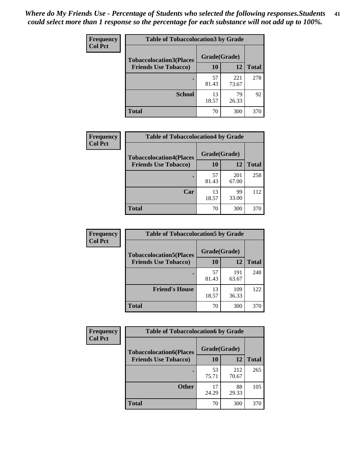| Frequency      | <b>Table of Tobaccolocation 3 by Grade</b> |              |              |              |  |
|----------------|--------------------------------------------|--------------|--------------|--------------|--|
| <b>Col Pct</b> | <b>Tobaccolocation3(Places</b>             | Grade(Grade) |              |              |  |
|                | <b>Friends Use Tobacco)</b>                | 10           | 12           | <b>Total</b> |  |
|                |                                            | 57<br>81.43  | 221<br>73.67 | 278          |  |
|                | <b>School</b>                              | 13<br>18.57  | 79<br>26.33  | 92           |  |
|                | <b>Total</b>                               | 70           | 300          | 370          |  |

| Frequency<br><b>Col Pct</b> | <b>Table of Tobaccolocation4 by Grade</b> |              |              |              |
|-----------------------------|-------------------------------------------|--------------|--------------|--------------|
|                             | <b>Tobaccolocation4(Places</b>            | Grade(Grade) |              |              |
|                             | <b>Friends Use Tobacco)</b>               | 10           | 12           | <b>Total</b> |
|                             |                                           | 57<br>81.43  | 201<br>67.00 | 258          |
|                             | Car                                       | 13<br>18.57  | 99<br>33.00  | 112          |
|                             | <b>Total</b>                              | 70           | 300          | 370          |

| Frequency      | <b>Table of Tobaccolocation5 by Grade</b>                     |                    |              |              |
|----------------|---------------------------------------------------------------|--------------------|--------------|--------------|
| <b>Col Pct</b> | <b>Tobaccolocation5(Places</b><br><b>Friends Use Tobacco)</b> | Grade(Grade)<br>10 | 12           | <b>Total</b> |
|                |                                                               | 57<br>81.43        | 191<br>63.67 | 248          |
|                | <b>Friend's House</b>                                         | 13<br>18.57        | 109<br>36.33 | 122          |
|                | <b>Total</b>                                                  | 70                 | 300          | 370          |

| <b>Frequency</b> | <b>Table of Tobaccolocation6 by Grade</b> |              |              |              |
|------------------|-------------------------------------------|--------------|--------------|--------------|
| <b>Col Pct</b>   | <b>Tobaccolocation6(Places</b>            | Grade(Grade) |              |              |
|                  | <b>Friends Use Tobacco)</b>               | 10           | 12           | <b>Total</b> |
|                  |                                           | 53<br>75.71  | 212<br>70.67 | 265          |
|                  | <b>Other</b>                              | 17<br>24.29  | 88<br>29.33  | 105          |
|                  | <b>Total</b>                              | 70           | 300          | 370          |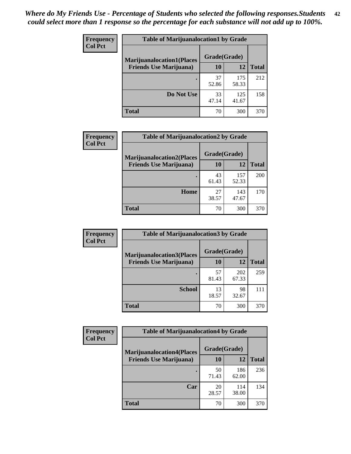| <b>Frequency</b> | <b>Table of Marijuanalocation1 by Grade</b> |              |              |              |
|------------------|---------------------------------------------|--------------|--------------|--------------|
| <b>Col Pct</b>   | <b>Marijuanalocation1(Places</b>            | Grade(Grade) |              |              |
|                  | <b>Friends Use Marijuana</b> )              | 10           | 12           | <b>Total</b> |
|                  |                                             | 37<br>52.86  | 175<br>58.33 | 212          |
|                  | Do Not Use                                  | 33<br>47.14  | 125<br>41.67 | 158          |
|                  | <b>Total</b>                                | 70           | 300          | 370          |

| <b>Frequency</b> | <b>Table of Marijuanalocation2 by Grade</b>                        |                    |              |              |
|------------------|--------------------------------------------------------------------|--------------------|--------------|--------------|
| <b>Col Pct</b>   | <b>Marijuanalocation2(Places</b><br><b>Friends Use Marijuana</b> ) | Grade(Grade)<br>10 | 12           | <b>Total</b> |
|                  |                                                                    | 43<br>61.43        | 157<br>52.33 | 200          |
|                  | Home                                                               | 27<br>38.57        | 143<br>47.67 | 170          |
|                  | <b>Total</b>                                                       | 70                 | 300          | 370          |

| <b>Frequency</b><br><b>Col Pct</b> | <b>Table of Marijuanalocation3 by Grade</b> |              |              |              |
|------------------------------------|---------------------------------------------|--------------|--------------|--------------|
|                                    | <b>Marijuanalocation3</b> (Places           | Grade(Grade) |              |              |
|                                    | <b>Friends Use Marijuana</b> )              | <b>10</b>    | 12           | <b>Total</b> |
|                                    |                                             | 57<br>81.43  | 202<br>67.33 | 259          |
|                                    | <b>School</b>                               | 13<br>18.57  | 98<br>32.67  | 111          |
|                                    | <b>Total</b>                                | 70           | 300          | 370          |

| <b>Frequency</b> | <b>Table of Marijuanalocation4 by Grade</b> |              |              |              |  |
|------------------|---------------------------------------------|--------------|--------------|--------------|--|
| <b>Col Pct</b>   | <b>Marijuanalocation4(Places</b>            | Grade(Grade) |              |              |  |
|                  | <b>Friends Use Marijuana</b> )              | <b>10</b>    | 12           | <b>Total</b> |  |
|                  |                                             | 50<br>71.43  | 186<br>62.00 | 236          |  |
|                  | Car                                         | 20<br>28.57  | 114<br>38.00 | 134          |  |
|                  | <b>Total</b>                                | 70           | 300          | 370          |  |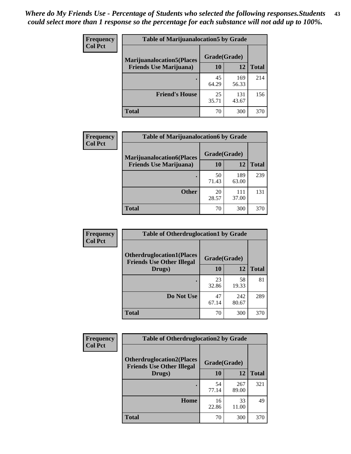| <b>Frequency</b> | <b>Table of Marijuanalocation5 by Grade</b> |              |              |              |
|------------------|---------------------------------------------|--------------|--------------|--------------|
| <b>Col Pct</b>   | <b>Marijuanalocation5</b> (Places           | Grade(Grade) |              |              |
|                  | <b>Friends Use Marijuana</b> )              | 10           | 12           | <b>Total</b> |
|                  |                                             | 45<br>64.29  | 169<br>56.33 | 214          |
|                  | <b>Friend's House</b>                       | 25<br>35.71  | 131<br>43.67 | 156          |
|                  | <b>Total</b>                                | 70           | 300          | 370          |

| <b>Frequency</b> | <b>Table of Marijuanalocation6 by Grade</b>                        |                    |              |              |
|------------------|--------------------------------------------------------------------|--------------------|--------------|--------------|
| <b>Col Pct</b>   | <b>Marijuanalocation6(Places</b><br><b>Friends Use Marijuana</b> ) | Grade(Grade)<br>10 | 12           | <b>Total</b> |
|                  |                                                                    | 50<br>71.43        | 189<br>63.00 | 239          |
|                  | <b>Other</b>                                                       | 20<br>28.57        | 111<br>37.00 | 131          |
|                  | <b>Total</b>                                                       | 70                 | 300          | 370          |

| <b>Frequency</b> | <b>Table of Otherdruglocation1 by Grade</b>                          |              |              |              |
|------------------|----------------------------------------------------------------------|--------------|--------------|--------------|
| <b>Col Pct</b>   | <b>Otherdruglocation1(Places</b><br><b>Friends Use Other Illegal</b> | Grade(Grade) |              |              |
|                  | Drugs)                                                               | 10           | 12           | <b>Total</b> |
|                  |                                                                      | 23<br>32.86  | 58<br>19.33  | 81           |
|                  | Do Not Use                                                           | 47<br>67.14  | 242<br>80.67 | 289          |
|                  | <b>Total</b>                                                         | 70           | 300          | 370          |

| Frequency      | <b>Table of Otherdruglocation2 by Grade</b>                          |             |              |              |
|----------------|----------------------------------------------------------------------|-------------|--------------|--------------|
| <b>Col Pct</b> | <b>Otherdruglocation2(Places</b><br><b>Friends Use Other Illegal</b> |             | Grade(Grade) |              |
|                | Drugs)                                                               | 10          | 12           | <b>Total</b> |
|                |                                                                      | 54<br>77.14 | 267<br>89.00 | 321          |
|                | Home                                                                 | 16<br>22.86 | 33<br>11.00  | 49           |
|                | <b>Total</b>                                                         | 70          | 300          | 370          |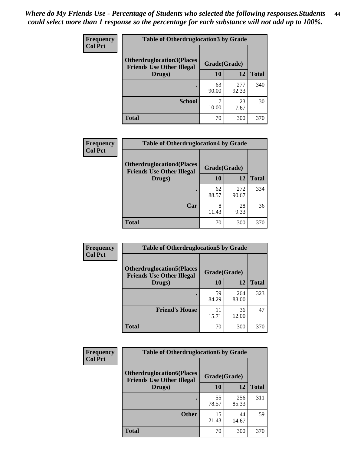| <b>Frequency</b> | <b>Table of Otherdruglocation 3 by Grade</b>                          |              |              |              |
|------------------|-----------------------------------------------------------------------|--------------|--------------|--------------|
| <b>Col Pct</b>   | <b>Otherdruglocation3(Places)</b><br><b>Friends Use Other Illegal</b> | Grade(Grade) |              |              |
|                  | Drugs)                                                                | 10           | 12           | <b>Total</b> |
|                  |                                                                       | 63<br>90.00  | 277<br>92.33 | 340          |
|                  | <b>School</b>                                                         | 10.00        | 23<br>7.67   | 30           |
|                  | Total                                                                 | 70           | 300          | 370          |

| <b>Frequency</b> | <b>Table of Otherdruglocation4 by Grade</b>                          |              |              |              |
|------------------|----------------------------------------------------------------------|--------------|--------------|--------------|
| <b>Col Pct</b>   | <b>Otherdruglocation4(Places</b><br><b>Friends Use Other Illegal</b> | Grade(Grade) |              |              |
|                  | Drugs)                                                               | 10           | 12           | <b>Total</b> |
|                  |                                                                      | 62<br>88.57  | 272<br>90.67 | 334          |
|                  | Car                                                                  | 8<br>11.43   | 28<br>9.33   | 36           |
|                  | <b>Total</b>                                                         | 70           | 300          | 370          |

| <b>Frequency</b> | <b>Table of Otherdruglocation5 by Grade</b>                          |              |              |              |
|------------------|----------------------------------------------------------------------|--------------|--------------|--------------|
| <b>Col Pct</b>   | <b>Otherdruglocation5(Places</b><br><b>Friends Use Other Illegal</b> | Grade(Grade) |              |              |
|                  | Drugs)                                                               | 10           | 12           | <b>Total</b> |
|                  |                                                                      | 59<br>84.29  | 264<br>88.00 | 323          |
|                  | <b>Friend's House</b>                                                | 11<br>15.71  | 36<br>12.00  | 47           |
|                  | <b>Total</b>                                                         | 70           | 300          | 370          |

| <b>Frequency</b> | <b>Table of Otherdruglocation6 by Grade</b>                          |              |              |              |
|------------------|----------------------------------------------------------------------|--------------|--------------|--------------|
| <b>Col Pct</b>   | <b>Otherdruglocation6(Places</b><br><b>Friends Use Other Illegal</b> | Grade(Grade) |              |              |
|                  | Drugs)                                                               | 10           | 12           | <b>Total</b> |
|                  |                                                                      | 55<br>78.57  | 256<br>85.33 | 311          |
|                  | <b>Other</b>                                                         | 15<br>21.43  | 44<br>14.67  | 59           |
|                  | <b>Total</b>                                                         | 70           | 300          | 370          |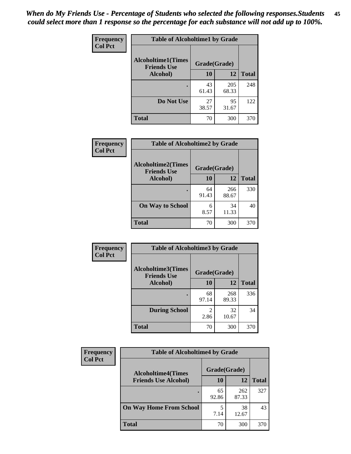| Frequency      | <b>Table of Alcoholtime1 by Grade</b>                           |             |              |              |
|----------------|-----------------------------------------------------------------|-------------|--------------|--------------|
| <b>Col Pct</b> | <b>Alcoholtime1(Times</b><br>Grade(Grade)<br><b>Friends Use</b> |             |              |              |
|                | Alcohol)                                                        | 10          | 12           | <b>Total</b> |
|                |                                                                 | 43<br>61.43 | 205<br>68.33 | 248          |
|                | Do Not Use                                                      | 27<br>38.57 | 95<br>31.67  | 122          |
|                | <b>Total</b>                                                    | 70          | 300          | 370          |

| Frequency      | <b>Table of Alcoholtime2 by Grade</b>           |              |              |              |
|----------------|-------------------------------------------------|--------------|--------------|--------------|
| <b>Col Pct</b> | <b>Alcoholtime2(Times</b><br><b>Friends Use</b> | Grade(Grade) |              |              |
|                | Alcohol)                                        | 10           | 12           | <b>Total</b> |
|                |                                                 | 64<br>91.43  | 266<br>88.67 | 330          |
|                | <b>On Way to School</b>                         | 6<br>8.57    | 34<br>11.33  | 40           |
|                | <b>Total</b>                                    | 70           | 300          | 370          |

| Frequency      | <b>Table of Alcoholtime3 by Grade</b>    |                        |              |              |  |
|----------------|------------------------------------------|------------------------|--------------|--------------|--|
| <b>Col Pct</b> | Alcoholtime3(Times<br><b>Friends Use</b> | Grade(Grade)           |              |              |  |
|                | Alcohol)                                 | 10                     | 12           | <b>Total</b> |  |
|                |                                          | 68<br>97.14            | 268<br>89.33 | 336          |  |
|                | <b>During School</b>                     | $\mathfrak{D}$<br>2.86 | 32<br>10.67  | 34           |  |
|                | <b>Total</b>                             | 70                     | 300          | 370          |  |

| <b>Frequency</b> | <b>Table of Alcoholtime4 by Grade</b> |              |              |              |
|------------------|---------------------------------------|--------------|--------------|--------------|
| <b>Col Pct</b>   | <b>Alcoholtime4(Times</b>             | Grade(Grade) |              |              |
|                  | <b>Friends Use Alcohol)</b>           | 10           | 12           | <b>Total</b> |
|                  |                                       | 65<br>92.86  | 262<br>87.33 | 327          |
|                  | <b>On Way Home From School</b>        | 5<br>7.14    | 38<br>12.67  | 43           |
|                  | <b>Total</b>                          | 70           | 300          | 370          |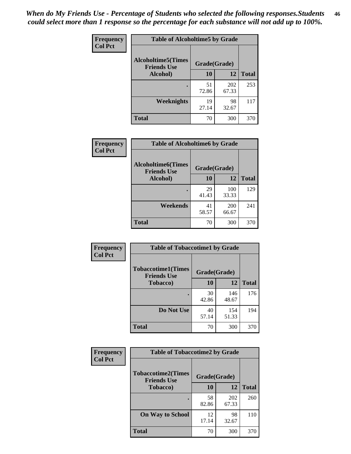*When do My Friends Use - Percentage of Students who selected the following responses.Students could select more than 1 response so the percentage for each substance will not add up to 100%.* **46**

| Frequency      | <b>Table of Alcoholtime5 by Grade</b>           |              |              |              |
|----------------|-------------------------------------------------|--------------|--------------|--------------|
| <b>Col Pct</b> | <b>Alcoholtime5(Times</b><br><b>Friends Use</b> | Grade(Grade) |              |              |
|                | Alcohol)                                        | 10           | <b>12</b>    | <b>Total</b> |
|                |                                                 | 51<br>72.86  | 202<br>67.33 | 253          |
|                | Weeknights                                      | 19<br>27.14  | 98<br>32.67  | 117          |
|                | <b>Total</b>                                    | 70           | 300          | 370          |

| Frequency      | <b>Table of Alcoholtime6 by Grade</b>           |              |              |              |
|----------------|-------------------------------------------------|--------------|--------------|--------------|
| <b>Col Pct</b> | <b>Alcoholtime6(Times</b><br><b>Friends Use</b> | Grade(Grade) |              |              |
|                | Alcohol)                                        | 10           | 12           | <b>Total</b> |
|                |                                                 | 29<br>41.43  | 100<br>33.33 | 129          |
|                | Weekends                                        | 41<br>58.57  | 200<br>66.67 | 241          |
|                | <b>Total</b>                                    | 70           | 300          | 370          |

| Frequency      | <b>Table of Tobaccotime1 by Grade</b>           |              |              |              |
|----------------|-------------------------------------------------|--------------|--------------|--------------|
| <b>Col Pct</b> | <b>Tobaccotime1(Times</b><br><b>Friends Use</b> | Grade(Grade) |              |              |
|                | <b>Tobacco</b> )                                | 10           | 12           | <b>Total</b> |
|                | ٠                                               | 30<br>42.86  | 146<br>48.67 | 176          |
|                | Do Not Use                                      | 40<br>57.14  | 154<br>51.33 | 194          |
|                | <b>Total</b>                                    | 70           | 300          | 370          |

| <b>Frequency</b> |                                                 | <b>Table of Tobaccotime2 by Grade</b> |              |              |  |
|------------------|-------------------------------------------------|---------------------------------------|--------------|--------------|--|
| <b>Col Pct</b>   | <b>Tobaccotime2(Times</b><br><b>Friends Use</b> | Grade(Grade)                          |              |              |  |
|                  | <b>Tobacco</b> )                                | 10                                    | 12           | <b>Total</b> |  |
|                  |                                                 | 58<br>82.86                           | 202<br>67.33 | 260          |  |
|                  | <b>On Way to School</b>                         | 12<br>17.14                           | 98<br>32.67  | 110          |  |
|                  | <b>Total</b>                                    | 70                                    | 300          | 370          |  |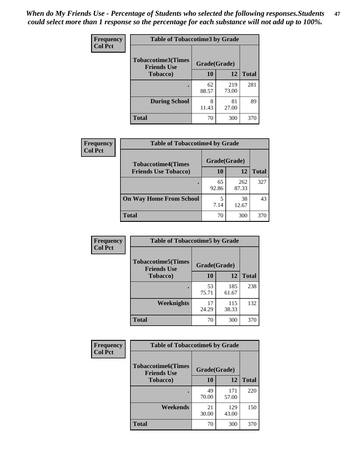*When do My Friends Use - Percentage of Students who selected the following responses.Students could select more than 1 response so the percentage for each substance will not add up to 100%.* **47**

| <b>Frequency</b> | <b>Table of Tobaccotime3 by Grade</b>           |             |              |              |  |
|------------------|-------------------------------------------------|-------------|--------------|--------------|--|
| <b>Col Pct</b>   | <b>Tobaccotime3(Times</b><br><b>Friends Use</b> |             | Grade(Grade) |              |  |
|                  | <b>Tobacco</b> )                                | 10          | 12           | <b>Total</b> |  |
|                  |                                                 | 62<br>88.57 | 219<br>73.00 | 281          |  |
|                  | <b>During School</b>                            | 8<br>11.43  | 81<br>27.00  | 89           |  |
|                  | <b>Total</b>                                    | 70          | 300          | 370          |  |

| <b>Frequency</b> | <b>Table of Tobaccotime4 by Grade</b> |              |              |              |
|------------------|---------------------------------------|--------------|--------------|--------------|
| <b>Col Pct</b>   | <b>Tobaccotime4(Times</b>             | Grade(Grade) |              |              |
|                  | <b>Friends Use Tobacco)</b>           | 10           | 12           | <b>Total</b> |
|                  |                                       | 65<br>92.86  | 262<br>87.33 | 327          |
|                  | <b>On Way Home From School</b>        | 5<br>7.14    | 38<br>12.67  | 43           |
|                  | <b>Total</b>                          | 70           | 300          | 370          |

| Frequency      | <b>Table of Tobaccotime5 by Grade</b>           |              |              |              |
|----------------|-------------------------------------------------|--------------|--------------|--------------|
| <b>Col Pct</b> | <b>Tobaccotime5(Times</b><br><b>Friends Use</b> | Grade(Grade) |              |              |
|                | <b>Tobacco</b> )                                | 10           | 12           | <b>Total</b> |
|                |                                                 | 53<br>75.71  | 185<br>61.67 | 238          |
|                | Weeknights                                      | 17<br>24.29  | 115<br>38.33 | 132          |
|                | <b>Total</b>                                    | 70           | 300          | 370          |

| <b>Frequency</b> | <b>Table of Tobaccotime6 by Grade</b>                           |             |              |              |
|------------------|-----------------------------------------------------------------|-------------|--------------|--------------|
| <b>Col Pct</b>   | <b>Tobaccotime6(Times</b><br>Grade(Grade)<br><b>Friends Use</b> |             |              |              |
|                  | <b>Tobacco</b> )                                                | 10          | <b>12</b>    | <b>Total</b> |
|                  | ٠                                                               | 49<br>70.00 | 171<br>57.00 | 220          |
|                  | Weekends                                                        | 21<br>30.00 | 129<br>43.00 | 150          |
|                  | <b>Total</b>                                                    | 70          | 300          | 370          |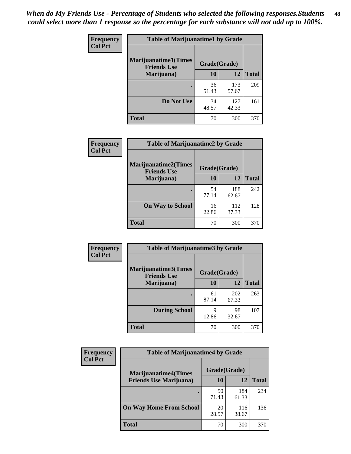| Frequency      | <b>Table of Marijuanatime1 by Grade</b>           |              |              |              |
|----------------|---------------------------------------------------|--------------|--------------|--------------|
| <b>Col Pct</b> | <b>Marijuanatime1(Times</b><br><b>Friends Use</b> | Grade(Grade) |              |              |
|                | Marijuana)                                        | 10           | 12           | <b>Total</b> |
|                |                                                   | 36<br>51.43  | 173<br>57.67 | 209          |
|                | Do Not Use                                        | 34<br>48.57  | 127<br>42.33 | 161          |
|                | <b>Total</b>                                      | 70           | 300          | 370          |

| <b>Frequency</b> | <b>Table of Marijuanatime2 by Grade</b>           |              |              |              |
|------------------|---------------------------------------------------|--------------|--------------|--------------|
| <b>Col Pct</b>   | <b>Marijuanatime2(Times</b><br><b>Friends Use</b> | Grade(Grade) |              |              |
|                  | Marijuana)                                        | 10           | 12           | <b>Total</b> |
|                  |                                                   | 54<br>77.14  | 188<br>62.67 | 242          |
|                  | <b>On Way to School</b>                           | 16<br>22.86  | 112<br>37.33 | 128          |
|                  | <b>Total</b>                                      | 70           | 300          | 370          |

| <b>Frequency</b> | <b>Table of Marijuanatime3 by Grade</b>    |              |              |              |  |
|------------------|--------------------------------------------|--------------|--------------|--------------|--|
| <b>Col Pct</b>   | Marijuanatime3(Times<br><b>Friends Use</b> | Grade(Grade) |              |              |  |
|                  | Marijuana)                                 | 10           | 12           | <b>Total</b> |  |
|                  |                                            | 61<br>87.14  | 202<br>67.33 | 263          |  |
|                  | <b>During School</b>                       | 9<br>12.86   | 98<br>32.67  | 107          |  |
|                  | <b>Total</b>                               | 70           | 300          | 370          |  |

| <b>Frequency</b><br><b>Col Pct</b> | <b>Table of Marijuanatime4 by Grade</b> |              |              |       |
|------------------------------------|-----------------------------------------|--------------|--------------|-------|
|                                    | <b>Marijuanatime4</b> (Times            | Grade(Grade) |              |       |
|                                    | <b>Friends Use Marijuana</b> )          | 10           | 12           | Total |
|                                    |                                         | 50<br>71.43  | 184<br>61.33 | 234   |
|                                    | <b>On Way Home From School</b>          | 20<br>28.57  | 116<br>38.67 | 136   |
|                                    | <b>Total</b>                            | 70           | 300          | 370   |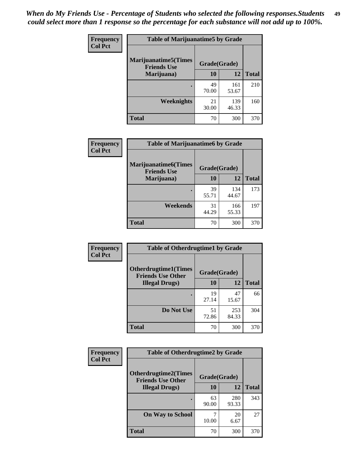| Frequency      | <b>Table of Marijuanatime5 by Grade</b>            |              |              |              |  |
|----------------|----------------------------------------------------|--------------|--------------|--------------|--|
| <b>Col Pct</b> | <b>Marijuanatime5</b> (Times<br><b>Friends Use</b> | Grade(Grade) |              |              |  |
|                | Marijuana)                                         | 10           | 12           | <b>Total</b> |  |
|                |                                                    | 49<br>70.00  | 161<br>53.67 | 210          |  |
|                | Weeknights                                         | 21<br>30.00  | 139<br>46.33 | 160          |  |
|                | <b>Total</b>                                       | 70           | 300          | 370          |  |

| <b>Frequency</b> | <b>Table of Marijuanatime6 by Grade</b>            |              |              |              |
|------------------|----------------------------------------------------|--------------|--------------|--------------|
| <b>Col Pct</b>   | <b>Marijuanatime6</b> (Times<br><b>Friends Use</b> | Grade(Grade) |              |              |
|                  | Marijuana)                                         | 10           | 12           | <b>Total</b> |
|                  |                                                    | 39<br>55.71  | 134<br>44.67 | 173          |
|                  | Weekends                                           | 31<br>44.29  | 166<br>55.33 | 197          |
|                  | <b>Total</b>                                       | 70           | 300          | 370          |

| <b>Frequency</b> | <b>Table of Otherdrugtime1 by Grade</b>                  |              |              |              |
|------------------|----------------------------------------------------------|--------------|--------------|--------------|
| <b>Col Pct</b>   | <b>Otherdrugtime1</b> (Times<br><b>Friends Use Other</b> | Grade(Grade) |              |              |
|                  | <b>Illegal Drugs</b> )                                   | 10           | 12           | <b>Total</b> |
|                  |                                                          | 19<br>27.14  | 47<br>15.67  | 66           |
|                  | Do Not Use                                               | 51<br>72.86  | 253<br>84.33 | 304          |
|                  | <b>Total</b>                                             | 70           | 300          | 370          |

| Frequency      | <b>Table of Otherdrugtime2 by Grade</b>                 |              |              |              |  |  |  |  |
|----------------|---------------------------------------------------------|--------------|--------------|--------------|--|--|--|--|
| <b>Col Pct</b> | <b>Otherdrugtime2(Times</b><br><b>Friends Use Other</b> | Grade(Grade) |              |              |  |  |  |  |
|                | <b>Illegal Drugs</b> )                                  | 10           | 12           | <b>Total</b> |  |  |  |  |
|                |                                                         | 63<br>90.00  | 280<br>93.33 | 343          |  |  |  |  |
|                | <b>On Way to School</b>                                 | 10.00        | 20<br>6.67   | 27           |  |  |  |  |
|                | <b>Total</b>                                            | 70           | 300          | 370          |  |  |  |  |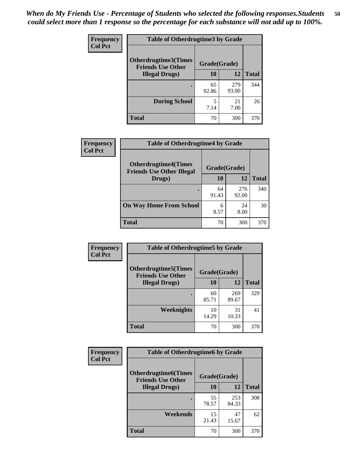| <b>Frequency</b> | <b>Table of Otherdrugtime3 by Grade</b>          |              |              |              |  |  |  |
|------------------|--------------------------------------------------|--------------|--------------|--------------|--|--|--|
| <b>Col Pct</b>   | Otherdrugtime3(Times<br><b>Friends Use Other</b> | Grade(Grade) |              |              |  |  |  |
|                  | <b>Illegal Drugs</b> )                           | 10           | 12           | <b>Total</b> |  |  |  |
|                  |                                                  | 65<br>92.86  | 279<br>93.00 | 344          |  |  |  |
|                  | <b>During School</b>                             | 5<br>7.14    | 21<br>7.00   | 26           |  |  |  |
|                  | Total                                            | 70           | 300          | 370          |  |  |  |

| Frequency      | <b>Table of Otherdrugtime4 by Grade</b>                         |              |              |              |  |  |  |
|----------------|-----------------------------------------------------------------|--------------|--------------|--------------|--|--|--|
| <b>Col Pct</b> | <b>Otherdrugtime4(Times</b><br><b>Friends Use Other Illegal</b> | Grade(Grade) |              |              |  |  |  |
|                | Drugs)                                                          | 10           | 12           | <b>Total</b> |  |  |  |
|                | ٠                                                               | 64<br>91.43  | 276<br>92.00 | 340          |  |  |  |
|                | <b>On Way Home From School</b>                                  | 6<br>8.57    | 24<br>8.00   | 30           |  |  |  |
|                | <b>Total</b>                                                    | 70           | 300          | 370          |  |  |  |

| <b>Frequency</b><br><b>Col Pct</b> | <b>Table of Otherdrugtime5 by Grade</b>                  |              |              |              |  |  |  |
|------------------------------------|----------------------------------------------------------|--------------|--------------|--------------|--|--|--|
|                                    | <b>Otherdrugtime5</b> (Times<br><b>Friends Use Other</b> | Grade(Grade) |              |              |  |  |  |
|                                    | <b>Illegal Drugs</b> )                                   | 10           | 12           | <b>Total</b> |  |  |  |
|                                    |                                                          | 60<br>85.71  | 269<br>89.67 | 329          |  |  |  |
|                                    | Weeknights                                               | 10<br>14.29  | 31<br>10.33  | 41           |  |  |  |
|                                    | Total                                                    | 70           | 300          | 370          |  |  |  |

| Frequency      | <b>Table of Otherdrugtime6 by Grade</b>                 |              |              |              |  |  |  |
|----------------|---------------------------------------------------------|--------------|--------------|--------------|--|--|--|
| <b>Col Pct</b> | <b>Otherdrugtime6(Times</b><br><b>Friends Use Other</b> | Grade(Grade) |              |              |  |  |  |
|                | <b>Illegal Drugs</b> )                                  | 10           | 12           | <b>Total</b> |  |  |  |
|                |                                                         | 55<br>78.57  | 253<br>84.33 | 308          |  |  |  |
|                | Weekends                                                | 15<br>21.43  | 47<br>15.67  | 62           |  |  |  |
|                | <b>Total</b>                                            | 70           | 300          | 370          |  |  |  |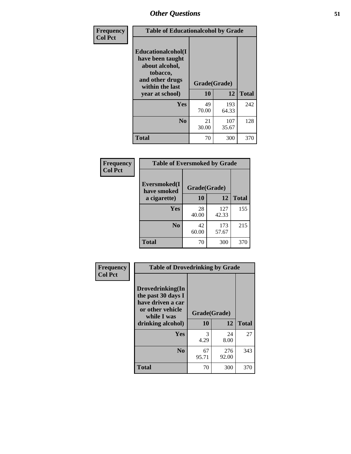| Frequency<br><b>Col Pct</b> | <b>Table of Educationalcohol by Grade</b>                                                                  |              |              |     |  |  |
|-----------------------------|------------------------------------------------------------------------------------------------------------|--------------|--------------|-----|--|--|
|                             | Educationalcohol(I<br>have been taught<br>about alcohol,<br>tobacco,<br>and other drugs<br>within the last | Grade(Grade) |              |     |  |  |
|                             | vear at school)                                                                                            | 10           | <b>Total</b> |     |  |  |
|                             | Yes                                                                                                        | 49<br>70.00  | 193<br>64.33 | 242 |  |  |
|                             | N <sub>0</sub>                                                                                             | 21<br>30.00  | 107<br>35.67 | 128 |  |  |
|                             | <b>Total</b>                                                                                               | 70           | 300          | 370 |  |  |

| Frequency      | <b>Table of Eversmoked by Grade</b> |              |              |              |  |  |  |
|----------------|-------------------------------------|--------------|--------------|--------------|--|--|--|
| <b>Col Pct</b> | Eversmoked(I<br>have smoked         | Grade(Grade) |              |              |  |  |  |
|                | a cigarette)                        | 10           | 12           | <b>Total</b> |  |  |  |
|                | <b>Yes</b>                          | 28<br>40.00  | 127<br>42.33 | 155          |  |  |  |
|                | N <sub>0</sub>                      | 42<br>60.00  | 173<br>57.67 | 215          |  |  |  |
|                | <b>Total</b>                        | 70           | 300          | 370          |  |  |  |

| Frequency      | <b>Table of Drovedrinking by Grade</b>                                                                              |                    |              |     |
|----------------|---------------------------------------------------------------------------------------------------------------------|--------------------|--------------|-----|
| <b>Col Pct</b> | Drovedrinking(In<br>the past 30 days I<br>have driven a car<br>or other vehicle<br>while I was<br>drinking alcohol) | Grade(Grade)<br>10 | <b>Total</b> |     |
|                | <b>Yes</b>                                                                                                          | 3<br>4.29          | 24<br>8.00   | 27  |
|                | N <sub>0</sub>                                                                                                      | 67<br>95.71        | 276<br>92.00 | 343 |
|                | <b>Total</b>                                                                                                        | 70                 | 300          | 370 |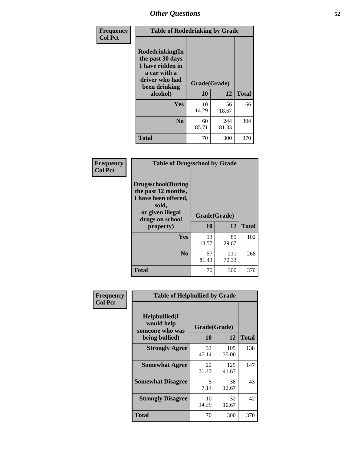| Frequency<br><b>Col Pct</b> | <b>Table of Rodedrinking by Grade</b>                                                                                  |                    |              |              |  |  |
|-----------------------------|------------------------------------------------------------------------------------------------------------------------|--------------------|--------------|--------------|--|--|
|                             | Rodedrinking(In<br>the past 30 days<br>I have ridden in<br>a car with a<br>driver who had<br>been drinking<br>alcohol) | Grade(Grade)<br>10 | 12           | <b>Total</b> |  |  |
|                             | Yes                                                                                                                    | 10<br>14.29        | 56<br>18.67  | 66           |  |  |
|                             | N <sub>0</sub>                                                                                                         | 60<br>85.71        | 244<br>81.33 | 304          |  |  |
|                             | <b>Total</b>                                                                                                           | 70                 | 300          | 370          |  |  |

#### **Frequency Col Pct**

| <b>Table of Drugsschool by Grade</b>                                                                                      |              |             |              |  |  |
|---------------------------------------------------------------------------------------------------------------------------|--------------|-------------|--------------|--|--|
| <b>Drugsschool</b> (During<br>the past 12 months,<br>I have been offered,<br>sold,<br>or given illegal<br>drugs on school | Grade(Grade) |             |              |  |  |
| property)                                                                                                                 | 10           | 12          | <b>Total</b> |  |  |
| Yes                                                                                                                       | 13<br>18.57  | 89<br>29.67 | 102          |  |  |
| N <sub>0</sub>                                                                                                            |              | 211         | 268          |  |  |
|                                                                                                                           | 57<br>81.43  | 70.33       |              |  |  |

| <b>Table of Helpbullied by Grade</b> |  |  |  |  |  |  |
|--------------------------------------|--|--|--|--|--|--|
|                                      |  |  |  |  |  |  |
| <b>Total</b>                         |  |  |  |  |  |  |
| 138                                  |  |  |  |  |  |  |
| 147                                  |  |  |  |  |  |  |
| 43                                   |  |  |  |  |  |  |
| 42                                   |  |  |  |  |  |  |
| 370                                  |  |  |  |  |  |  |
|                                      |  |  |  |  |  |  |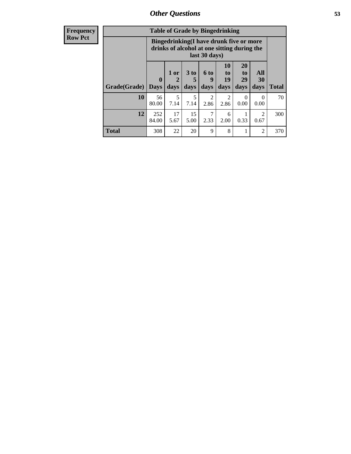| Frequency      | <b>Table of Grade by Bingedrinking</b> |                             |                |                   |                        |                                                                                        |                               |                        |              |
|----------------|----------------------------------------|-----------------------------|----------------|-------------------|------------------------|----------------------------------------------------------------------------------------|-------------------------------|------------------------|--------------|
| <b>Row Pct</b> |                                        |                             |                |                   | last 30 days)          | Bingedrinking(I have drunk five or more<br>drinks of alcohol at one sitting during the |                               |                        |              |
|                | Grade(Grade)                           | $\mathbf{0}$<br><b>Days</b> | $1$ or<br>days | 3 to<br>5<br>days | 6 to<br>q<br>days      | <b>10</b><br>to<br>19<br>days                                                          | <b>20</b><br>to<br>29<br>days | All<br>30<br>days      | <b>Total</b> |
|                | 10                                     | 56<br>80.00                 | 5<br>7.14      | 5<br>7.14         | $\mathfrak{D}$<br>2.86 | $\mathcal{D}_{\mathcal{L}}$<br>2.86                                                    | 0<br>0.00                     | $\Omega$<br>0.00       | 70           |
|                | 12                                     | 252<br>84.00                | 17<br>5.67     | 15<br>5.00        | 7<br>2.33              | 6<br>2.00                                                                              | 0.33                          | $\overline{2}$<br>0.67 | 300          |
|                | <b>Total</b>                           | 308                         | 22             | 20                | 9                      | 8                                                                                      |                               | $\overline{c}$         | 370          |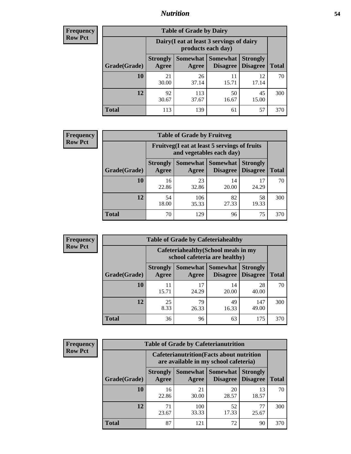### *Nutrition* **54**

| <b>Frequency</b><br>Row Pct |
|-----------------------------|
|                             |

| <b>Table of Grade by Dairy</b> |                          |                                                                 |                                    |                                    |              |
|--------------------------------|--------------------------|-----------------------------------------------------------------|------------------------------------|------------------------------------|--------------|
|                                |                          | Dairy (I eat at least 3 servings of dairy<br>products each day) |                                    |                                    |              |
| Grade(Grade)                   | <b>Strongly</b><br>Agree | Somewhat  <br>Agree                                             | <b>Somewhat</b><br><b>Disagree</b> | <b>Strongly</b><br><b>Disagree</b> | <b>Total</b> |
| 10                             | 21<br>30.00              | 26<br>37.14                                                     | 11<br>15.71                        | 12<br>17.14                        | 70           |
| 12                             | 92<br>30.67              | 113<br>37.67                                                    | 50<br>16.67                        | 45<br>15.00                        | 300          |
| <b>Total</b>                   | 113                      | 139                                                             | 61                                 | 57                                 | 370          |

| <b>Frequency</b> |  |
|------------------|--|
| <b>Row Pct</b>   |  |

| <b>Table of Grade by Fruitveg</b> |                          |                                                                          |                                    |                                    |              |
|-----------------------------------|--------------------------|--------------------------------------------------------------------------|------------------------------------|------------------------------------|--------------|
|                                   |                          | Fruitveg(I eat at least 5 servings of fruits<br>and vegetables each day) |                                    |                                    |              |
| Grade(Grade)                      | <b>Strongly</b><br>Agree | <b>Somewhat</b><br>Agree                                                 | <b>Somewhat</b><br><b>Disagree</b> | <b>Strongly</b><br><b>Disagree</b> | <b>Total</b> |
| 10                                | 16<br>22.86              | 23<br>32.86                                                              | 14<br>20.00                        | 17<br>24.29                        | 70           |
| 12                                | 54<br>18.00              | 106<br>35.33                                                             | 82<br>27.33                        | 58<br>19.33                        | 300          |
| <b>Total</b>                      | 70                       | 129                                                                      | 96                                 | 75                                 | 370          |

| <b>Frequency</b> |              | <b>Table of Grade by Cafeteriahealthy</b>                             |             |                                      |                                    |              |
|------------------|--------------|-----------------------------------------------------------------------|-------------|--------------------------------------|------------------------------------|--------------|
| <b>Row Pct</b>   |              | Cafeteriahealthy (School meals in my<br>school cafeteria are healthy) |             |                                      |                                    |              |
|                  | Grade(Grade) | <b>Strongly</b><br>Agree                                              | Agree       | Somewhat Somewhat<br><b>Disagree</b> | <b>Strongly</b><br><b>Disagree</b> | <b>Total</b> |
|                  | 10           | 11<br>15.71                                                           | 17<br>24.29 | 14<br>20.00                          | 28<br>40.00                        | 70           |
|                  | 12           | 25<br>8.33                                                            | 79<br>26.33 | 49<br>16.33                          | 147<br>49.00                       | 300          |
|                  | Total        | 36                                                                    | 96          | 63                                   | 175                                | 370          |

| <b>Frequency</b> |
|------------------|
| <b>Row Pct</b>   |

| <b>Table of Grade by Cafeterianutrition</b>                                               |                          |                          |                             |                                    |              |
|-------------------------------------------------------------------------------------------|--------------------------|--------------------------|-----------------------------|------------------------------------|--------------|
| <b>Cafeterianutrition</b> (Facts about nutrition<br>are available in my school cafeteria) |                          |                          |                             |                                    |              |
| Grade(Grade)                                                                              | <b>Strongly</b><br>Agree | <b>Somewhat</b><br>Agree | <b>Somewhat</b><br>Disagree | <b>Strongly</b><br><b>Disagree</b> | <b>Total</b> |
| 10                                                                                        | 16<br>22.86              | 21<br>30.00              | 20<br>28.57                 | 13<br>18.57                        | 70           |
| 12                                                                                        | 71<br>23.67              | 100<br>33.33             | 52<br>17.33                 | 77<br>25.67                        | 300          |
| <b>Total</b>                                                                              | 87                       | 121                      | 72                          | 90                                 | 370          |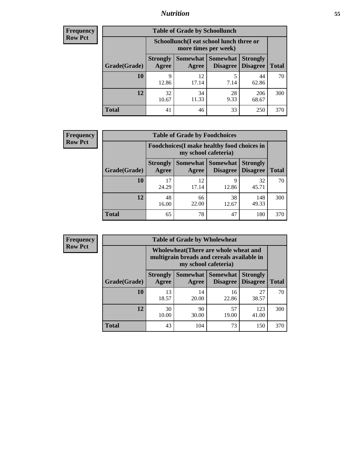## *Nutrition* **55**

| Frequency      |
|----------------|
| <b>Row Pct</b> |

| <b>Table of Grade by Schoollunch</b> |                                                                 |             |                                 |                                    |              |
|--------------------------------------|-----------------------------------------------------------------|-------------|---------------------------------|------------------------------------|--------------|
|                                      | Schoollunch(I eat school lunch three or<br>more times per week) |             |                                 |                                    |              |
| Grade(Grade)                         | <b>Strongly</b><br>Agree                                        | Agree       | Somewhat   Somewhat<br>Disagree | <b>Strongly</b><br><b>Disagree</b> | <b>Total</b> |
| 10                                   | 9<br>12.86                                                      | 12<br>17.14 | 5<br>7.14                       | 44<br>62.86                        | 70           |
| 12                                   | 32<br>10.67                                                     | 34<br>11.33 | 28<br>9.33                      | 206<br>68.67                       | 300          |
| <b>Total</b>                         | 41                                                              | 46          | 33                              | 250                                | 370          |

| <b>Frequency</b> |  |
|------------------|--|
| <b>Row Pct</b>   |  |

| y | <b>Table of Grade by Foodchoices</b> |                          |                                                                     |                                        |                                    |              |
|---|--------------------------------------|--------------------------|---------------------------------------------------------------------|----------------------------------------|------------------------------------|--------------|
|   |                                      |                          | Foodchoices (I make healthy food choices in<br>my school cafeteria) |                                        |                                    |              |
|   | Grade(Grade)                         | <b>Strongly</b><br>Agree | Agree                                                               | <b>Somewhat   Somewhat</b><br>Disagree | <b>Strongly</b><br><b>Disagree</b> | <b>Total</b> |
|   | 10                                   | 17<br>24.29              | 12<br>17.14                                                         | 12.86                                  | 32<br>45.71                        | 70           |
|   | 12                                   | 48<br>16.00              | 66<br>22.00                                                         | 38<br>12.67                            | 148<br>49.33                       | 300          |
|   | <b>Total</b>                         | 65                       | 78                                                                  | 47                                     | 180                                | 370          |

| <b>Frequency</b><br><b>Row Pct</b> |  |
|------------------------------------|--|
|                                    |  |

| <b>Table of Grade by Wholewheat</b> |    |                          |                                                                                                             |                      |                                    |              |  |
|-------------------------------------|----|--------------------------|-------------------------------------------------------------------------------------------------------------|----------------------|------------------------------------|--------------|--|
|                                     |    |                          | Wholewheat (There are whole wheat and<br>multigrain breads and cereals available in<br>my school cafeteria) |                      |                                    |              |  |
| Grade(Grade)                        |    | <b>Strongly</b><br>Agree | Somewhat<br>Agree                                                                                           | Somewhat<br>Disagree | <b>Strongly</b><br><b>Disagree</b> | <b>Total</b> |  |
|                                     | 10 | 13<br>18.57              | 14<br>20.00                                                                                                 | 16<br>22.86          | 27<br>38.57                        | 70           |  |
|                                     | 12 | 30<br>10.00              | 90<br>30.00                                                                                                 | 57<br>19.00          | 123<br>41.00                       | 300          |  |
| <b>Total</b>                        |    | 43                       | 104                                                                                                         | 73                   | 150                                | 370          |  |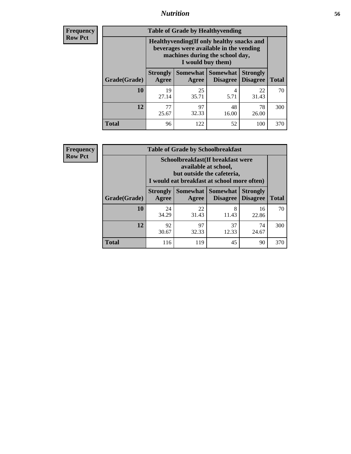### *Nutrition* **56**

**Frequency Row Pct**

| <b>Table of Grade by Healthyvending</b> |                                                                                                                                               |                          |                                    |                                    |              |  |
|-----------------------------------------|-----------------------------------------------------------------------------------------------------------------------------------------------|--------------------------|------------------------------------|------------------------------------|--------------|--|
|                                         | Healthyvending (If only healthy snacks and<br>beverages were available in the vending<br>machines during the school day,<br>I would buy them) |                          |                                    |                                    |              |  |
| Grade(Grade)                            | <b>Strongly</b><br>Agree                                                                                                                      | <b>Somewhat</b><br>Agree | <b>Somewhat</b><br><b>Disagree</b> | <b>Strongly</b><br><b>Disagree</b> | <b>Total</b> |  |
| 10                                      | 19<br>27.14                                                                                                                                   | 25<br>35.71              | 4<br>5.71                          | 22<br>31.43                        | 70           |  |
| 12                                      | 77<br>25.67                                                                                                                                   | 97<br>32.33              | 48<br>16.00                        | 78<br>26.00                        | 300          |  |
| Total                                   | 96                                                                                                                                            | 122                      | 52                                 | 100                                | 370          |  |

**Frequency Row Pct**

| <b>Table of Grade by Schoolbreakfast</b> |                                                                                                                                        |             |                                        |                                    |              |  |
|------------------------------------------|----------------------------------------------------------------------------------------------------------------------------------------|-------------|----------------------------------------|------------------------------------|--------------|--|
|                                          | Schoolbreakfast(If breakfast were<br>available at school,<br>but outside the cafeteria,<br>I would eat breakfast at school more often) |             |                                        |                                    |              |  |
| Grade(Grade)                             | <b>Strongly</b><br>Agree                                                                                                               | Agree       | Somewhat   Somewhat<br><b>Disagree</b> | <b>Strongly</b><br><b>Disagree</b> | <b>Total</b> |  |
| 10                                       | 24<br>34.29                                                                                                                            | 22<br>31.43 | 8<br>11.43                             | 16<br>22.86                        | 70           |  |
| 12                                       | 92<br>30.67                                                                                                                            | 97<br>32.33 | 37<br>12.33                            | 74<br>24.67                        | 300          |  |
| <b>Total</b>                             | 116                                                                                                                                    | 119         | 45                                     | 90                                 | 370          |  |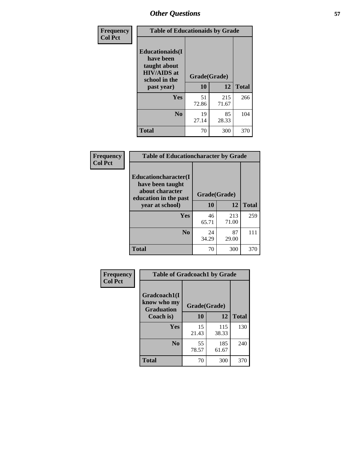| Frequency<br><b>Col Pct</b> | <b>Table of Educationaids by Grade</b>                                                                    |                    |                    |     |
|-----------------------------|-----------------------------------------------------------------------------------------------------------|--------------------|--------------------|-----|
|                             | <b>Educationaids</b> (I<br>have been<br>taught about<br><b>HIV/AIDS</b> at<br>school in the<br>past year) | Grade(Grade)<br>10 | <b>Total</b>       |     |
|                             | Yes                                                                                                       | 51<br>72.86        | 12<br>215<br>71.67 | 266 |
|                             | N <sub>0</sub>                                                                                            | 19<br>27.14        | 85<br>28.33        | 104 |
|                             | <b>Total</b>                                                                                              | 70                 | 300                | 370 |

| Frequency      | <b>Table of Educationcharacter by Grade</b>                         |              |              |              |
|----------------|---------------------------------------------------------------------|--------------|--------------|--------------|
| <b>Col Pct</b> | <b>Educationcharacter(I)</b><br>have been taught<br>about character |              |              |              |
|                | education in the past                                               | Grade(Grade) |              |              |
|                | year at school)                                                     | 10           | 12           | <b>Total</b> |
|                | Yes                                                                 | 46<br>65.71  | 213<br>71.00 | 259          |
|                | N <sub>0</sub>                                                      | 24<br>34.29  | 87<br>29.00  | 111          |
|                | <b>Total</b>                                                        | 70           | 300          | 370          |

| Frequency      | <b>Table of Gradcoach1 by Grade</b>              |              |              |              |
|----------------|--------------------------------------------------|--------------|--------------|--------------|
| <b>Col Pct</b> | Gradcoach1(I<br>know who my<br><b>Graduation</b> | Grade(Grade) |              |              |
|                | Coach is)                                        | 10           | 12           | <b>Total</b> |
|                | Yes                                              | 15<br>21.43  | 115<br>38.33 | 130          |
|                | N <sub>0</sub>                                   | 55<br>78.57  | 185<br>61.67 | 240          |
|                | <b>Total</b>                                     | 70           | 300          | 370          |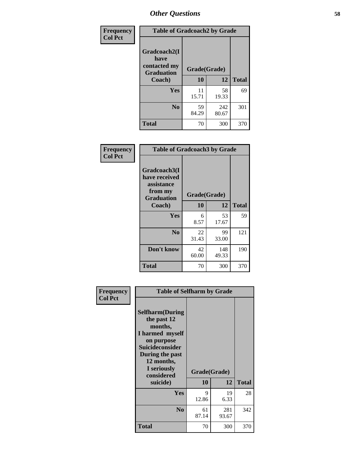| Frequency      | <b>Table of Gradcoach2 by Grade</b> |              |              |              |
|----------------|-------------------------------------|--------------|--------------|--------------|
| <b>Col Pct</b> | Gradcoach2(I<br>have                |              |              |              |
|                | contacted my<br><b>Graduation</b>   | Grade(Grade) |              |              |
|                | Coach)                              | 10           | 12           | <b>Total</b> |
|                | Yes                                 | 11<br>15.71  | 58<br>19.33  | 69           |
|                | N <sub>0</sub>                      | 59<br>84.29  | 242<br>80.67 | 301          |
|                | <b>Total</b>                        | 70           | 300          | 370          |

| Frequency<br><b>Col Pct</b> | <b>Table of Gradcoach3 by Grade</b>                                         |              |              |              |
|-----------------------------|-----------------------------------------------------------------------------|--------------|--------------|--------------|
|                             | Gradcoach3(I<br>have received<br>assistance<br>from my<br><b>Graduation</b> | Grade(Grade) |              |              |
|                             | Coach)                                                                      | 10           | 12           | <b>Total</b> |
|                             | Yes                                                                         | 6<br>8.57    | 53<br>17.67  | 59           |
|                             | N <sub>0</sub>                                                              | 22<br>31.43  | 99<br>33.00  | 121          |
|                             | Don't know                                                                  | 42<br>60.00  | 148<br>49.33 | 190          |
|                             | <b>Total</b>                                                                | 70           | 300          | 370          |

|                             | <b>Table of Selfharm by Grade</b>                                                                  |              |              |              |  |
|-----------------------------|----------------------------------------------------------------------------------------------------|--------------|--------------|--------------|--|
| Frequency<br><b>Col Pct</b> | <b>Selfharm</b> (During<br>the past 12<br>months,<br>I harmed myself                               |              |              |              |  |
|                             | on purpose<br><b>Suicideconsider</b><br>During the past<br>12 months,<br>I seriously<br>considered | Grade(Grade) |              |              |  |
|                             | suicide)                                                                                           | 10           | 12           | <b>Total</b> |  |
|                             | <b>Yes</b>                                                                                         | 9<br>12.86   | 19<br>6.33   | 28           |  |
|                             | N <sub>0</sub>                                                                                     | 61<br>87.14  | 281<br>93.67 | 342          |  |
|                             | <b>Total</b>                                                                                       | 70           | 300          | 370          |  |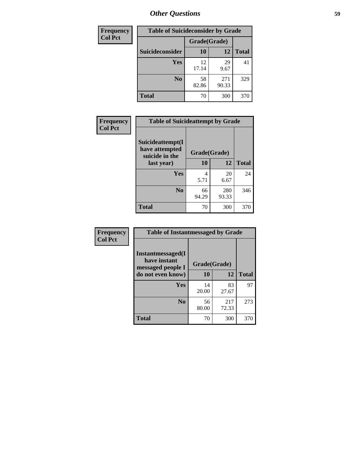| <b>Frequency</b> | <b>Table of Suicideconsider by Grade</b> |              |              |              |  |
|------------------|------------------------------------------|--------------|--------------|--------------|--|
| <b>Col Pct</b>   |                                          | Grade(Grade) |              |              |  |
|                  | <b>Suicideconsider</b>                   | 10           | 12           | <b>Total</b> |  |
|                  | <b>Yes</b>                               | 12<br>17.14  | 29<br>9.67   | 41           |  |
|                  | N <sub>0</sub>                           | 58<br>82.86  | 271<br>90.33 | 329          |  |
|                  | <b>Total</b>                             | 70           | 300          | 370          |  |

| Frequency      | <b>Table of Suicideattempt by Grade</b>              |              |              |              |
|----------------|------------------------------------------------------|--------------|--------------|--------------|
| <b>Col Pct</b> | Suicideattempt(I<br>have attempted<br>suicide in the | Grade(Grade) |              |              |
|                | last year)                                           | 10           | 12           | <b>Total</b> |
|                | Yes                                                  | 4<br>5.71    | 20<br>6.67   | 24           |
|                | N <sub>0</sub>                                       | 66<br>94.29  | 280<br>93.33 | 346          |
|                | <b>Total</b>                                         | 70           | 300          | 370          |

| Frequency      | <b>Table of Instantmessaged by Grade</b>               |              |              |              |
|----------------|--------------------------------------------------------|--------------|--------------|--------------|
| <b>Col Pct</b> | Instantmessaged(I<br>have instant<br>messaged people I | Grade(Grade) |              |              |
|                | do not even know)                                      | 10           | 12           | <b>Total</b> |
|                | Yes                                                    | 14<br>20.00  | 83<br>27.67  | 97           |
|                | N <sub>0</sub>                                         | 56<br>80.00  | 217<br>72.33 | 273          |
|                | <b>Total</b>                                           | 70           | 300          | 370          |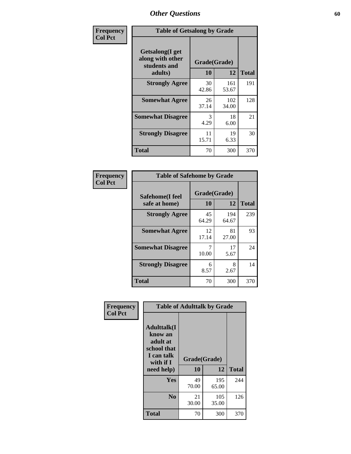| Frequency      |                                                             | <b>Table of Getsalong by Grade</b> |              |              |  |  |  |  |
|----------------|-------------------------------------------------------------|------------------------------------|--------------|--------------|--|--|--|--|
| <b>Col Pct</b> | <b>Getsalong</b> (I get<br>along with other<br>students and |                                    | Grade(Grade) |              |  |  |  |  |
|                | adults)                                                     | 10                                 | 12           | <b>Total</b> |  |  |  |  |
|                | <b>Strongly Agree</b>                                       | 30<br>42.86                        | 161<br>53.67 | 191          |  |  |  |  |
|                | <b>Somewhat Agree</b>                                       | 26<br>37.14                        | 102<br>34.00 | 128          |  |  |  |  |
|                | <b>Somewhat Disagree</b>                                    | 3<br>4.29                          | 18<br>6.00   | 21           |  |  |  |  |
|                | <b>Strongly Disagree</b>                                    | 11<br>15.71                        | 19<br>6.33   | 30           |  |  |  |  |
|                | Total                                                       | 70                                 | 300          | 370          |  |  |  |  |

| Frequency      | <b>Table of Safehome by Grade</b> |                    |              |              |  |
|----------------|-----------------------------------|--------------------|--------------|--------------|--|
| <b>Col Pct</b> | Safehome(I feel<br>safe at home)  | Grade(Grade)<br>10 | 12           | <b>Total</b> |  |
|                | <b>Strongly Agree</b>             | 45<br>64.29        | 194<br>64.67 | 239          |  |
|                | <b>Somewhat Agree</b>             | 12<br>17.14        | 81<br>27.00  | 93           |  |
|                | <b>Somewhat Disagree</b>          | 10.00              | 17<br>5.67   | 24           |  |
|                | <b>Strongly Disagree</b>          | 6<br>8.57          | 8<br>2.67    | 14           |  |
|                | <b>Total</b>                      | 70                 | 300          | 370          |  |

| Frequency      | <b>Table of Adulttalk by Grade</b>                                                  |              |              |              |  |  |  |
|----------------|-------------------------------------------------------------------------------------|--------------|--------------|--------------|--|--|--|
| <b>Col Pct</b> | <b>Adulttalk(I</b><br>know an<br>adult at<br>school that<br>I can talk<br>with if I | Grade(Grade) |              |              |  |  |  |
|                | need help)                                                                          | 10           | 12           | <b>Total</b> |  |  |  |
|                | <b>Yes</b>                                                                          | 49<br>70.00  | 195<br>65.00 | 244          |  |  |  |
|                | N <sub>0</sub>                                                                      | 21<br>30.00  | 105<br>35.00 | 126          |  |  |  |
|                | <b>Total</b>                                                                        | 70           | 300          | 370          |  |  |  |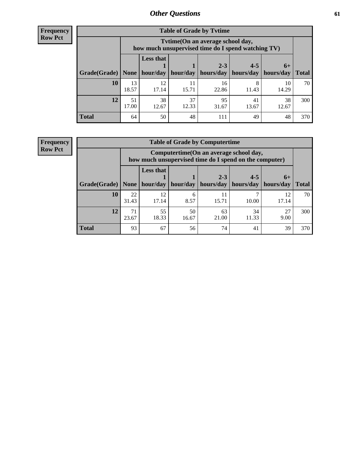**Frequency Row Pct**

| <b>Table of Grade by Tytime</b> |             |                                                                                         |                     |             |                       |             |              |  |  |  |
|---------------------------------|-------------|-----------------------------------------------------------------------------------------|---------------------|-------------|-----------------------|-------------|--------------|--|--|--|
|                                 |             | Tytime (On an average school day,<br>how much unsupervised time do I spend watching TV) |                     |             |                       |             |              |  |  |  |
|                                 |             | <b>Less that</b>                                                                        |                     | $2 - 3$     | $4 - 5$               | $6+$        |              |  |  |  |
| Grade(Grade)   None             |             |                                                                                         | hour/day   hour/day | hours/day   | hours/day   hours/day |             | <b>Total</b> |  |  |  |
| 10                              | 13<br>18.57 | 12<br>17.14                                                                             | 11<br>15.71         | 16<br>22.86 | 8<br>11.43            | 10<br>14.29 | 70           |  |  |  |
| 12                              | 51<br>17.00 | 38<br>37<br>95<br>38<br>41<br>12.67<br>12.33<br>31.67<br>13.67<br>12.67                 |                     |             |                       |             |              |  |  |  |
| <b>Total</b>                    | 64          | 50                                                                                      | 48                  | 111         | 49                    | 48          | 370          |  |  |  |

**Frequency Row Pct**

| <b>Table of Grade by Computertime</b> |             |                                                                                                   |           |                      |                      |                   |              |  |  |  |  |
|---------------------------------------|-------------|---------------------------------------------------------------------------------------------------|-----------|----------------------|----------------------|-------------------|--------------|--|--|--|--|
|                                       |             | Computertime (On an average school day,<br>how much unsupervised time do I spend on the computer) |           |                      |                      |                   |              |  |  |  |  |
| Grade(Grade)                          | None        | <b>Less that</b><br>hour/day                                                                      | hour/day  | $2 - 3$<br>hours/day | $4 - 5$<br>hours/day | $6+$<br>hours/day | <b>Total</b> |  |  |  |  |
| 10                                    | 22<br>31.43 | 12<br>17.14                                                                                       | 6<br>8.57 | 11<br>15.71          | 10.00                | 12<br>17.14       | 70           |  |  |  |  |
| 12                                    | 71<br>23.67 | 55<br>34<br>50<br>27<br>63<br>18.33<br>21.00<br>11.33<br>9.00<br>16.67                            |           |                      |                      |                   |              |  |  |  |  |
| <b>Total</b>                          | 93          | 67                                                                                                | 56        | 74                   | 41                   | 39                | 370          |  |  |  |  |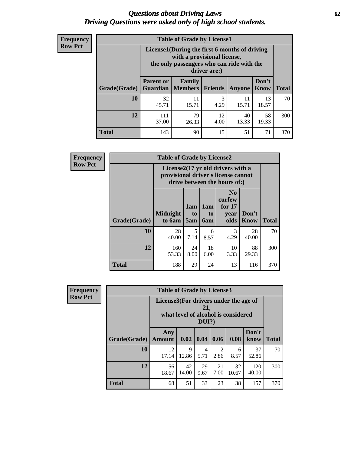#### *Questions about Driving Laws* **62** *Driving Questions were asked only of high school students.*

| <b>Frequency</b> |
|------------------|
| <b>Row Pct</b>   |

| <b>Table of Grade by License1</b> |                                                                         |                                                                                                                                           |           |             |               |              |  |  |  |
|-----------------------------------|-------------------------------------------------------------------------|-------------------------------------------------------------------------------------------------------------------------------------------|-----------|-------------|---------------|--------------|--|--|--|
|                                   |                                                                         | License1(During the first 6 months of driving<br>with a provisional license,<br>the only passengers who can ride with the<br>driver are:) |           |             |               |              |  |  |  |
| Grade(Grade)                      | <b>Parent or</b>                                                        | <b>Family</b><br><b>Guardian</b>   Members                                                                                                | Friends   | Anyone      | Don't<br>Know | <b>Total</b> |  |  |  |
| 10                                | 32<br>45.71                                                             | 11<br>15.71                                                                                                                               | 3<br>4.29 | 11<br>15.71 | 13<br>18.57   | 70           |  |  |  |
| 12                                | 79<br>111<br>58<br>12<br>40<br>37.00<br>4.00<br>13.33<br>19.33<br>26.33 |                                                                                                                                           |           |             |               |              |  |  |  |
| Total                             | 143                                                                     | 90                                                                                                                                        | 15        | 51          | 71            | 370          |  |  |  |

| <b>Frequency</b> |              | <b>Table of Grade by License2</b> |                                                                                                          |                              |                                                      |                      |              |  |  |
|------------------|--------------|-----------------------------------|----------------------------------------------------------------------------------------------------------|------------------------------|------------------------------------------------------|----------------------|--------------|--|--|
| <b>Row Pct</b>   |              |                                   | License2(17 yr old drivers with a<br>provisional driver's license cannot<br>drive between the hours of:) |                              |                                                      |                      |              |  |  |
|                  | Grade(Grade) | <b>Midnight</b><br>to 6am         | 1am<br>to<br>5am                                                                                         | 1am<br>t <sub>0</sub><br>6am | N <sub>0</sub><br>curfew<br>for $17$<br>year<br>olds | Don't<br><b>Know</b> | <b>Total</b> |  |  |
|                  | 10           | 28<br>40.00                       | 5<br>7.14                                                                                                | 6<br>8.57                    | 3<br>4.29                                            | 28<br>40.00          | 70           |  |  |
|                  | 12           | 160<br>53.33                      | 24<br>8.00                                                                                               | 18<br>6.00                   | 10<br>3.33                                           | 88<br>29.33          | 300          |  |  |
|                  | <b>Total</b> | 188                               | 29                                                                                                       | 24                           | 13                                                   | 116                  | 370          |  |  |

| Frequency      |              | <b>Table of Grade by License3</b>     |             |                 |            |                                     |               |              |  |  |
|----------------|--------------|---------------------------------------|-------------|-----------------|------------|-------------------------------------|---------------|--------------|--|--|
| <b>Row Pct</b> |              | License3(For drivers under the age of |             | 21,<br>$DUI$ ?) |            | what level of alcohol is considered |               |              |  |  |
|                | Grade(Grade) | Any<br><b>Amount</b>                  | 0.02        | 0.04            | 0.06       | 0.08                                | Don't<br>know | <b>Total</b> |  |  |
|                | 10           | 12<br>17.14                           | 9<br>12.86  | 4<br>5.71       | 2<br>2.86  | 6<br>8.57                           | 37<br>52.86   | 70           |  |  |
|                | 12           | 56<br>18.67                           | 42<br>14.00 | 29<br>9.67      | 21<br>7.00 | 32<br>10.67                         | 120<br>40.00  | 300          |  |  |
|                | <b>Total</b> | 68                                    | 51          | 33              | 23         | 38                                  | 157           | 370          |  |  |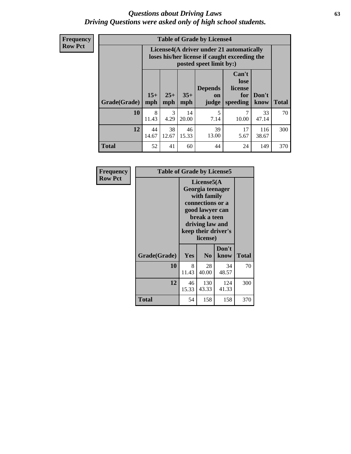#### *Questions about Driving Laws* **63** *Driving Questions were asked only of high school students.*

**Frequency Row Pct**

| <b>Table of Grade by License4</b> |             |                                                                                                                                                                                                                                                                                |             |           |            |             |     |  |  |  |
|-----------------------------------|-------------|--------------------------------------------------------------------------------------------------------------------------------------------------------------------------------------------------------------------------------------------------------------------------------|-------------|-----------|------------|-------------|-----|--|--|--|
|                                   |             | License4(A driver under 21 automatically<br>loses his/her license if caught exceeding the<br>posted speet limit by:)<br>Can't<br>lose<br><b>Depends</b><br>license<br>$15+$<br>$25+$<br>$35+$<br>Don't<br>for<br>on<br><b>Total</b><br>mph<br>speeding<br>know<br>mph<br>judge |             |           |            |             |     |  |  |  |
| Grade(Grade)                      | mph         |                                                                                                                                                                                                                                                                                |             |           |            |             |     |  |  |  |
| 10                                | 8<br>11.43  | 3<br>4.29                                                                                                                                                                                                                                                                      | 14<br>20.00 | 5<br>7.14 | 7<br>10.00 | 33<br>47.14 | 70  |  |  |  |
| 12                                | 44<br>14.67 | 38<br>39<br>46<br>17<br>116<br>13.00<br>12.67<br>15.33<br>5.67<br>38.67                                                                                                                                                                                                        |             |           |            |             |     |  |  |  |
| <b>Total</b>                      | 52          | 41                                                                                                                                                                                                                                                                             | 60          | 44        | 24         | 149         | 370 |  |  |  |

| Frequency      | <b>Table of Grade by License5</b> |                                                                                                                                                             |                |               |       |
|----------------|-----------------------------------|-------------------------------------------------------------------------------------------------------------------------------------------------------------|----------------|---------------|-------|
| <b>Row Pct</b> |                                   | License5(A)<br>Georgia teenager<br>with family<br>connections or a<br>good lawyer can<br>break a teen<br>driving law and<br>keep their driver's<br>license) |                |               |       |
|                | Grade(Grade)                      | Yes                                                                                                                                                         | N <sub>0</sub> | Don't<br>know | Total |
|                | 10                                | 8<br>11.43                                                                                                                                                  | 28<br>40.00    | 34<br>48.57   | 70    |
|                | 12                                | 46<br>15.33                                                                                                                                                 | 130<br>43.33   | 124<br>41.33  | 300   |
|                | Total                             | 54                                                                                                                                                          | 158            | 158           | 370   |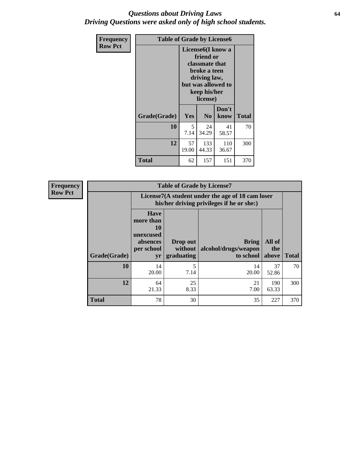#### *Questions about Driving Laws* **64** *Driving Questions were asked only of high school students.*

| <b>Frequency</b> | <b>Table of Grade by License6</b> |                                                                                                                                                 |                |               |              |
|------------------|-----------------------------------|-------------------------------------------------------------------------------------------------------------------------------------------------|----------------|---------------|--------------|
| <b>Row Pct</b>   |                                   | License <sub>6</sub> (I know a<br>friend or<br>classmate that<br>broke a teen<br>driving law,<br>but was allowed to<br>keep his/her<br>license) |                |               |              |
|                  | Grade(Grade)                      | Yes                                                                                                                                             | N <sub>0</sub> | Don't<br>know | <b>Total</b> |
|                  | 10                                | 5<br>7.14                                                                                                                                       | 24<br>34.29    | 41<br>58.57   | 70           |
|                  | 12                                | 57<br>19.00                                                                                                                                     | 300            |               |              |
|                  | <b>Total</b>                      | 62                                                                                                                                              | 157            | 151           | 370          |

| <b>Frequency</b> |              |                                                                             | <b>Table of Grade by License7</b>                                                             |                                            |                        |              |  |
|------------------|--------------|-----------------------------------------------------------------------------|-----------------------------------------------------------------------------------------------|--------------------------------------------|------------------------|--------------|--|
| <b>Row Pct</b>   |              |                                                                             | License7(A student under the age of 18 cam loser<br>his/her driving privileges if he or she:) |                                            |                        |              |  |
|                  | Grade(Grade) | <b>Have</b><br>more than<br>10<br>unexcused<br>absences<br>per school<br>yr | Drop out<br>without  <br>graduating                                                           | Bring<br>alcohol/drugs/weapon<br>to school | All of<br>the<br>above | <b>Total</b> |  |
|                  | 10           | 14<br>20.00                                                                 | 5<br>7.14                                                                                     | 14<br>20.00                                | 37<br>52.86            | 70           |  |
|                  | 12           | 64<br>21.33                                                                 | 25<br>8.33                                                                                    | 21<br>7.00                                 | 190<br>63.33           | 300          |  |
|                  | <b>Total</b> | 78                                                                          | 30                                                                                            | 35                                         | 227                    | 370          |  |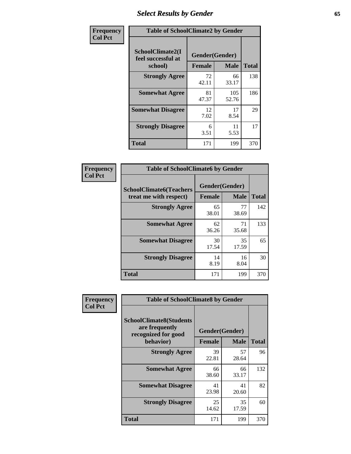# *Select Results by Gender* **65**

| Frequency      | <b>Table of SchoolClimate2 by Gender</b>          |                                 |              |              |
|----------------|---------------------------------------------------|---------------------------------|--------------|--------------|
| <b>Col Pct</b> | SchoolClimate2(I<br>feel successful at<br>school) | Gender(Gender)<br><b>Female</b> | <b>Male</b>  | <b>Total</b> |
|                | <b>Strongly Agree</b>                             | 72<br>42.11                     | 66<br>33.17  | 138          |
|                | <b>Somewhat Agree</b>                             | 81<br>47.37                     | 105<br>52.76 | 186          |
|                | <b>Somewhat Disagree</b>                          | 12<br>7.02                      | 17<br>8.54   | 29           |
|                | <b>Strongly Disagree</b>                          | 6<br>3.51                       | 11<br>5.53   | 17           |
|                | <b>Total</b>                                      | 171                             | 199          | 370          |

| Frequency      | <b>Table of SchoolClimate6 by Gender</b>                 |                                 |             |              |  |
|----------------|----------------------------------------------------------|---------------------------------|-------------|--------------|--|
| <b>Col Pct</b> | <b>SchoolClimate6(Teachers</b><br>treat me with respect) | Gender(Gender)<br><b>Female</b> | <b>Male</b> | <b>Total</b> |  |
|                | <b>Strongly Agree</b>                                    | 65<br>38.01                     | 77<br>38.69 | 142          |  |
|                | <b>Somewhat Agree</b>                                    | 62<br>36.26                     | 71<br>35.68 | 133          |  |
|                | <b>Somewhat Disagree</b>                                 | 30<br>17.54                     | 35<br>17.59 | 65           |  |
|                | <b>Strongly Disagree</b>                                 | 14<br>8.19                      | 16<br>8.04  | 30           |  |
|                | <b>Total</b>                                             | 171                             | 199         | 370          |  |

| Frequency      | <b>Table of SchoolClimate8 by Gender</b>                                             |                                 |             |              |
|----------------|--------------------------------------------------------------------------------------|---------------------------------|-------------|--------------|
| <b>Col Pct</b> | <b>SchoolClimate8(Students</b><br>are frequently<br>recognized for good<br>behavior) | Gender(Gender)<br><b>Female</b> | <b>Male</b> | <b>Total</b> |
|                | <b>Strongly Agree</b>                                                                | 39<br>22.81                     | 57<br>28.64 | 96           |
|                | <b>Somewhat Agree</b>                                                                | 66<br>38.60                     | 66<br>33.17 | 132          |
|                | <b>Somewhat Disagree</b>                                                             | 41<br>23.98                     | 41<br>20.60 | 82           |
|                | <b>Strongly Disagree</b>                                                             | 25<br>14.62                     | 35<br>17.59 | 60           |
|                | Total                                                                                | 171                             | 199         | 370          |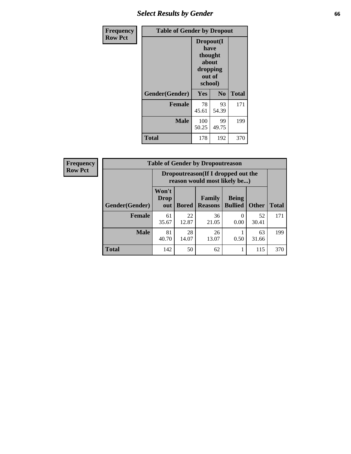# *Select Results by Gender* **66**

| Frequency      | <b>Table of Gender by Dropout</b> |                                                                        |                |              |
|----------------|-----------------------------------|------------------------------------------------------------------------|----------------|--------------|
| <b>Row Pct</b> |                                   | Dropout(I<br>have<br>thought<br>about<br>dropping<br>out of<br>school) |                |              |
|                | Gender(Gender)                    | Yes                                                                    | N <sub>0</sub> | <b>Total</b> |
|                | <b>Female</b>                     | 78<br>45.61                                                            | 93<br>54.39    | 171          |
|                | <b>Male</b>                       | 100<br>50.25                                                           | 99<br>49.75    | 199          |
|                | <b>Total</b>                      | 178                                                                    | 192            | 370          |

| <b>Frequency</b> | <b>Table of Gender by Dropoutreason</b> |                                                                     |              |                          |                                |              |              |
|------------------|-----------------------------------------|---------------------------------------------------------------------|--------------|--------------------------|--------------------------------|--------------|--------------|
| <b>Row Pct</b>   |                                         | Dropoutreason (If I dropped out the<br>reason would most likely be) |              |                          |                                |              |              |
|                  | Gender(Gender)                          | Won't<br><b>Drop</b><br>out                                         | <b>Bored</b> | Family<br><b>Reasons</b> | <b>Being</b><br><b>Bullied</b> | <b>Other</b> | <b>Total</b> |
|                  | <b>Female</b>                           | 61<br>35.67                                                         | 22<br>12.87  | 36<br>21.05              | $\Omega$<br>0.00               | 52<br>30.41  | 171          |
|                  | <b>Male</b>                             | 81<br>40.70                                                         | 28<br>14.07  | 26<br>13.07              | 0.50                           | 63<br>31.66  | 199          |
|                  | <b>Total</b>                            | 142                                                                 | 50           | 62                       |                                | 115          | 370          |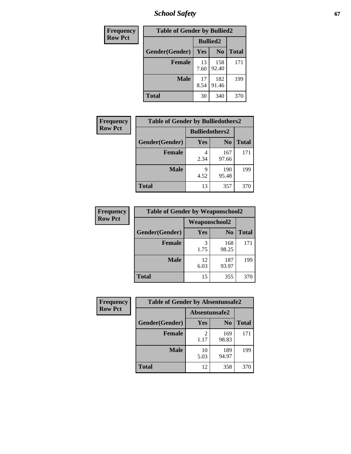*School Safety* **67**

| Frequency      | <b>Table of Gender by Bullied2</b> |                 |                |              |
|----------------|------------------------------------|-----------------|----------------|--------------|
| <b>Row Pct</b> |                                    | <b>Bullied2</b> |                |              |
|                | Gender(Gender)                     | Yes             | N <sub>0</sub> | <b>Total</b> |
|                | <b>Female</b>                      | 13<br>7.60      | 158<br>92.40   | 171          |
|                | <b>Male</b>                        | 17<br>8.54      | 182<br>91.46   | 199          |
|                | <b>Total</b>                       | 30              | 340            | 370          |

| <b>Frequency</b> | <b>Table of Gender by Bulliedothers2</b> |                       |                |       |
|------------------|------------------------------------------|-----------------------|----------------|-------|
| <b>Row Pct</b>   |                                          | <b>Bulliedothers2</b> |                |       |
|                  | Gender(Gender)                           | <b>Yes</b>            | N <sub>0</sub> | Total |
|                  | <b>Female</b>                            | 2.34                  | 167<br>97.66   | 171   |
|                  | <b>Male</b>                              | Q<br>4.52             | 190<br>95.48   | 199   |
|                  | <b>Total</b>                             | 13                    | 357            | 370   |

| Frequency      | <b>Table of Gender by Weaponschool2</b> |               |                |              |
|----------------|-----------------------------------------|---------------|----------------|--------------|
| <b>Row Pct</b> |                                         | Weaponschool2 |                |              |
|                | Gender(Gender)                          | Yes           | N <sub>0</sub> | <b>Total</b> |
|                | <b>Female</b>                           | 3<br>1.75     | 168<br>98.25   | 171          |
|                | <b>Male</b>                             | 12<br>6.03    | 187<br>93.97   | 199          |
|                | <b>Total</b>                            | 15            | 355            | 370          |

| Frequency      | <b>Table of Gender by Absentunsafe2</b> |               |                |              |
|----------------|-----------------------------------------|---------------|----------------|--------------|
| <b>Row Pct</b> |                                         | Absentunsafe2 |                |              |
|                | Gender(Gender)                          | Yes           | N <sub>0</sub> | <b>Total</b> |
|                | <b>Female</b>                           | 1.17          | 169<br>98.83   | 171          |
|                | <b>Male</b>                             | 10<br>5.03    | 189<br>94.97   | 199          |
|                | <b>Total</b>                            | 12            | 358            | 370          |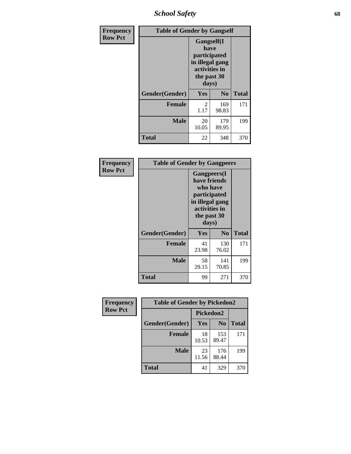*School Safety* **68**

| Frequency      | <b>Table of Gender by Gangself</b> |                                                                                                |                |              |
|----------------|------------------------------------|------------------------------------------------------------------------------------------------|----------------|--------------|
| <b>Row Pct</b> |                                    | Gangself(I<br>have<br>participated<br>in illegal gang<br>activities in<br>the past 30<br>days) |                |              |
|                | Gender(Gender)                     | Yes                                                                                            | N <sub>0</sub> | <b>Total</b> |
|                | <b>Female</b>                      | 2<br>1.17                                                                                      | 169<br>98.83   | 171          |
|                | <b>Male</b>                        | 20<br>10.05                                                                                    | 179<br>89.95   | 199          |
|                | <b>Total</b>                       | 22                                                                                             | 348            | 370          |

| Frequency      |                | <b>Table of Gender by Gangpeers</b>                                                                                         |                |              |
|----------------|----------------|-----------------------------------------------------------------------------------------------------------------------------|----------------|--------------|
| <b>Row Pct</b> |                | <b>Gangpeers</b> (I<br>have friends<br>who have<br>participated<br>in illegal gang<br>activities in<br>the past 30<br>days) |                |              |
|                | Gender(Gender) | <b>Yes</b>                                                                                                                  | N <sub>0</sub> | <b>Total</b> |
|                | <b>Female</b>  | 41<br>23.98                                                                                                                 | 130<br>76.02   | 171          |
|                | <b>Male</b>    | 58<br>29.15                                                                                                                 | 141<br>70.85   | 199          |
|                | Total          | 99                                                                                                                          | 271            | 370          |

| <b>Frequency</b> | <b>Table of Gender by Pickedon2</b> |             |                |              |
|------------------|-------------------------------------|-------------|----------------|--------------|
| <b>Row Pct</b>   |                                     |             | Pickedon2      |              |
|                  | Gender(Gender)                      | Yes         | N <sub>0</sub> | <b>Total</b> |
|                  | <b>Female</b>                       | 18<br>10.53 | 153<br>89.47   | 171          |
|                  | <b>Male</b>                         | 23<br>11.56 | 176<br>88.44   | 199          |
|                  | <b>Total</b>                        | 41          | 329            | 370          |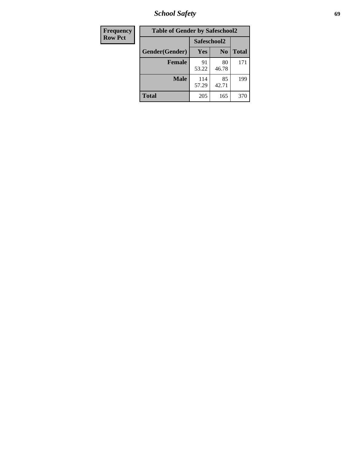*School Safety* **69**

| Frequency      | <b>Table of Gender by Safeschool2</b> |              |                |              |
|----------------|---------------------------------------|--------------|----------------|--------------|
| <b>Row Pct</b> |                                       | Safeschool2  |                |              |
|                | Gender(Gender)                        | <b>Yes</b>   | N <sub>0</sub> | <b>Total</b> |
|                | <b>Female</b>                         | 91<br>53.22  | 80<br>46.78    | 171          |
|                | <b>Male</b>                           | 114<br>57.29 | 85<br>42.71    | 199          |
|                | <b>Total</b>                          | 205          | 165            | 370          |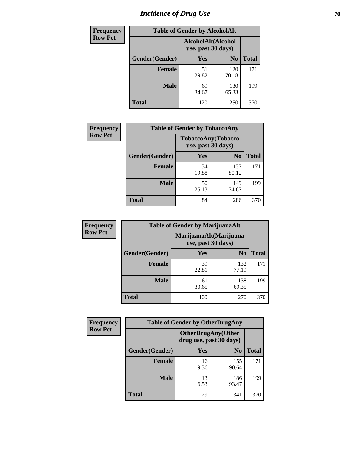# *Incidence of Drug Use* **70**

| <b>Frequency</b> | <b>Table of Gender by AlcoholAlt</b> |                                          |                |              |  |
|------------------|--------------------------------------|------------------------------------------|----------------|--------------|--|
| <b>Row Pct</b>   |                                      | AlcoholAlt(Alcohol<br>use, past 30 days) |                |              |  |
|                  | Gender(Gender)                       | <b>Yes</b>                               | N <sub>0</sub> | <b>Total</b> |  |
|                  | <b>Female</b>                        | 51<br>29.82                              | 120<br>70.18   | 171          |  |
|                  | <b>Male</b>                          | 69<br>34.67                              | 130<br>65.33   | 199          |  |
|                  | <b>Total</b>                         | 120                                      | 250            | 370          |  |

| <b>Frequency</b> | <b>Table of Gender by TobaccoAny</b> |                                          |                |              |  |
|------------------|--------------------------------------|------------------------------------------|----------------|--------------|--|
| <b>Row Pct</b>   |                                      | TobaccoAny(Tobacco<br>use, past 30 days) |                |              |  |
|                  | Gender(Gender)                       | Yes                                      | N <sub>0</sub> | <b>Total</b> |  |
|                  | <b>Female</b>                        | 34<br>19.88                              | 137<br>80.12   | 171          |  |
|                  | <b>Male</b>                          | 50<br>25.13                              | 149<br>74.87   | 199          |  |
|                  | <b>Total</b>                         | 84                                       | 286            | 370          |  |

| <b>Frequency</b> | <b>Table of Gender by MarijuanaAlt</b> |             |                                              |              |
|------------------|----------------------------------------|-------------|----------------------------------------------|--------------|
| <b>Row Pct</b>   |                                        |             | MarijuanaAlt(Marijuana<br>use, past 30 days) |              |
|                  | Gender(Gender)                         | <b>Yes</b>  | N <sub>0</sub>                               | <b>Total</b> |
|                  | <b>Female</b>                          | 39<br>22.81 | 132<br>77.19                                 | 171          |
|                  | <b>Male</b>                            | 61<br>30.65 | 138<br>69.35                                 | 199          |
|                  | <b>Total</b>                           | 100         | 270                                          | 370          |

| <b>Frequency</b> | <b>Table of Gender by OtherDrugAny</b> |                         |                           |              |
|------------------|----------------------------------------|-------------------------|---------------------------|--------------|
| <b>Row Pct</b>   |                                        | drug use, past 30 days) | <b>OtherDrugAny(Other</b> |              |
|                  | Gender(Gender)                         | <b>Yes</b>              | N <sub>0</sub>            | <b>Total</b> |
|                  | <b>Female</b>                          | 16<br>9.36              | 155<br>90.64              | 171          |
|                  | <b>Male</b>                            | 13<br>6.53              | 186<br>93.47              | 199          |
|                  | <b>Total</b>                           | 29                      | 341                       | 370          |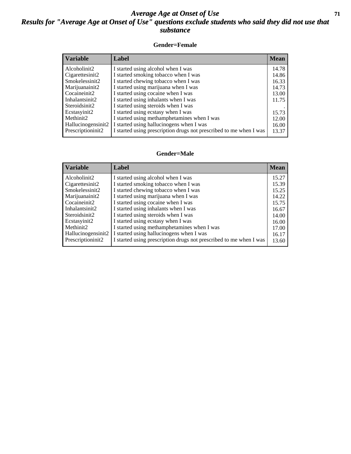#### *Average Age at Onset of Use* **71** *Results for "Average Age at Onset of Use" questions exclude students who said they did not use that substance*

#### **Gender=Female**

| <i><b>Variable</b></i> | Label                                                              | <b>Mean</b> |
|------------------------|--------------------------------------------------------------------|-------------|
| Alcoholinit2           | I started using alcohol when I was                                 | 14.78       |
| Cigarettesinit2        | I started smoking tobacco when I was                               | 14.86       |
| Smokelessinit2         | I started chewing tobacco when I was                               | 16.33       |
| Marijuanainit2         | I started using marijuana when I was                               | 14.73       |
| Cocaineinit2           | I started using cocaine when I was                                 | 13.00       |
| Inhalantsinit2         | I started using inhalants when I was                               | 11.75       |
| Steroidsinit2          | I started using steroids when I was                                |             |
| Ecstasyinit2           | I started using ecstasy when I was                                 | 15.73       |
| Methinit2              | I started using methamphetamines when I was                        | 12.00       |
| Hallucinogensinit2     | I started using hallucinogens when I was                           | 16.00       |
| Prescription in t2     | I started using prescription drugs not prescribed to me when I was | 13.37       |

#### **Gender=Male**

| <b>Variable</b>    | Label                                                              | <b>Mean</b> |
|--------------------|--------------------------------------------------------------------|-------------|
| Alcoholinit2       | I started using alcohol when I was                                 | 15.27       |
| Cigarettesinit2    | I started smoking tobacco when I was                               | 15.39       |
| Smokelessinit2     | I started chewing tobacco when I was                               | 15.25       |
| Marijuanainit2     | I started using marijuana when I was                               | 14.22       |
| Cocaineinit2       | I started using cocaine when I was                                 | 15.75       |
| Inhalantsinit2     | I started using inhalants when I was                               | 16.67       |
| Steroidsinit2      | I started using steroids when I was                                | 14.00       |
| Ecstasyinit2       | I started using ecstasy when I was                                 | 16.00       |
| Methinit2          | I started using methamphetamines when I was                        | 17.00       |
| Hallucinogensinit2 | I started using hallucinogens when I was                           | 16.17       |
| Prescriptioninit2  | I started using prescription drugs not prescribed to me when I was | 13.60       |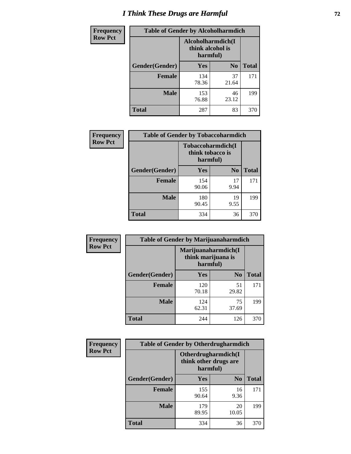# *I Think These Drugs are Harmful* **72**

| <b>Frequency</b> | <b>Table of Gender by Alcoholharmdich</b> |                                                   |                |              |
|------------------|-------------------------------------------|---------------------------------------------------|----------------|--------------|
| <b>Row Pct</b>   |                                           | Alcoholharmdich(I<br>think alcohol is<br>harmful) |                |              |
|                  | Gender(Gender)                            | <b>Yes</b>                                        | N <sub>0</sub> | <b>Total</b> |
|                  | <b>Female</b>                             | 134<br>78.36                                      | 37<br>21.64    | 171          |
|                  | <b>Male</b>                               | 153<br>76.88                                      | 46<br>23.12    | 199          |
|                  | <b>Total</b>                              | 287                                               | 83             | 370          |

| Frequency      | <b>Table of Gender by Tobaccoharmdich</b> |                  |                                       |              |  |
|----------------|-------------------------------------------|------------------|---------------------------------------|--------------|--|
| <b>Row Pct</b> |                                           | think tobacco is | <b>Tobaccoharmdich</b> (I<br>harmful) |              |  |
|                | Gender(Gender)                            | <b>Yes</b>       | N <sub>0</sub>                        | <b>Total</b> |  |
|                | <b>Female</b>                             | 154<br>90.06     | 17<br>9.94                            | 171          |  |
|                | <b>Male</b>                               | 180<br>90.45     | 19<br>9.55                            | 199          |  |
|                | <b>Total</b>                              | 334              | 36                                    | 370          |  |

| Frequency      | <b>Table of Gender by Marijuanaharmdich</b> |                                |                     |              |  |
|----------------|---------------------------------------------|--------------------------------|---------------------|--------------|--|
| <b>Row Pct</b> |                                             | think marijuana is<br>harmful) | Marijuanaharmdich(I |              |  |
|                | Gender(Gender)                              | <b>Yes</b>                     | N <sub>0</sub>      | <b>Total</b> |  |
|                | <b>Female</b>                               | 120<br>70.18                   | 51<br>29.82         | 171          |  |
|                | <b>Male</b>                                 | 124<br>62.31                   | 75<br>37.69         | 199          |  |
|                | <b>Total</b>                                | 244                            | 126                 | 370          |  |

| Frequency      | <b>Table of Gender by Otherdrugharmdich</b> |                                                          |                |              |  |
|----------------|---------------------------------------------|----------------------------------------------------------|----------------|--------------|--|
| <b>Row Pct</b> |                                             | Otherdrugharmdich(I<br>think other drugs are<br>harmful) |                |              |  |
|                | Gender(Gender)                              | <b>Yes</b>                                               | N <sub>0</sub> | <b>Total</b> |  |
|                | <b>Female</b>                               | 155<br>90.64                                             | 16<br>9.36     | 171          |  |
|                | <b>Male</b>                                 | 179<br>89.95                                             | 20<br>10.05    | 199          |  |
|                | <b>Total</b>                                | 334                                                      | 36             | 370          |  |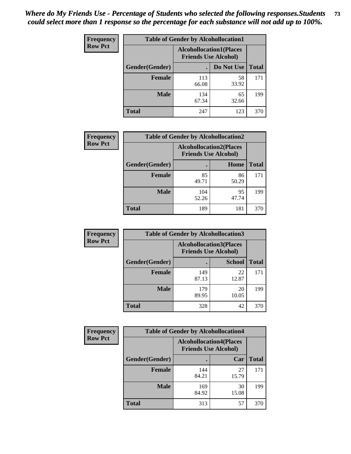| <b>Frequency</b> | <b>Table of Gender by Alcohollocation1</b> |                                                               |             |              |
|------------------|--------------------------------------------|---------------------------------------------------------------|-------------|--------------|
| <b>Row Pct</b>   |                                            | <b>Alcohollocation1(Places</b><br><b>Friends Use Alcohol)</b> |             |              |
|                  | Gender(Gender)                             |                                                               | Do Not Use  | <b>Total</b> |
|                  | <b>Female</b>                              | 113<br>66.08                                                  | 58<br>33.92 | 171          |
|                  | <b>Male</b>                                | 134<br>67.34                                                  | 65<br>32.66 | 199          |
|                  | <b>Total</b>                               | 247                                                           | 123         | 370          |

| <b>Frequency</b> | <b>Table of Gender by Alcohollocation2</b> |              |                                                               |              |
|------------------|--------------------------------------------|--------------|---------------------------------------------------------------|--------------|
| <b>Row Pct</b>   |                                            |              | <b>Alcohollocation2(Places</b><br><b>Friends Use Alcohol)</b> |              |
|                  | Gender(Gender)                             |              | Home                                                          | <b>Total</b> |
|                  | <b>Female</b>                              | 85<br>49.71  | 86<br>50.29                                                   | 171          |
|                  | <b>Male</b>                                | 104<br>52.26 | 95<br>47.74                                                   | 199          |
|                  | <b>Total</b>                               | 189          | 181                                                           | 370          |

| Frequency      | <b>Table of Gender by Alcohollocation3</b> |                                                               |               |              |
|----------------|--------------------------------------------|---------------------------------------------------------------|---------------|--------------|
| <b>Row Pct</b> |                                            | <b>Alcohollocation3(Places</b><br><b>Friends Use Alcohol)</b> |               |              |
|                | Gender(Gender)                             |                                                               | <b>School</b> | <b>Total</b> |
|                | <b>Female</b>                              | 149<br>87.13                                                  | 22<br>12.87   | 171          |
|                | <b>Male</b>                                | 179<br>89.95                                                  | 20<br>10.05   | 199          |
|                | <b>Total</b>                               | 328                                                           | 42            | 370          |

| <b>Frequency</b> | <b>Table of Gender by Alcohollocation4</b> |                                                               |             |              |
|------------------|--------------------------------------------|---------------------------------------------------------------|-------------|--------------|
| <b>Row Pct</b>   |                                            | <b>Alcohollocation4(Places</b><br><b>Friends Use Alcohol)</b> |             |              |
|                  | Gender(Gender)                             |                                                               | Car         | <b>Total</b> |
|                  | <b>Female</b>                              | 144<br>84.21                                                  | 27<br>15.79 | 171          |
|                  | <b>Male</b>                                | 169<br>84.92                                                  | 30<br>15.08 | 199          |
|                  | <b>Total</b>                               | 313                                                           | 57          | 370          |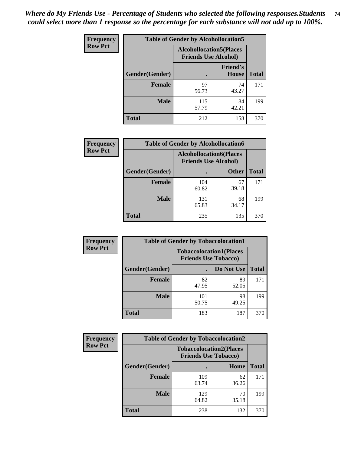| <b>Frequency</b> | <b>Table of Gender by Alcohollocation5</b> |                                                               |                                 |              |
|------------------|--------------------------------------------|---------------------------------------------------------------|---------------------------------|--------------|
| <b>Row Pct</b>   |                                            | <b>Alcohollocation5(Places</b><br><b>Friends Use Alcohol)</b> |                                 |              |
|                  | Gender(Gender)                             |                                                               | <b>Friend's</b><br><b>House</b> | <b>Total</b> |
|                  | <b>Female</b>                              | 97<br>56.73                                                   | 74<br>43.27                     | 171          |
|                  | <b>Male</b>                                | 115<br>57.79                                                  | 84<br>42.21                     | 199          |
|                  | <b>Total</b>                               | 212                                                           | 158                             | 370          |

| Frequency      | <b>Table of Gender by Alcohollocation6</b> |                                                               |              |              |
|----------------|--------------------------------------------|---------------------------------------------------------------|--------------|--------------|
| <b>Row Pct</b> |                                            | <b>Alcohollocation6(Places</b><br><b>Friends Use Alcohol)</b> |              |              |
|                | Gender(Gender)                             |                                                               | <b>Other</b> | <b>Total</b> |
|                | <b>Female</b>                              | 104<br>60.82                                                  | 67<br>39.18  | 171          |
|                | <b>Male</b>                                | 131<br>65.83                                                  | 68<br>34.17  | 199          |
|                | <b>Total</b>                               | 235                                                           | 135          | 370          |

| Frequency      | <b>Table of Gender by Tobaccolocation1</b> |                                                               |             |              |  |
|----------------|--------------------------------------------|---------------------------------------------------------------|-------------|--------------|--|
| <b>Row Pct</b> |                                            | <b>Tobaccolocation1(Places</b><br><b>Friends Use Tobacco)</b> |             |              |  |
|                | Gender(Gender)                             |                                                               | Do Not Use  | <b>Total</b> |  |
|                | <b>Female</b>                              | 82<br>47.95                                                   | 89<br>52.05 | 171          |  |
|                | <b>Male</b>                                | 101<br>50.75                                                  | 98<br>49.25 | 199          |  |
|                | <b>Total</b>                               | 183                                                           | 187         | 370          |  |

| <b>Frequency</b> | <b>Table of Gender by Tobaccolocation2</b> |                                                               |             |              |  |
|------------------|--------------------------------------------|---------------------------------------------------------------|-------------|--------------|--|
| <b>Row Pct</b>   |                                            | <b>Tobaccolocation2(Places</b><br><b>Friends Use Tobacco)</b> |             |              |  |
|                  | Gender(Gender)                             |                                                               | Home        | <b>Total</b> |  |
|                  | Female                                     | 109<br>63.74                                                  | 62<br>36.26 | 171          |  |
|                  | <b>Male</b>                                | 129<br>64.82                                                  | 70<br>35.18 | 199          |  |
|                  | <b>Total</b>                               | 238                                                           | 132         | 370          |  |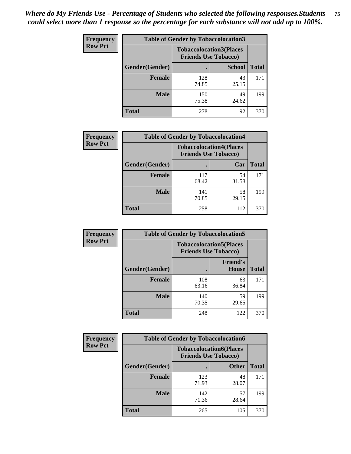| <b>Frequency</b> | <b>Table of Gender by Tobaccolocation3</b> |              |                                                               |              |
|------------------|--------------------------------------------|--------------|---------------------------------------------------------------|--------------|
| <b>Row Pct</b>   |                                            |              | <b>Tobaccolocation3(Places</b><br><b>Friends Use Tobacco)</b> |              |
|                  | Gender(Gender)                             |              | <b>School</b>                                                 | <b>Total</b> |
|                  | <b>Female</b>                              | 128<br>74.85 | 43<br>25.15                                                   | 171          |
|                  | <b>Male</b>                                | 150<br>75.38 | 49<br>24.62                                                   | 199          |
|                  | <b>Total</b>                               | 278          | 92                                                            | 370          |

| <b>Frequency</b> | <b>Table of Gender by Tobaccolocation4</b> |                             |                                |              |
|------------------|--------------------------------------------|-----------------------------|--------------------------------|--------------|
| <b>Row Pct</b>   |                                            | <b>Friends Use Tobacco)</b> | <b>Tobaccolocation4(Places</b> |              |
|                  | Gender(Gender)                             |                             | Car                            | <b>Total</b> |
|                  | Female                                     | 117<br>68.42                | 54<br>31.58                    | 171          |
|                  | <b>Male</b>                                | 141<br>70.85                | 58<br>29.15                    | 199          |
|                  | <b>Total</b>                               | 258                         | 112                            | 370          |

| <b>Frequency</b> | <b>Table of Gender by Tobaccolocation5</b>                    |              |                          |              |
|------------------|---------------------------------------------------------------|--------------|--------------------------|--------------|
| <b>Row Pct</b>   | <b>Tobaccolocation5(Places</b><br><b>Friends Use Tobacco)</b> |              |                          |              |
|                  | Gender(Gender)                                                |              | <b>Friend's</b><br>House | <b>Total</b> |
|                  | <b>Female</b>                                                 | 108<br>63.16 | 63<br>36.84              | 171          |
|                  | <b>Male</b>                                                   | 140<br>70.35 | 59<br>29.65              | 199          |
|                  | <b>Total</b>                                                  | 248          | 122                      | 370          |

| <b>Frequency</b> |                | <b>Table of Gender by Tobaccolocation6</b>                    |              |              |  |
|------------------|----------------|---------------------------------------------------------------|--------------|--------------|--|
| <b>Row Pct</b>   |                | <b>Tobaccolocation6(Places</b><br><b>Friends Use Tobacco)</b> |              |              |  |
|                  | Gender(Gender) |                                                               | <b>Other</b> | <b>Total</b> |  |
|                  | Female         | 123<br>71.93                                                  | 48<br>28.07  | 171          |  |
|                  | <b>Male</b>    | 142<br>71.36                                                  | 57<br>28.64  | 199          |  |
|                  | <b>Total</b>   | 265                                                           | 105          | 370          |  |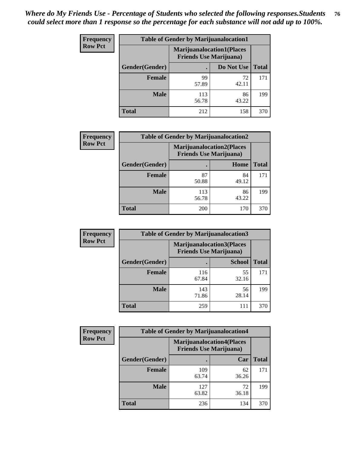| <b>Frequency</b> | <b>Table of Gender by Marijuanalocation1</b> |                                                                    |             |              |
|------------------|----------------------------------------------|--------------------------------------------------------------------|-------------|--------------|
| <b>Row Pct</b>   |                                              | <b>Marijuanalocation1(Places</b><br><b>Friends Use Marijuana</b> ) |             |              |
|                  | Gender(Gender)                               |                                                                    | Do Not Use  | <b>Total</b> |
|                  | <b>Female</b>                                | 99<br>57.89                                                        | 72<br>42.11 | 171          |
|                  | <b>Male</b>                                  | 113<br>56.78                                                       | 86<br>43.22 | 199          |
|                  | Total                                        | 212                                                                | 158         | 370          |

| <b>Frequency</b> | <b>Table of Gender by Marijuanalocation2</b> |                                                                    |             |              |
|------------------|----------------------------------------------|--------------------------------------------------------------------|-------------|--------------|
| <b>Row Pct</b>   |                                              | <b>Marijuanalocation2(Places</b><br><b>Friends Use Marijuana</b> ) |             |              |
|                  | Gender(Gender)                               |                                                                    | Home        | <b>Total</b> |
|                  | Female                                       | 87<br>50.88                                                        | 84<br>49.12 | 171          |
|                  | <b>Male</b>                                  | 113<br>56.78                                                       | 86<br>43.22 | 199          |
|                  | <b>Total</b>                                 | 200                                                                | 170         | 370          |

| Frequency      |                | <b>Table of Gender by Marijuanalocation3</b>                       |               |              |
|----------------|----------------|--------------------------------------------------------------------|---------------|--------------|
| <b>Row Pct</b> |                | <b>Marijuanalocation3(Places</b><br><b>Friends Use Marijuana</b> ) |               |              |
|                | Gender(Gender) |                                                                    | <b>School</b> | <b>Total</b> |
|                | Female         | 116<br>67.84                                                       | 55<br>32.16   | 171          |
|                | <b>Male</b>    | 143<br>71.86                                                       | 56<br>28.14   | 199          |
|                | <b>Total</b>   | 259                                                                | 111           | 370          |

| <b>Frequency</b> | <b>Table of Gender by Marijuanalocation4</b> |                                                                    |             |              |  |
|------------------|----------------------------------------------|--------------------------------------------------------------------|-------------|--------------|--|
| <b>Row Pct</b>   |                                              | <b>Marijuanalocation4(Places</b><br><b>Friends Use Marijuana</b> ) |             |              |  |
|                  | Gender(Gender)                               |                                                                    | Car         | <b>Total</b> |  |
|                  | <b>Female</b>                                | 109<br>63.74                                                       | 62<br>36.26 | 171          |  |
|                  | <b>Male</b>                                  | 127<br>63.82                                                       | 72<br>36.18 | 199          |  |
|                  | <b>Total</b>                                 | 236                                                                | 134         | 370          |  |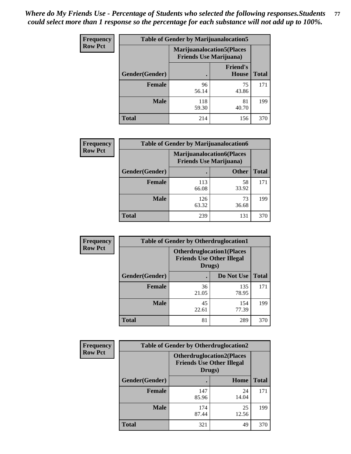| <b>Frequency</b> | <b>Table of Gender by Marijuanalocation5</b> |                                |                                   |              |
|------------------|----------------------------------------------|--------------------------------|-----------------------------------|--------------|
| <b>Row Pct</b>   |                                              | <b>Friends Use Marijuana</b> ) | <b>Marijuanalocation5</b> (Places |              |
|                  | Gender(Gender)                               |                                | <b>Friend's</b><br>House          | <b>Total</b> |
|                  | <b>Female</b>                                | 96<br>56.14                    | 75<br>43.86                       | 171          |
|                  | <b>Male</b>                                  | 118<br>59.30                   | 81<br>40.70                       | 199          |
|                  | <b>Total</b>                                 | 214                            | 156                               | 370          |

| <b>Frequency</b> | <b>Table of Gender by Marijuanalocation6</b> |                                |                                  |              |
|------------------|----------------------------------------------|--------------------------------|----------------------------------|--------------|
| <b>Row Pct</b>   |                                              | <b>Friends Use Marijuana</b> ) | <b>Marijuanalocation6(Places</b> |              |
|                  | <b>Gender</b> (Gender)                       |                                | <b>Other</b>                     | <b>Total</b> |
|                  | <b>Female</b>                                | 113<br>66.08                   | 58<br>33.92                      | 171          |
|                  | <b>Male</b>                                  | 126<br>63.32                   | 73<br>36.68                      | 199          |
|                  | <b>Total</b>                                 | 239                            | 131                              | 370          |

| <b>Frequency</b> | <b>Table of Gender by Otherdruglocation1</b> |                                                                                |              |              |
|------------------|----------------------------------------------|--------------------------------------------------------------------------------|--------------|--------------|
| <b>Row Pct</b>   |                                              | <b>Otherdruglocation1(Places</b><br><b>Friends Use Other Illegal</b><br>Drugs) |              |              |
|                  | Gender(Gender)                               |                                                                                | Do Not Use   | <b>Total</b> |
|                  | <b>Female</b>                                | 36<br>21.05                                                                    | 135<br>78.95 | 171          |
|                  | <b>Male</b>                                  | 45<br>22.61                                                                    | 154<br>77.39 | 199          |
|                  | <b>Total</b>                                 | 81                                                                             | 289          | 370          |

| <b>Frequency</b> | <b>Table of Gender by Otherdruglocation2</b> |              |                                                                                |              |
|------------------|----------------------------------------------|--------------|--------------------------------------------------------------------------------|--------------|
| <b>Row Pct</b>   |                                              |              | <b>Otherdruglocation2(Places</b><br><b>Friends Use Other Illegal</b><br>Drugs) |              |
|                  | Gender(Gender)                               |              | Home                                                                           | <b>Total</b> |
|                  | Female                                       | 147<br>85.96 | 24<br>14.04                                                                    | 171          |
|                  | <b>Male</b>                                  | 174<br>87.44 | 25<br>12.56                                                                    | 199          |
|                  | <b>Total</b>                                 | 321          | 49                                                                             | 370          |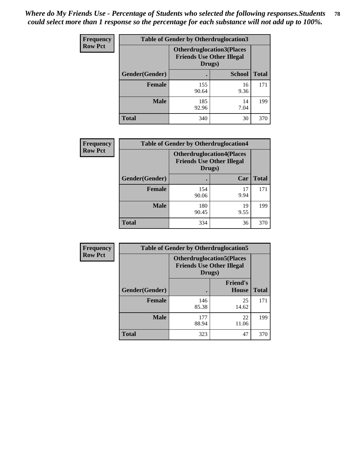| <b>Frequency</b> | <b>Table of Gender by Otherdruglocation3</b> |                                                                                |               |              |
|------------------|----------------------------------------------|--------------------------------------------------------------------------------|---------------|--------------|
| <b>Row Pct</b>   |                                              | <b>Otherdruglocation3(Places</b><br><b>Friends Use Other Illegal</b><br>Drugs) |               |              |
|                  | Gender(Gender)                               |                                                                                | <b>School</b> | <b>Total</b> |
|                  | <b>Female</b>                                | 155<br>90.64                                                                   | 16<br>9.36    | 171          |
|                  | <b>Male</b>                                  | 185<br>92.96                                                                   | 14<br>7.04    | 199          |
|                  | <b>Total</b>                                 | 340                                                                            | 30            | 370          |

| Frequency      | <b>Table of Gender by Otherdruglocation4</b> |                                                                                |            |              |
|----------------|----------------------------------------------|--------------------------------------------------------------------------------|------------|--------------|
| <b>Row Pct</b> |                                              | <b>Otherdruglocation4(Places</b><br><b>Friends Use Other Illegal</b><br>Drugs) |            |              |
|                | Gender(Gender)                               |                                                                                | Car        | <b>Total</b> |
|                | <b>Female</b>                                | 154<br>90.06                                                                   | 17<br>9.94 | 171          |
|                | <b>Male</b>                                  | 180<br>90.45                                                                   | 19<br>9.55 | 199          |
|                | <b>Total</b>                                 | 334                                                                            | 36         | 370          |

| Frequency      | <b>Table of Gender by Otherdruglocation5</b>                                   |              |                          |              |
|----------------|--------------------------------------------------------------------------------|--------------|--------------------------|--------------|
| <b>Row Pct</b> | <b>Otherdruglocation5(Places</b><br><b>Friends Use Other Illegal</b><br>Drugs) |              |                          |              |
|                | Gender(Gender)                                                                 |              | <b>Friend's</b><br>House | <b>Total</b> |
|                | <b>Female</b>                                                                  | 146<br>85.38 | 25<br>14.62              | 171          |
|                | <b>Male</b>                                                                    | 177<br>88.94 | 22<br>11.06              | 199          |
|                | <b>Total</b>                                                                   | 323          | 47                       | 370          |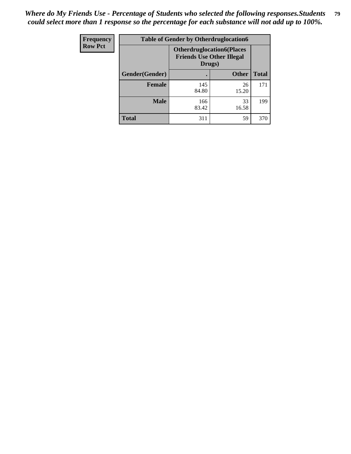| Frequency      | <b>Table of Gender by Otherdruglocation6</b> |                                            |                                  |              |
|----------------|----------------------------------------------|--------------------------------------------|----------------------------------|--------------|
| <b>Row Pct</b> |                                              | <b>Friends Use Other Illegal</b><br>Drugs) | <b>Otherdruglocation6(Places</b> |              |
|                | Gender(Gender)                               |                                            | <b>Other</b>                     | <b>Total</b> |
|                | <b>Female</b>                                | 145<br>84.80                               | 26<br>15.20                      | 171          |
|                | <b>Male</b>                                  | 166<br>83.42                               | 33<br>16.58                      | 199          |
|                | <b>Total</b>                                 | 311                                        | 59                               | 370          |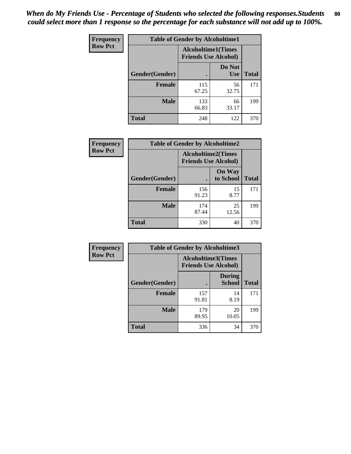| <b>Frequency</b> | <b>Table of Gender by Alcoholtime1</b> |                                                          |                      |              |
|------------------|----------------------------------------|----------------------------------------------------------|----------------------|--------------|
| <b>Row Pct</b>   |                                        | <b>Alcoholtime1(Times</b><br><b>Friends Use Alcohol)</b> |                      |              |
|                  | Gender(Gender)                         | $\bullet$                                                | Do Not<br><b>Use</b> | <b>Total</b> |
|                  | <b>Female</b>                          | 115<br>67.25                                             | 56<br>32.75          | 171          |
|                  | <b>Male</b>                            | 133<br>66.83                                             | 66<br>33.17          | 199          |
|                  | <b>Total</b>                           | 248                                                      | 122                  | 370          |

| <b>Frequency</b> | <b>Table of Gender by Alcoholtime2</b> |                                                          |                            |              |
|------------------|----------------------------------------|----------------------------------------------------------|----------------------------|--------------|
| <b>Row Pct</b>   |                                        | <b>Alcoholtime2(Times</b><br><b>Friends Use Alcohol)</b> |                            |              |
|                  | Gender(Gender)                         |                                                          | <b>On Way</b><br>to School | <b>Total</b> |
|                  | <b>Female</b>                          | 156<br>91.23                                             | 15<br>8.77                 | 171          |
|                  | <b>Male</b>                            | 174<br>87.44                                             | 25<br>12.56                | 199          |
|                  | <b>Total</b>                           | 330                                                      | 40                         | 370          |

| <b>Frequency</b> | <b>Table of Gender by Alcoholtime3</b> |                                                          |                                |              |
|------------------|----------------------------------------|----------------------------------------------------------|--------------------------------|--------------|
| <b>Row Pct</b>   |                                        | <b>Alcoholtime3(Times</b><br><b>Friends Use Alcohol)</b> |                                |              |
|                  | Gender(Gender)                         |                                                          | <b>During</b><br><b>School</b> | <b>Total</b> |
|                  | Female                                 | 157<br>91.81                                             | 14<br>8.19                     | 171          |
|                  | <b>Male</b>                            | 179<br>89.95                                             | 20<br>10.05                    | 199          |
|                  | <b>Total</b>                           | 336                                                      | 34                             | 370          |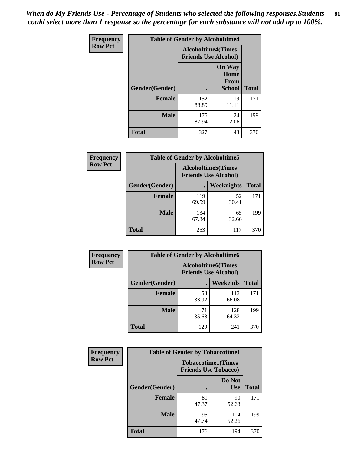*When do My Friends Use - Percentage of Students who selected the following responses.Students could select more than 1 response so the percentage for each substance will not add up to 100%.* **81**

| <b>Frequency</b> | <b>Table of Gender by Alcoholtime4</b> |                                                          |                                                |              |
|------------------|----------------------------------------|----------------------------------------------------------|------------------------------------------------|--------------|
| <b>Row Pct</b>   |                                        | <b>Alcoholtime4(Times</b><br><b>Friends Use Alcohol)</b> |                                                |              |
|                  | Gender(Gender)                         |                                                          | <b>On Way</b><br>Home<br>From<br><b>School</b> | <b>Total</b> |
|                  | <b>Female</b>                          | 152<br>88.89                                             | 19<br>11.11                                    | 171          |
|                  | <b>Male</b>                            | 175<br>87.94                                             | 24<br>12.06                                    | 199          |
|                  | <b>Total</b>                           | 327                                                      | 43                                             | 370          |

| <b>Frequency</b> | <b>Table of Gender by Alcoholtime5</b> |                                                           |             |              |
|------------------|----------------------------------------|-----------------------------------------------------------|-------------|--------------|
| <b>Row Pct</b>   |                                        | <b>Alcoholtime5</b> (Times<br><b>Friends Use Alcohol)</b> |             |              |
|                  | Gender(Gender)                         |                                                           | Weeknights  | <b>Total</b> |
|                  | <b>Female</b>                          | 119<br>69.59                                              | 52<br>30.41 | 171          |
|                  | <b>Male</b>                            | 134<br>67.34                                              | 65<br>32.66 | 199          |
|                  | <b>Total</b>                           | 253                                                       | 117         | 370          |

| <b>Frequency</b> | <b>Table of Gender by Alcoholtime6</b> |             |                                                          |              |
|------------------|----------------------------------------|-------------|----------------------------------------------------------|--------------|
| <b>Row Pct</b>   |                                        |             | <b>Alcoholtime6(Times</b><br><b>Friends Use Alcohol)</b> |              |
|                  | Gender(Gender)                         |             | Weekends                                                 | <b>Total</b> |
|                  | Female                                 | 58<br>33.92 | 113<br>66.08                                             | 171          |
|                  | <b>Male</b>                            | 71<br>35.68 | 128<br>64.32                                             | 199          |
|                  | <b>Total</b>                           | 129         | 241                                                      | 370          |

| <b>Frequency</b> | <b>Table of Gender by Tobaccotime1</b> |                                                          |                      |              |
|------------------|----------------------------------------|----------------------------------------------------------|----------------------|--------------|
| <b>Row Pct</b>   |                                        | <b>Tobaccotime1(Times</b><br><b>Friends Use Tobacco)</b> |                      |              |
|                  | Gender(Gender)                         |                                                          | Do Not<br><b>Use</b> | <b>Total</b> |
|                  | <b>Female</b>                          | 81<br>47.37                                              | 90<br>52.63          | 171          |
|                  | <b>Male</b>                            | 95<br>47.74                                              | 104<br>52.26         | 199          |
|                  | <b>Total</b>                           | 176                                                      | 194                  | 370          |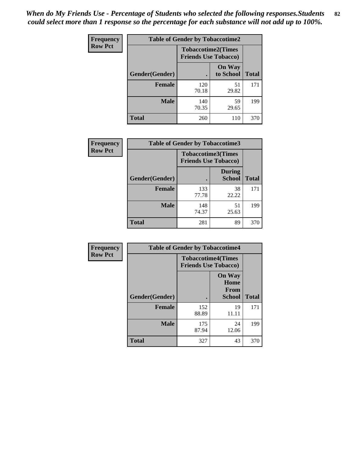*When do My Friends Use - Percentage of Students who selected the following responses.Students could select more than 1 response so the percentage for each substance will not add up to 100%.* **82**

| Frequency      | <b>Table of Gender by Tobaccotime2</b> |                                                          |                            |              |
|----------------|----------------------------------------|----------------------------------------------------------|----------------------------|--------------|
| <b>Row Pct</b> |                                        | <b>Tobaccotime2(Times</b><br><b>Friends Use Tobacco)</b> |                            |              |
|                | Gender(Gender)                         | $\bullet$                                                | <b>On Way</b><br>to School | <b>Total</b> |
|                | <b>Female</b>                          | 120<br>70.18                                             | 51<br>29.82                | 171          |
|                | <b>Male</b>                            | 140<br>70.35                                             | 59<br>29.65                | 199          |
|                | <b>Total</b>                           | 260                                                      | 110                        | 370          |

| Frequency      | <b>Table of Gender by Tobaccotime3</b> |                                                          |                                |              |
|----------------|----------------------------------------|----------------------------------------------------------|--------------------------------|--------------|
| <b>Row Pct</b> |                                        | <b>Tobaccotime3(Times</b><br><b>Friends Use Tobacco)</b> |                                |              |
|                | Gender(Gender)                         |                                                          | <b>During</b><br><b>School</b> | <b>Total</b> |
|                | Female                                 | 133<br>77.78                                             | 38<br>22.22                    | 171          |
|                | <b>Male</b>                            | 148<br>74.37                                             | 51<br>25.63                    | 199          |
|                | <b>Total</b>                           | 281                                                      | 89                             | 370          |

| <b>Frequency</b> | <b>Table of Gender by Tobaccotime4</b> |                                                          |                                                |              |
|------------------|----------------------------------------|----------------------------------------------------------|------------------------------------------------|--------------|
| <b>Row Pct</b>   |                                        | <b>Tobaccotime4(Times</b><br><b>Friends Use Tobacco)</b> |                                                |              |
|                  | Gender(Gender)                         |                                                          | <b>On Way</b><br>Home<br><b>From</b><br>School | <b>Total</b> |
|                  | <b>Female</b>                          | 152<br>88.89                                             | 19<br>11.11                                    | 171          |
|                  | <b>Male</b>                            | 175<br>87.94                                             | 24<br>12.06                                    | 199          |
|                  | <b>Total</b>                           | 327                                                      | 43                                             | 370          |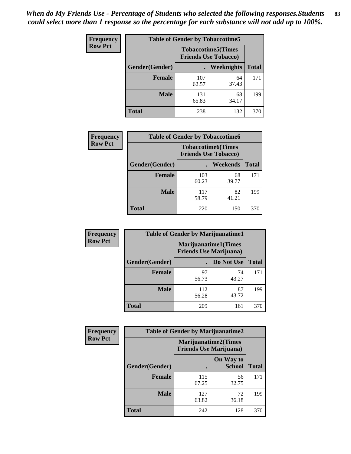| <b>Frequency</b> | <b>Table of Gender by Tobaccotime5</b> |                                                          |                   |              |  |
|------------------|----------------------------------------|----------------------------------------------------------|-------------------|--------------|--|
| <b>Row Pct</b>   |                                        | <b>Tobaccotime5(Times</b><br><b>Friends Use Tobacco)</b> |                   |              |  |
|                  | <b>Gender</b> (Gender)                 |                                                          | <b>Weeknights</b> | <b>Total</b> |  |
|                  | <b>Female</b>                          | 107<br>62.57                                             | 64<br>37.43       | 171          |  |
|                  | <b>Male</b>                            | 131<br>65.83                                             | 68<br>34.17       | 199          |  |
|                  | <b>Total</b>                           | 238                                                      | 132               | 370          |  |

| Frequency      | <b>Table of Gender by Tobaccotime6</b> |                                                          |             |              |
|----------------|----------------------------------------|----------------------------------------------------------|-------------|--------------|
| <b>Row Pct</b> |                                        | <b>Tobaccotime6(Times</b><br><b>Friends Use Tobacco)</b> |             |              |
|                | Gender(Gender)                         |                                                          | Weekends    | <b>Total</b> |
|                | <b>Female</b>                          | 103<br>60.23                                             | 68<br>39.77 | 171          |
|                | <b>Male</b>                            | 117<br>58.79                                             | 82<br>41.21 | 199          |
|                | <b>Total</b>                           | 220                                                      | 150         | 370          |

| Frequency      | <b>Table of Gender by Marijuanatime1</b> |                                |                             |              |
|----------------|------------------------------------------|--------------------------------|-----------------------------|--------------|
| <b>Row Pct</b> |                                          | <b>Friends Use Marijuana</b> ) | <b>Marijuanatime1(Times</b> |              |
|                | Gender(Gender)                           |                                | Do Not Use                  | <b>Total</b> |
|                | <b>Female</b>                            | 97<br>56.73                    | 74<br>43.27                 | 171          |
|                | <b>Male</b>                              | 112<br>56.28                   | 87<br>43.72                 | 199          |
|                | <b>Total</b>                             | 209                            | 161                         | 370          |

| <b>Frequency</b> | <b>Table of Gender by Marijuanatime2</b> |                                                               |                            |              |
|------------------|------------------------------------------|---------------------------------------------------------------|----------------------------|--------------|
| <b>Row Pct</b>   |                                          | <b>Marijuanatime2(Times</b><br><b>Friends Use Marijuana</b> ) |                            |              |
|                  | Gender(Gender)                           |                                                               | On Way to<br><b>School</b> | <b>Total</b> |
|                  | Female                                   | 115<br>67.25                                                  | 56<br>32.75                | 171          |
|                  | <b>Male</b>                              | 127<br>63.82                                                  | 72<br>36.18                | 199          |
|                  | <b>Total</b>                             | 242                                                           | 128                        | 370          |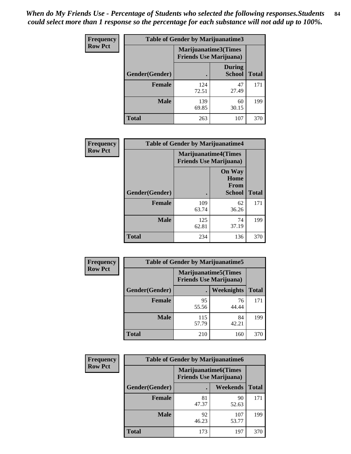*When do My Friends Use - Percentage of Students who selected the following responses.Students could select more than 1 response so the percentage for each substance will not add up to 100%.* **84**

| <b>Frequency</b> | <b>Table of Gender by Marijuanatime3</b> |                                                        |                                |              |
|------------------|------------------------------------------|--------------------------------------------------------|--------------------------------|--------------|
| <b>Row Pct</b>   |                                          | Marijuanatime3(Times<br><b>Friends Use Marijuana</b> ) |                                |              |
|                  | Gender(Gender)                           | $\bullet$                                              | <b>During</b><br><b>School</b> | <b>Total</b> |
|                  | <b>Female</b>                            | 124<br>72.51                                           | 47<br>27.49                    | 171          |
|                  | <b>Male</b>                              | 139<br>69.85                                           | 60<br>30.15                    | 199          |
|                  | <b>Total</b>                             | 263                                                    | 107                            | 370          |

| Frequency      | <b>Table of Gender by Marijuanatime4</b> |              |                                                                |              |
|----------------|------------------------------------------|--------------|----------------------------------------------------------------|--------------|
| <b>Row Pct</b> |                                          |              | <b>Marijuanatime4</b> (Times<br><b>Friends Use Marijuana</b> ) |              |
|                | <b>Gender</b> (Gender)                   |              | <b>On Way</b><br>Home<br><b>From</b><br><b>School</b>          | <b>Total</b> |
|                |                                          |              |                                                                |              |
|                | <b>Female</b>                            | 109<br>63.74 | 62<br>36.26                                                    | 171          |
|                | <b>Male</b>                              | 125<br>62.81 | 74<br>37.19                                                    | 199          |
|                | <b>Total</b>                             | 234          | 136                                                            | 370          |

| Frequency      | <b>Table of Gender by Marijuanatime5</b> |                                                                |             |              |  |
|----------------|------------------------------------------|----------------------------------------------------------------|-------------|--------------|--|
| <b>Row Pct</b> |                                          | <b>Marijuanatime5</b> (Times<br><b>Friends Use Marijuana</b> ) |             |              |  |
|                | Gender(Gender)                           |                                                                | Weeknights  | <b>Total</b> |  |
|                | <b>Female</b>                            | 95<br>55.56                                                    | 76<br>44.44 | 171          |  |
|                | <b>Male</b>                              | 115<br>57.79                                                   | 84<br>42.21 | 199          |  |
|                | <b>Total</b>                             | 210                                                            | 160         | 370          |  |

| Frequency      | <b>Table of Gender by Marijuanatime6</b> |                                                        |                 |              |  |
|----------------|------------------------------------------|--------------------------------------------------------|-----------------|--------------|--|
| <b>Row Pct</b> |                                          | Marijuanatime6(Times<br><b>Friends Use Marijuana</b> ) |                 |              |  |
|                | <b>Gender</b> (Gender)                   |                                                        | <b>Weekends</b> | <b>Total</b> |  |
|                | Female                                   | 81<br>47.37                                            | 90<br>52.63     | 171          |  |
|                | <b>Male</b>                              | 92<br>46.23                                            | 107<br>53.77    | 199          |  |
|                | <b>Total</b>                             | 173                                                    | 197             | 370          |  |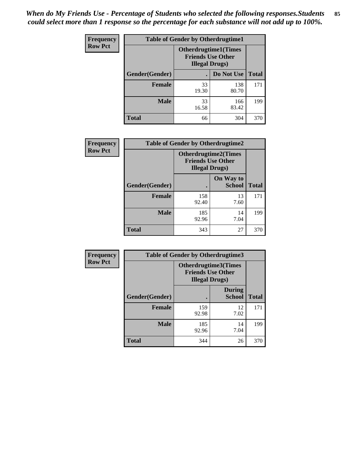| <b>Frequency</b> | <b>Table of Gender by Otherdrugtime1</b> |                                                                                   |              |              |
|------------------|------------------------------------------|-----------------------------------------------------------------------------------|--------------|--------------|
| <b>Row Pct</b>   |                                          | <b>Otherdrugtime1</b> (Times<br><b>Friends Use Other</b><br><b>Illegal Drugs)</b> |              |              |
|                  | Gender(Gender)                           |                                                                                   | Do Not Use   | <b>Total</b> |
|                  | <b>Female</b>                            | 33<br>19.30                                                                       | 138<br>80.70 | 171          |
|                  | Male                                     | 33<br>16.58                                                                       | 166<br>83.42 | 199          |
|                  | <b>Total</b>                             | 66                                                                                | 304          | 370          |

| Frequency      | <b>Table of Gender by Otherdrugtime2</b> |                                                                                   |                            |              |
|----------------|------------------------------------------|-----------------------------------------------------------------------------------|----------------------------|--------------|
| <b>Row Pct</b> |                                          | <b>Otherdrugtime2(Times</b><br><b>Friends Use Other</b><br><b>Illegal Drugs</b> ) |                            |              |
|                | Gender(Gender)                           |                                                                                   | On Way to<br><b>School</b> | <b>Total</b> |
|                | <b>Female</b>                            | 158<br>92.40                                                                      | 13<br>7.60                 | 171          |
|                | <b>Male</b>                              | 185<br>92.96                                                                      | 14<br>7.04                 | 199          |
|                | <b>Total</b>                             | 343                                                                               | 27                         | 370          |

| Frequency      | <b>Table of Gender by Otherdrugtime3</b> |                        |                                                  |              |
|----------------|------------------------------------------|------------------------|--------------------------------------------------|--------------|
| <b>Row Pct</b> |                                          | <b>Illegal Drugs</b> ) | Otherdrugtime3(Times<br><b>Friends Use Other</b> |              |
|                | Gender(Gender)                           |                        | <b>During</b><br><b>School</b>                   | <b>Total</b> |
|                | <b>Female</b>                            | 159<br>92.98           | 12<br>7.02                                       | 171          |
|                | <b>Male</b>                              | 185<br>92.96           | 14<br>7.04                                       | 199          |
|                | <b>Total</b>                             | 344                    | 26                                               | 370          |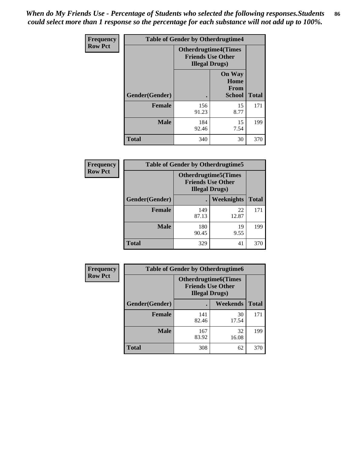*When do My Friends Use - Percentage of Students who selected the following responses.Students could select more than 1 response so the percentage for each substance will not add up to 100%.* **86**

| <b>Frequency</b> | <b>Table of Gender by Otherdrugtime4</b> |                                                    |                                                       |              |
|------------------|------------------------------------------|----------------------------------------------------|-------------------------------------------------------|--------------|
| <b>Row Pct</b>   |                                          | <b>Friends Use Other</b><br><b>Illegal Drugs</b> ) | <b>Otherdrugtime4(Times</b>                           |              |
|                  | <b>Gender</b> (Gender)                   |                                                    | <b>On Way</b><br>Home<br><b>From</b><br><b>School</b> | <b>Total</b> |
|                  | <b>Female</b>                            | 156<br>91.23                                       | 15<br>8.77                                            | 171          |
|                  | <b>Male</b>                              | 184<br>92.46                                       | 15<br>7.54                                            | 199          |
|                  | Total                                    | 340                                                | 30                                                    | 370          |

| Frequency      | <b>Table of Gender by Otherdrugtime5</b> |                                                                                    |                   |              |
|----------------|------------------------------------------|------------------------------------------------------------------------------------|-------------------|--------------|
| <b>Row Pct</b> |                                          | <b>Otherdrugtime5</b> (Times<br><b>Friends Use Other</b><br><b>Illegal Drugs</b> ) |                   |              |
|                | Gender(Gender)                           |                                                                                    | <b>Weeknights</b> | <b>Total</b> |
|                | <b>Female</b>                            | 149<br>87.13                                                                       | 22<br>12.87       | 171          |
|                | <b>Male</b>                              | 180<br>90.45                                                                       | 19<br>9.55        | 199          |
|                | <b>Total</b>                             | 329                                                                                | 41                | 370          |

| <b>Frequency</b> | <b>Table of Gender by Otherdrugtime6</b> |                                                                                   |             |              |
|------------------|------------------------------------------|-----------------------------------------------------------------------------------|-------------|--------------|
| <b>Row Pct</b>   |                                          | <b>Otherdrugtime6(Times</b><br><b>Friends Use Other</b><br><b>Illegal Drugs</b> ) |             |              |
|                  | Gender(Gender)                           |                                                                                   | Weekends    | <b>Total</b> |
|                  | <b>Female</b>                            | 141<br>82.46                                                                      | 30<br>17.54 | 171          |
|                  | <b>Male</b>                              | 167<br>83.92                                                                      | 32<br>16.08 | 199          |
|                  | <b>Total</b>                             | 308                                                                               | 62          | 370          |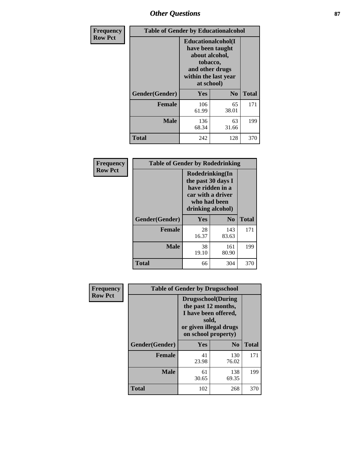# *Other Questions* **87**

| <b>Frequency</b> | <b>Table of Gender by Educationalcohol</b> |                                                                                                                                       |                |              |  |
|------------------|--------------------------------------------|---------------------------------------------------------------------------------------------------------------------------------------|----------------|--------------|--|
| <b>Row Pct</b>   |                                            | <b>Educationalcohol</b> (I<br>have been taught<br>about alcohol,<br>tobacco,<br>and other drugs<br>within the last year<br>at school) |                |              |  |
|                  | Gender(Gender)                             | <b>Yes</b>                                                                                                                            | N <sub>0</sub> | <b>Total</b> |  |
|                  | <b>Female</b>                              | 106<br>61.99                                                                                                                          | 65<br>38.01    | 171          |  |
|                  | <b>Male</b>                                | 136<br>68.34                                                                                                                          | 63<br>31.66    | 199          |  |
|                  | <b>Total</b>                               | 242                                                                                                                                   | 128            | 370          |  |

| Frequency      | <b>Table of Gender by Rodedrinking</b> |                                                                                                                     |                |              |  |
|----------------|----------------------------------------|---------------------------------------------------------------------------------------------------------------------|----------------|--------------|--|
| <b>Row Pct</b> |                                        | Rodedrinking(In<br>the past 30 days I<br>have ridden in a<br>car with a driver<br>who had been<br>drinking alcohol) |                |              |  |
|                | Gender(Gender)                         | Yes                                                                                                                 | N <sub>0</sub> | <b>Total</b> |  |
|                | <b>Female</b>                          | 28<br>16.37                                                                                                         | 143<br>83.63   | 171          |  |
|                | <b>Male</b>                            | 38<br>19.10                                                                                                         | 161<br>80.90   | 199          |  |
|                | <b>Total</b>                           | 66                                                                                                                  | 304            | 370          |  |

| Frequency      | <b>Table of Gender by Drugsschool</b> |                                                                                                                                     |                |              |  |
|----------------|---------------------------------------|-------------------------------------------------------------------------------------------------------------------------------------|----------------|--------------|--|
| <b>Row Pct</b> |                                       | <b>Drugsschool</b> (During<br>the past 12 months,<br>I have been offered,<br>sold,<br>or given illegal drugs<br>on school property) |                |              |  |
|                | Gender(Gender)                        | <b>Yes</b>                                                                                                                          | N <sub>0</sub> | <b>Total</b> |  |
|                | <b>Female</b>                         | 41<br>23.98                                                                                                                         | 130<br>76.02   | 171          |  |
|                | <b>Male</b>                           | 61<br>30.65                                                                                                                         | 138<br>69.35   | 199          |  |
|                | <b>Total</b>                          | 102                                                                                                                                 | 268            | 370          |  |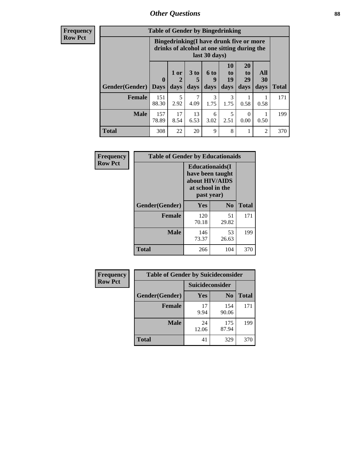## *Other Questions* **88**

**Frequency Row Pct**

| <b>Table of Gender by Bingedrinking</b> |              |                                                                                                         |                   |                   |                        |                               |                          |       |
|-----------------------------------------|--------------|---------------------------------------------------------------------------------------------------------|-------------------|-------------------|------------------------|-------------------------------|--------------------------|-------|
|                                         |              | Bingedrinking(I have drunk five or more<br>drinks of alcohol at one sitting during the<br>last 30 days) |                   |                   |                        |                               |                          |       |
| <b>Gender</b> (Gender)   Days           | $\mathbf 0$  | 1 or<br>days                                                                                            | 3 to<br>5<br>days | 6 to<br>q<br>days | 10<br>to<br>19<br>days | <b>20</b><br>to<br>29<br>days | All<br><b>30</b><br>days | Total |
| <b>Female</b>                           | 151<br>88.30 | 5<br>2.92                                                                                               | 7<br>4.09         | 3<br>1.75         | 3<br>1.75              | 0.58                          | 0.58                     | 171   |
| <b>Male</b>                             | 157<br>78.89 | 17<br>8.54                                                                                              | 13<br>6.53        | 6<br>3.02         | 5<br>2.51              | $\Omega$<br>0.00              | 0.50                     | 199   |
|                                         |              |                                                                                                         |                   |                   |                        |                               |                          |       |

| Frequency      | <b>Table of Gender by Educationaids</b> |                                                                                                 |                |              |  |  |
|----------------|-----------------------------------------|-------------------------------------------------------------------------------------------------|----------------|--------------|--|--|
| <b>Row Pct</b> |                                         | <b>Educationaids</b> (I<br>have been taught<br>about HIV/AIDS<br>at school in the<br>past year) |                |              |  |  |
|                | Gender(Gender)                          | Yes                                                                                             | N <sub>0</sub> | <b>Total</b> |  |  |
|                | <b>Female</b>                           | 120<br>70.18                                                                                    | 51<br>29.82    | 171          |  |  |
|                | <b>Male</b>                             | 146<br>73.37                                                                                    | 53<br>26.63    | 199          |  |  |
|                | <b>Total</b>                            | 266                                                                                             | 104            | 370          |  |  |

| <b>Frequency</b> | <b>Table of Gender by Suicideconsider</b> |                 |                |              |  |
|------------------|-------------------------------------------|-----------------|----------------|--------------|--|
| <b>Row Pct</b>   |                                           | Suicideconsider |                |              |  |
|                  | Gender(Gender)                            | Yes             | N <sub>0</sub> | <b>Total</b> |  |
|                  | <b>Female</b>                             | 17<br>9.94      | 154<br>90.06   | 171          |  |
|                  | <b>Male</b>                               | 24<br>12.06     | 175<br>87.94   | 199          |  |
|                  | Total                                     | 41              | 329            | 370          |  |